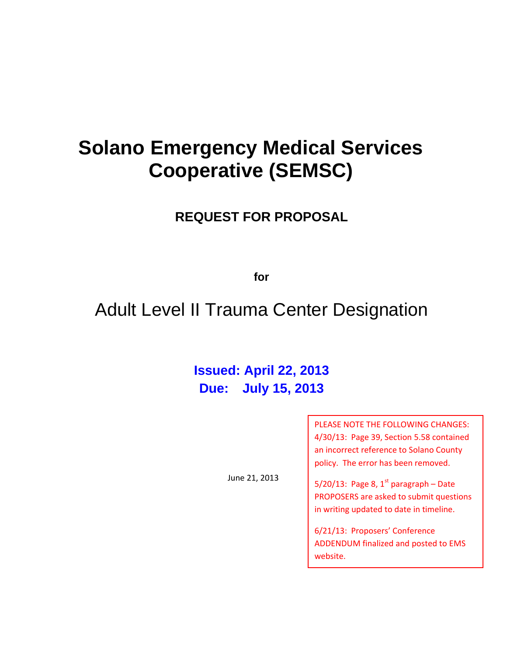# **Solano Emergency Medical Services Cooperative (SEMSC)**

# **REQUEST FOR PROPOSAL**

**for**

# Adult Level II Trauma Center Designation

# **Issued: April 22, 2013 Due: July 15, 2013**

PLEASE NOTE THE FOLLOWING CHANGES: 4/30/13: Page 39, Section 5.58 contained an incorrect reference to Solano County policy. The error has been removed.

June 21, 2013

5/20/13: Page 8,  $1<sup>st</sup>$  paragraph – Date PROPOSERS are asked to submit questions in writing updated to date in timeline.

6/21/13: Proposers' Conference ADDENDUM finalized and posted to EMS website.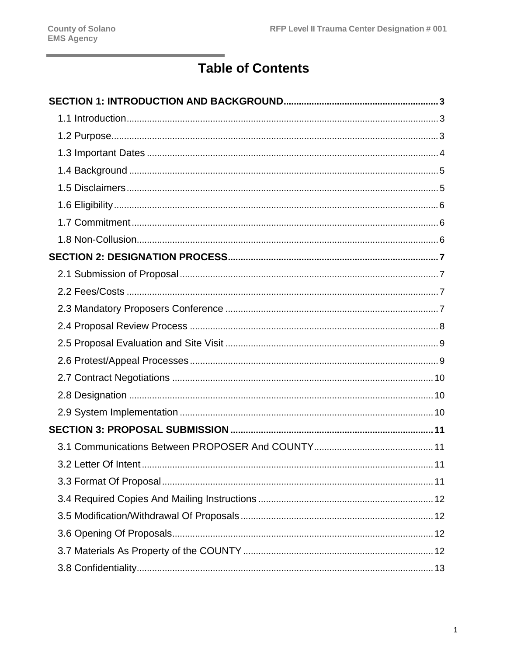# **Table of Contents**

| 3.2 Letter Of Intent. | 11 |
|-----------------------|----|
|                       |    |
|                       |    |
|                       |    |
|                       |    |
|                       |    |
|                       |    |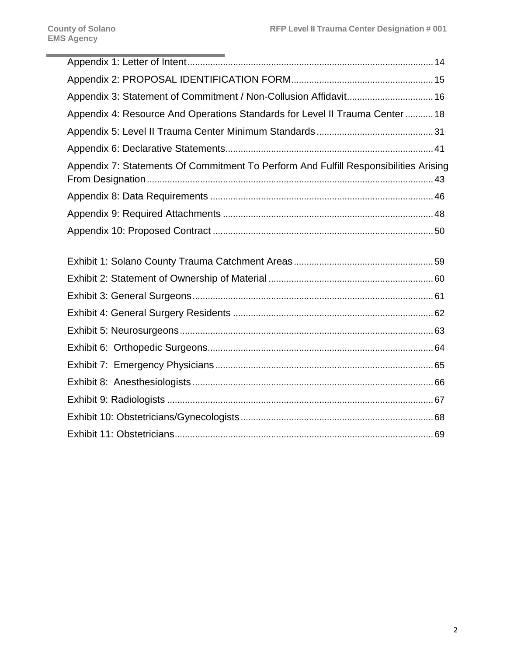| Appendix 3: Statement of Commitment / Non-Collusion Affidavit 16                     |  |
|--------------------------------------------------------------------------------------|--|
| Appendix 4: Resource And Operations Standards for Level II Trauma Center  18         |  |
|                                                                                      |  |
|                                                                                      |  |
| Appendix 7: Statements Of Commitment To Perform And Fulfill Responsibilities Arising |  |
|                                                                                      |  |
|                                                                                      |  |
|                                                                                      |  |
|                                                                                      |  |
|                                                                                      |  |
|                                                                                      |  |
|                                                                                      |  |
|                                                                                      |  |
|                                                                                      |  |
|                                                                                      |  |
|                                                                                      |  |
|                                                                                      |  |
|                                                                                      |  |
|                                                                                      |  |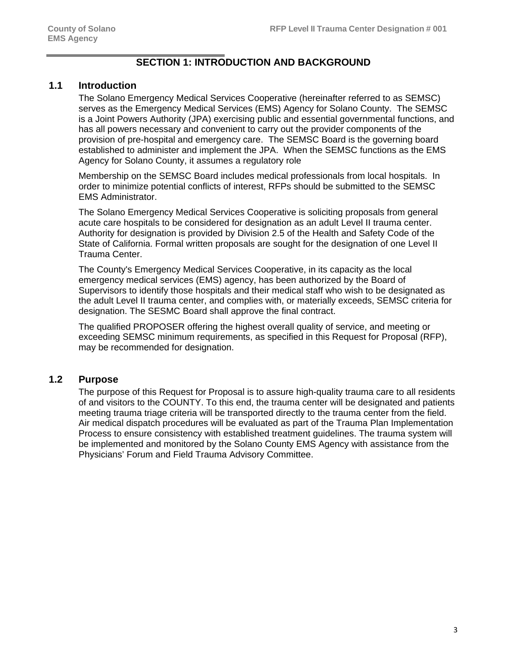# **SECTION 1: INTRODUCTION AND BACKGROUND**

# **1.1 Introduction**

The Solano Emergency Medical Services Cooperative (hereinafter referred to as SEMSC) serves as the Emergency Medical Services (EMS) Agency for Solano County. The SEMSC is a Joint Powers Authority (JPA) exercising public and essential governmental functions, and has all powers necessary and convenient to carry out the provider components of the provision of pre-hospital and emergency care. The SEMSC Board is the governing board established to administer and implement the JPA. When the SEMSC functions as the EMS Agency for Solano County, it assumes a regulatory role

Membership on the SEMSC Board includes medical professionals from local hospitals. In order to minimize potential conflicts of interest, RFPs should be submitted to the SEMSC EMS Administrator.

The Solano Emergency Medical Services Cooperative is soliciting proposals from general acute care hospitals to be considered for designation as an adult Level II trauma center. Authority for designation is provided by Division 2.5 of the Health and Safety Code of the State of California. Formal written proposals are sought for the designation of one Level II Trauma Center.

The County's Emergency Medical Services Cooperative, in its capacity as the local emergency medical services (EMS) agency, has been authorized by the Board of Supervisors to identify those hospitals and their medical staff who wish to be designated as the adult Level II trauma center, and complies with, or materially exceeds, SEMSC criteria for designation. The SESMC Board shall approve the final contract.

The qualified PROPOSER offering the highest overall quality of service, and meeting or exceeding SEMSC minimum requirements, as specified in this Request for Proposal (RFP), may be recommended for designation.

# **1.2 Purpose**

The purpose of this Request for Proposal is to assure high-quality trauma care to all residents of and visitors to the COUNTY. To this end, the trauma center will be designated and patients meeting trauma triage criteria will be transported directly to the trauma center from the field. Air medical dispatch procedures will be evaluated as part of the Trauma Plan Implementation Process to ensure consistency with established treatment guidelines. The trauma system will be implemented and monitored by the Solano County EMS Agency with assistance from the Physicians' Forum and Field Trauma Advisory Committee.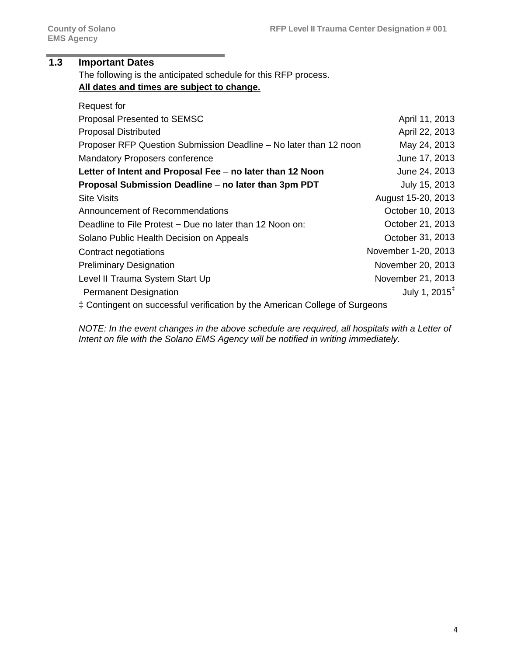# **1.3 Important Dates**

The following is the anticipated schedule for this RFP process. **All dates and times are subject to change.**

| Request for                                                                 |                            |
|-----------------------------------------------------------------------------|----------------------------|
| <b>Proposal Presented to SEMSC</b>                                          | April 11, 2013             |
| <b>Proposal Distributed</b>                                                 | April 22, 2013             |
| Proposer RFP Question Submission Deadline – No later than 12 noon           | May 24, 2013               |
| <b>Mandatory Proposers conference</b>                                       | June 17, 2013              |
| Letter of Intent and Proposal Fee – no later than 12 Noon                   | June 24, 2013              |
| Proposal Submission Deadline – no later than 3pm PDT                        | July 15, 2013              |
| <b>Site Visits</b>                                                          | August 15-20, 2013         |
| Announcement of Recommendations                                             | October 10, 2013           |
| Deadline to File Protest - Due no later than 12 Noon on:                    | October 21, 2013           |
| Solano Public Health Decision on Appeals                                    | October 31, 2013           |
| Contract negotiations                                                       | November 1-20, 2013        |
| <b>Preliminary Designation</b>                                              | November 20, 2013          |
| Level II Trauma System Start Up                                             | November 21, 2013          |
| <b>Permanent Designation</b>                                                | July 1, 2015 $^{\ddagger}$ |
| ‡ Contingent on successful verification by the American College of Surgeons |                            |

*NOTE: In the event changes in the above schedule are required, all hospitals with a Letter of Intent on file with the Solano EMS Agency will be notified in writing immediately.*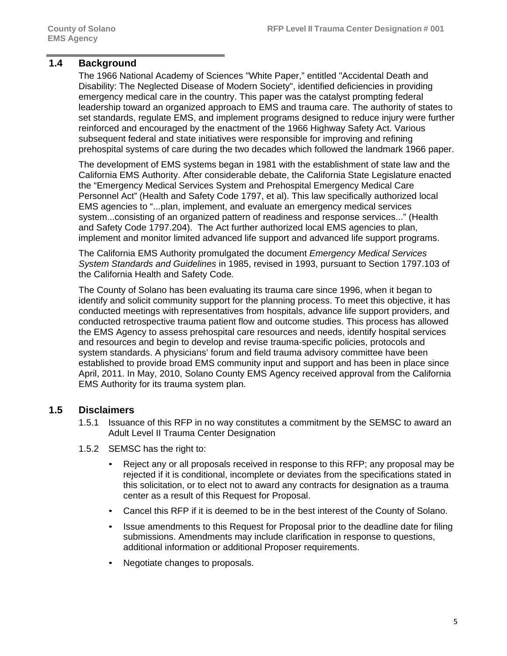# **1.4 Background**

The 1966 National Academy of Sciences "White Paper," entitled "Accidental Death and Disability: The Neglected Disease of Modern Society", identified deficiencies in providing emergency medical care in the country. This paper was the catalyst prompting federal leadership toward an organized approach to EMS and trauma care. The authority of states to set standards, regulate EMS, and implement programs designed to reduce injury were further reinforced and encouraged by the enactment of the 1966 Highway Safety Act. Various subsequent federal and state initiatives were responsible for improving and refining prehospital systems of care during the two decades which followed the landmark 1966 paper.

The development of EMS systems began in 1981 with the establishment of state law and the California EMS Authority. After considerable debate, the California State Legislature enacted the "Emergency Medical Services System and Prehospital Emergency Medical Care Personnel Act" (Health and Safety Code 1797, et al). This law specifically authorized local EMS agencies to "...plan, implement, and evaluate an emergency medical services system...consisting of an organized pattern of readiness and response services..." (Health and Safety Code 1797.204). The Act further authorized local EMS agencies to plan, implement and monitor limited advanced life support and advanced life support programs.

The California EMS Authority promulgated the document *Emergency Medical Services System Standards and Guidelines* in 1985, revised in 1993, pursuant to Section 1797.103 of the California Health and Safety Code*.*

The County of Solano has been evaluating its trauma care since 1996, when it began to identify and solicit community support for the planning process. To meet this objective, it has conducted meetings with representatives from hospitals, advance life support providers, and conducted retrospective trauma patient flow and outcome studies. This process has allowed the EMS Agency to assess prehospital care resources and needs, identify hospital services and resources and begin to develop and revise trauma-specific policies, protocols and system standards. A physicians' forum and field trauma advisory committee have been established to provide broad EMS community input and support and has been in place since April, 2011. In May, 2010, Solano County EMS Agency received approval from the California EMS Authority for its trauma system plan.

# **1.5 Disclaimers**

- 1.5.1 Issuance of this RFP in no way constitutes a commitment by the SEMSC to award an Adult Level II Trauma Center Designation
- 1.5.2 SEMSC has the right to:
	- Reject any or all proposals received in response to this RFP; any proposal may be rejected if it is conditional, incomplete or deviates from the specifications stated in this solicitation, or to elect not to award any contracts for designation as a trauma center as a result of this Request for Proposal.
	- Cancel this RFP if it is deemed to be in the best interest of the County of Solano.
	- Issue amendments to this Request for Proposal prior to the deadline date for filing submissions. Amendments may include clarification in response to questions, additional information or additional Proposer requirements.
	- Negotiate changes to proposals.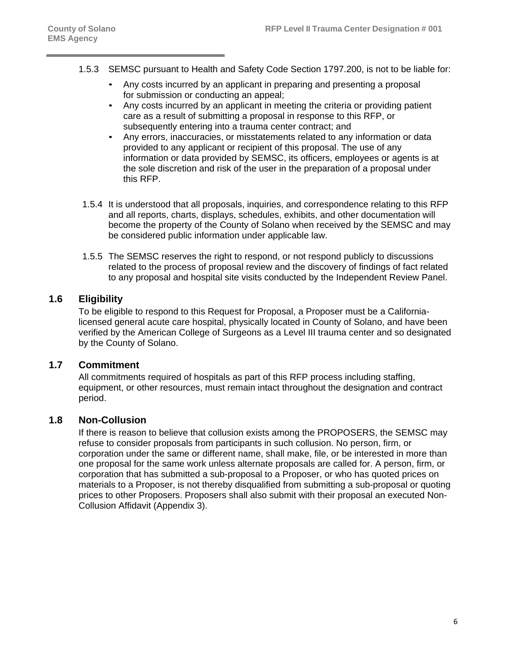- 1.5.3 SEMSC pursuant to Health and Safety Code Section 1797.200, is not to be liable for:
	- Any costs incurred by an applicant in preparing and presenting a proposal for submission or conducting an appeal;
	- Any costs incurred by an applicant in meeting the criteria or providing patient care as a result of submitting a proposal in response to this RFP, or subsequently entering into a trauma center contract; and
	- Any errors, inaccuracies, or misstatements related to any information or data provided to any applicant or recipient of this proposal. The use of any information or data provided by SEMSC, its officers, employees or agents is at the sole discretion and risk of the user in the preparation of a proposal under this RFP.
- 1.5.4 It is understood that all proposals, inquiries, and correspondence relating to this RFP and all reports, charts, displays, schedules, exhibits, and other documentation will become the property of the County of Solano when received by the SEMSC and may be considered public information under applicable law.
- 1.5.5 The SEMSC reserves the right to respond, or not respond publicly to discussions related to the process of proposal review and the discovery of findings of fact related to any proposal and hospital site visits conducted by the Independent Review Panel.

# **1.6 Eligibility**

To be eligible to respond to this Request for Proposal, a Proposer must be a Californialicensed general acute care hospital, physically located in County of Solano, and have been verified by the American College of Surgeons as a Level III trauma center and so designated by the County of Solano.

### **1.7 Commitment**

All commitments required of hospitals as part of this RFP process including staffing, equipment, or other resources, must remain intact throughout the designation and contract period.

### **1.8 Non-Collusion**

If there is reason to believe that collusion exists among the PROPOSERS, the SEMSC may refuse to consider proposals from participants in such collusion. No person, firm, or corporation under the same or different name, shall make, file, or be interested in more than one proposal for the same work unless alternate proposals are called for. A person, firm, or corporation that has submitted a sub-proposal to a Proposer, or who has quoted prices on materials to a Proposer, is not thereby disqualified from submitting a sub-proposal or quoting prices to other Proposers. Proposers shall also submit with their proposal an executed Non-Collusion Affidavit (Appendix 3).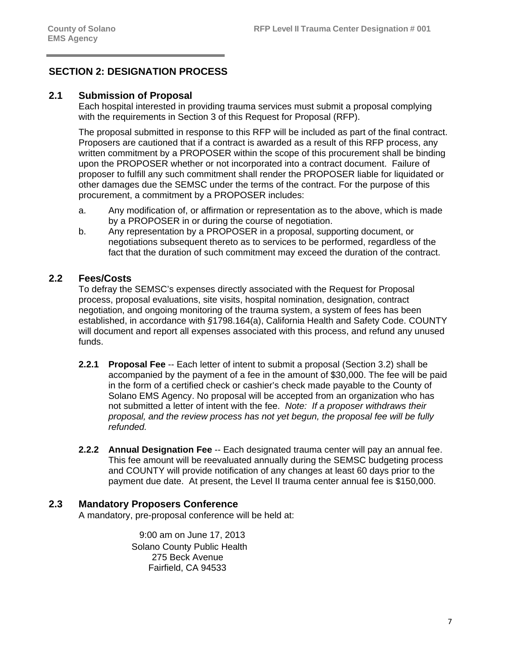# **SECTION 2: DESIGNATION PROCESS**

#### **2.1 Submission of Proposal**

Each hospital interested in providing trauma services must submit a proposal complying with the requirements in Section 3 of this Request for Proposal (RFP).

The proposal submitted in response to this RFP will be included as part of the final contract. Proposers are cautioned that if a contract is awarded as a result of this RFP process, any written commitment by a PROPOSER within the scope of this procurement shall be binding upon the PROPOSER whether or not incorporated into a contract document. Failure of proposer to fulfill any such commitment shall render the PROPOSER liable for liquidated or other damages due the SEMSC under the terms of the contract. For the purpose of this procurement, a commitment by a PROPOSER includes:

- a. Any modification of, or affirmation or representation as to the above, which is made by a PROPOSER in or during the course of negotiation.
- b. Any representation by a PROPOSER in a proposal, supporting document, or negotiations subsequent thereto as to services to be performed, regardless of the fact that the duration of such commitment may exceed the duration of the contract.

#### **2.2 Fees/Costs**

To defray the SEMSC's expenses directly associated with the Request for Proposal process, proposal evaluations, site visits, hospital nomination, designation, contract negotiation, and ongoing monitoring of the trauma system, a system of fees has been established, in accordance with *§*1798.164(a), California Health and Safety Code. COUNTY will document and report all expenses associated with this process, and refund any unused funds.

- **2.2.1 Proposal Fee** -- Each letter of intent to submit a proposal (Section 3.2) shall be accompanied by the payment of a fee in the amount of \$30,000. The fee will be paid in the form of a certified check or cashier's check made payable to the County of Solano EMS Agency. No proposal will be accepted from an organization who has not submitted a letter of intent with the fee. *Note: If a proposer withdraws their proposal, and the review process has not yet begun, the proposal fee will be fully refunded.*
- **2.2.2 Annual Designation Fee** -- Each designated trauma center will pay an annual fee. This fee amount will be reevaluated annually during the SEMSC budgeting process and COUNTY will provide notification of any changes at least 60 days prior to the payment due date. At present, the Level II trauma center annual fee is \$150,000.

#### **2.3 Mandatory Proposers Conference**

A mandatory, pre-proposal conference will be held at:

9:00 am on June 17, 2013 Solano County Public Health 275 Beck Avenue Fairfield, CA 94533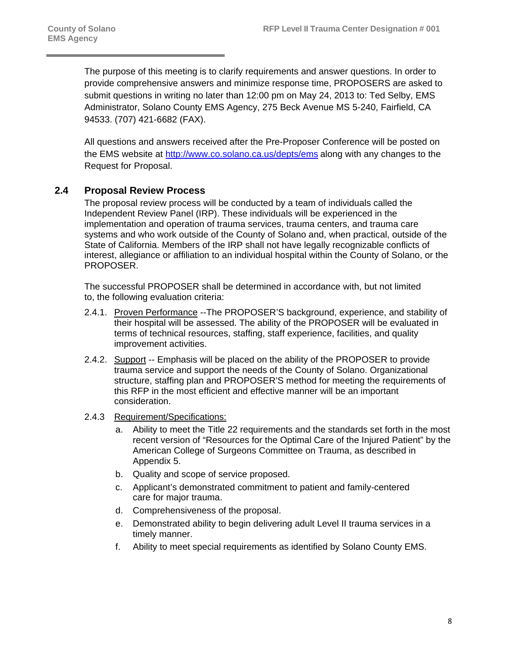The purpose of this meeting is to clarify requirements and answer questions. In order to provide comprehensive answers and minimize response time, PROPOSERS are asked to submit questions in writing no later than 12:00 pm on May 24, 2013 to: Ted Selby, EMS Administrator, Solano County EMS Agency, 275 Beck Avenue MS 5-240, Fairfield, CA 94533. (707) 421-6682 (FAX).

All questions and answers received after the Pre-Proposer Conference will be posted on the EMS website at http://www.co.solano.ca.us/depts/ems along with any changes to the Request for Proposal.

# **2.4 Proposal Review Process**

The proposal review process will be conducted by a team of individuals called the Independent Review Panel (IRP). These individuals will be experienced in the implementation and operation of trauma services, trauma centers, and trauma care systems and who work outside of the County of Solano and, when practical, outside of the State of California. Members of the IRP shall not have legally recognizable conflicts of interest, allegiance or affiliation to an individual hospital within the County of Solano, or the PROPOSER.

The successful PROPOSER shall be determined in accordance with, but not limited to, the following evaluation criteria:

- 2.4.1. Proven Performance --The PROPOSER'S background, experience, and stability of their hospital will be assessed. The ability of the PROPOSER will be evaluated in terms of technical resources, staffing, staff experience, facilities, and quality improvement activities.
- 2.4.2. Support -- Emphasis will be placed on the ability of the PROPOSER to provide trauma service and support the needs of the County of Solano. Organizational structure, staffing plan and PROPOSER'S method for meeting the requirements of this RFP in the most efficient and effective manner will be an important consideration.
- 2.4.3 Requirement/Specifications:
	- a. Ability to meet the Title 22 requirements and the standards set forth in the most recent version of "Resources for the Optimal Care of the Injured Patient" by the American College of Surgeons Committee on Trauma, as described in Appendix 5.
	- b. Quality and scope of service proposed.
	- c. Applicant's demonstrated commitment to patient and family-centered care for major trauma.
	- d. Comprehensiveness of the proposal.
	- e. Demonstrated ability to begin delivering adult Level II trauma services in a timely manner.
	- f. Ability to meet special requirements as identified by Solano County EMS.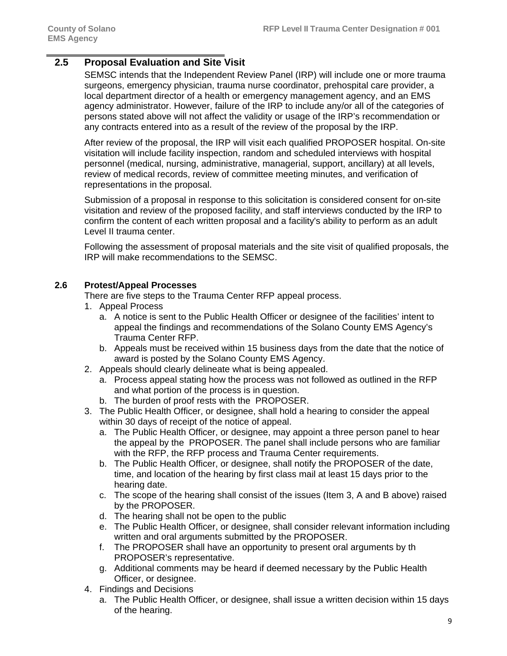# **2.5 Proposal Evaluation and Site Visit**

SEMSC intends that the Independent Review Panel (IRP) will include one or more trauma surgeons, emergency physician, trauma nurse coordinator, prehospital care provider, a local department director of a health or emergency management agency, and an EMS agency administrator. However, failure of the IRP to include any/or all of the categories of persons stated above will not affect the validity or usage of the IRP's recommendation or any contracts entered into as a result of the review of the proposal by the IRP.

After review of the proposal, the IRP will visit each qualified PROPOSER hospital. On-site visitation will include facility inspection, random and scheduled interviews with hospital personnel (medical, nursing, administrative, managerial, support, ancillary) at all levels, review of medical records, review of committee meeting minutes, and verification of representations in the proposal.

Submission of a proposal in response to this solicitation is considered consent for on-site visitation and review of the proposed facility, and staff interviews conducted by the IRP to confirm the content of each written proposal and a facility's ability to perform as an adult Level II trauma center.

Following the assessment of proposal materials and the site visit of qualified proposals, the IRP will make recommendations to the SEMSC.

### **2.6 Protest/Appeal Processes**

There are five steps to the Trauma Center RFP appeal process.

- 1. Appeal Process
	- a. A notice is sent to the Public Health Officer or designee of the facilities' intent to appeal the findings and recommendations of the Solano County EMS Agency's Trauma Center RFP.
	- b. Appeals must be received within 15 business days from the date that the notice of award is posted by the Solano County EMS Agency.
- 2. Appeals should clearly delineate what is being appealed.
	- a. Process appeal stating how the process was not followed as outlined in the RFP and what portion of the process is in question.
	- b. The burden of proof rests with the PROPOSER.
- 3. The Public Health Officer, or designee, shall hold a hearing to consider the appeal within 30 days of receipt of the notice of appeal.
	- a. The Public Health Officer, or designee, may appoint a three person panel to hear the appeal by the PROPOSER. The panel shall include persons who are familiar with the RFP, the RFP process and Trauma Center requirements.
	- b. The Public Health Officer, or designee, shall notify the PROPOSER of the date, time, and location of the hearing by first class mail at least 15 days prior to the hearing date.
	- c. The scope of the hearing shall consist of the issues (Item 3, A and B above) raised by the PROPOSER.
	- d. The hearing shall not be open to the public
	- e. The Public Health Officer, or designee, shall consider relevant information including written and oral arguments submitted by the PROPOSER.
	- f. The PROPOSER shall have an opportunity to present oral arguments by th PROPOSER's representative.
	- g. Additional comments may be heard if deemed necessary by the Public Health Officer, or designee.
- 4. Findings and Decisions
	- a. The Public Health Officer, or designee, shall issue a written decision within 15 days of the hearing.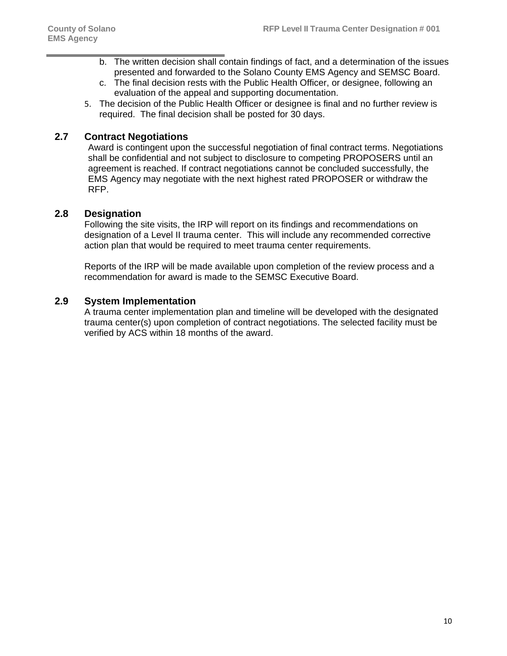- b. The written decision shall contain findings of fact, and a determination of the issues presented and forwarded to the Solano County EMS Agency and SEMSC Board.
- c. The final decision rests with the Public Health Officer, or designee, following an evaluation of the appeal and supporting documentation.
- 5. The decision of the Public Health Officer or designee is final and no further review is required. The final decision shall be posted for 30 days.

### **2.7 Contract Negotiations**

Award is contingent upon the successful negotiation of final contract terms. Negotiations shall be confidential and not subject to disclosure to competing PROPOSERS until an agreement is reached. If contract negotiations cannot be concluded successfully, the EMS Agency may negotiate with the next highest rated PROPOSER or withdraw the RFP.

# **2.8 Designation**

Following the site visits, the IRP will report on its findings and recommendations on designation of a Level II trauma center. This will include any recommended corrective action plan that would be required to meet trauma center requirements.

Reports of the IRP will be made available upon completion of the review process and a recommendation for award is made to the SEMSC Executive Board.

# **2.9 System Implementation**

A trauma center implementation plan and timeline will be developed with the designated trauma center(s) upon completion of contract negotiations. The selected facility must be verified by ACS within 18 months of the award.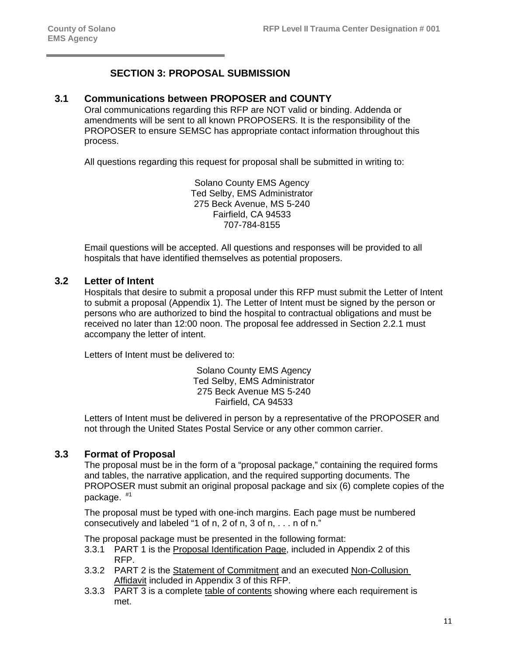# **SECTION 3: PROPOSAL SUBMISSION**

#### **3.1 Communications between PROPOSER and COUNTY**

Oral communications regarding this RFP are NOT valid or binding. Addenda or amendments will be sent to all known PROPOSERS. It is the responsibility of the PROPOSER to ensure SEMSC has appropriate contact information throughout this process.

All questions regarding this request for proposal shall be submitted in writing to:

Solano County EMS Agency Ted Selby, EMS Administrator 275 Beck Avenue, MS 5-240 Fairfield, CA 94533 707-784-8155

Email questions will be accepted. All questions and responses will be provided to all hospitals that have identified themselves as potential proposers.

#### **3.2 Letter of Intent**

Hospitals that desire to submit a proposal under this RFP must submit the Letter of Intent to submit a proposal (Appendix 1). The Letter of Intent must be signed by the person or persons who are authorized to bind the hospital to contractual obligations and must be received no later than 12:00 noon. The proposal fee addressed in Section 2.2.1 must accompany the letter of intent.

Letters of Intent must be delivered to:

Solano County EMS Agency Ted Selby, EMS Administrator 275 Beck Avenue MS 5-240 Fairfield, CA 94533

Letters of Intent must be delivered in person by a representative of the PROPOSER and not through the United States Postal Service or any other common carrier.

### **3.3 Format of Proposal**

The proposal must be in the form of a "proposal package," containing the required forms and tables, the narrative application, and the required supporting documents. The PROPOSER must submit an original proposal package and six (6) complete copies of the package. #1

The proposal must be typed with one-inch margins. Each page must be numbered consecutively and labeled "1 of n, 2 of n, 3 of n, . . . n of n."

The proposal package must be presented in the following format:

- 3.3.1 PART 1 is the Proposal Identification Page, included in Appendix 2 of this RFP.
- 3.3.2 PART 2 is the Statement of Commitment and an executed Non-Collusion Affidavit included in Appendix 3 of this RFP.
- 3.3.3 PART 3 is a complete table of contents showing where each requirement is met.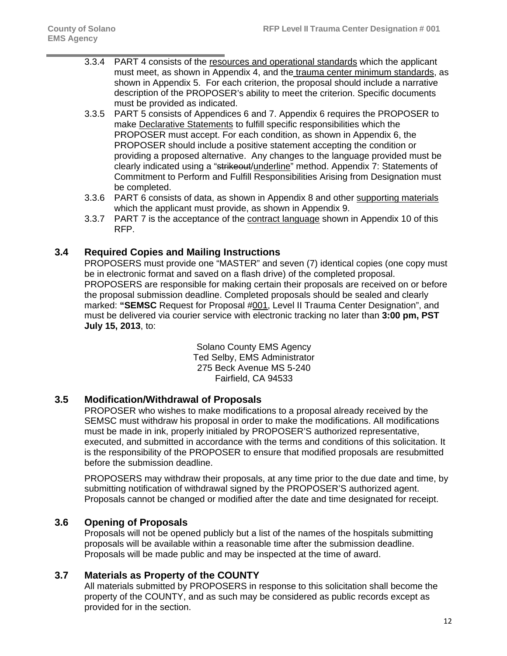- 3.3.4 PART 4 consists of the resources and operational standards which the applicant must meet, as shown in Appendix 4, and the trauma center minimum standards, as shown in Appendix 5. For each criterion, the proposal should include a narrative description of the PROPOSER's ability to meet the criterion. Specific documents must be provided as indicated.
- 3.3.5 PART 5 consists of Appendices 6 and 7. Appendix 6 requires the PROPOSER to make Declarative Statements to fulfill specific responsibilities which the PROPOSER must accept. For each condition, as shown in Appendix 6, the PROPOSER should include a positive statement accepting the condition or providing a proposed alternative. Any changes to the language provided must be clearly indicated using a "strikeout/underline" method. Appendix 7: Statements of Commitment to Perform and Fulfill Responsibilities Arising from Designation must be completed.
- 3.3.6 PART 6 consists of data, as shown in Appendix 8 and other supporting materials which the applicant must provide, as shown in Appendix 9.
- 3.3.7 PART 7 is the acceptance of the contract language shown in Appendix 10 of this RFP.

# **3.4 Required Copies and Mailing Instructions**

PROPOSERS must provide one "MASTER" and seven (7) identical copies (one copy must be in electronic format and saved on a flash drive) of the completed proposal. PROPOSERS are responsible for making certain their proposals are received on or before the proposal submission deadline. Completed proposals should be sealed and clearly marked: **"SEMSC** Request for Proposal #001, Level II Trauma Center Designation", and must be delivered via courier service with electronic tracking no later than **3:00 pm, PST July 15, 2013**, to:

> Solano County EMS Agency Ted Selby, EMS Administrator 275 Beck Avenue MS 5-240 Fairfield, CA 94533

# **3.5 Modification/Withdrawal of Proposals**

PROPOSER who wishes to make modifications to a proposal already received by the SEMSC must withdraw his proposal in order to make the modifications. All modifications must be made in ink, properly initialed by PROPOSER'S authorized representative, executed, and submitted in accordance with the terms and conditions of this solicitation. It is the responsibility of the PROPOSER to ensure that modified proposals are resubmitted before the submission deadline.

PROPOSERS may withdraw their proposals, at any time prior to the due date and time, by submitting notification of withdrawal signed by the PROPOSER'S authorized agent. Proposals cannot be changed or modified after the date and time designated for receipt.

# **3.6 Opening of Proposals**

Proposals will not be opened publicly but a list of the names of the hospitals submitting proposals will be available within a reasonable time after the submission deadline. Proposals will be made public and may be inspected at the time of award.

### **3.7 Materials as Property of the COUNTY**

All materials submitted by PROPOSERS in response to this solicitation shall become the property of the COUNTY, and as such may be considered as public records except as provided for in the section.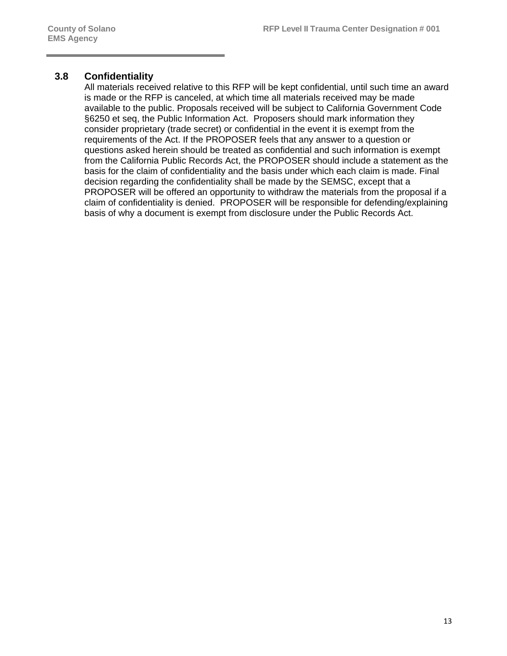# **3.8 Confidentiality**

All materials received relative to this RFP will be kept confidential, until such time an award is made or the RFP is canceled, at which time all materials received may be made available to the public. Proposals received will be subject to California Government Code §6250 et seq, the Public Information Act. Proposers should mark information they consider proprietary (trade secret) or confidential in the event it is exempt from the requirements of the Act. If the PROPOSER feels that any answer to a question or questions asked herein should be treated as confidential and such information is exempt from the California Public Records Act, the PROPOSER should include a statement as the basis for the claim of confidentiality and the basis under which each claim is made. Final decision regarding the confidentiality shall be made by the SEMSC, except that a PROPOSER will be offered an opportunity to withdraw the materials from the proposal if a claim of confidentiality is denied. PROPOSER will be responsible for defending/explaining basis of why a document is exempt from disclosure under the Public Records Act.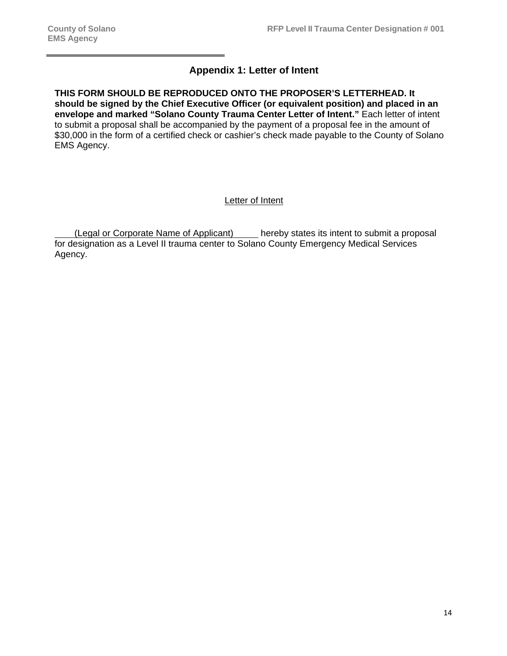# **Appendix 1: Letter of Intent**

**THIS FORM SHOULD BE REPRODUCED ONTO THE PROPOSER'S LETTERHEAD. It should be signed by the Chief Executive Officer (or equivalent position) and placed in an envelope and marked "Solano County Trauma Center Letter of Intent."** Each letter of intent to submit a proposal shall be accompanied by the payment of a proposal fee in the amount of \$30,000 in the form of a certified check or cashier's check made payable to the County of Solano EMS Agency.

#### Letter of Intent

 (Legal or Corporate Name of Applicant) hereby states its intent to submit a proposal for designation as a Level II trauma center to Solano County Emergency Medical Services Agency.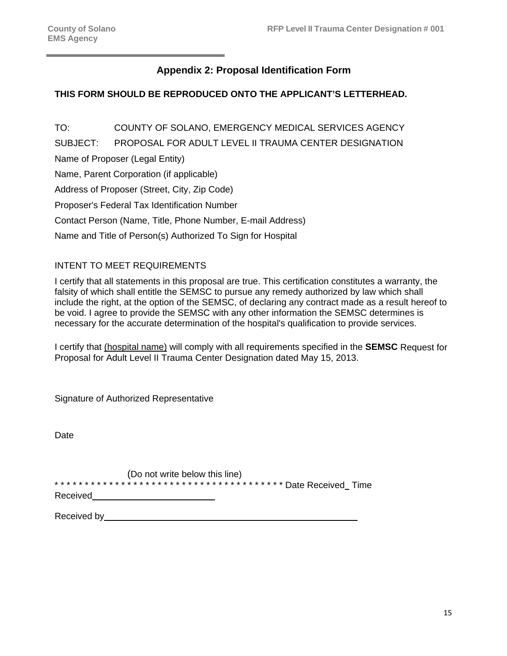# **Appendix 2: Proposal Identification Form**

# **THIS FORM SHOULD BE REPRODUCED ONTO THE APPLICANT'S LETTERHEAD.**

TO: COUNTY OF SOLANO, EMERGENCY MEDICAL SERVICES AGENCY SUBJECT: PROPOSAL FOR ADULT LEVEL II TRAUMA CENTER DESIGNATION Name of Proposer (Legal Entity) Name, Parent Corporation (if applicable) Address of Proposer (Street, City, Zip Code) Proposer's Federal Tax Identification Number Contact Person (Name, Title, Phone Number, E-mail Address) Name and Title of Person(s) Authorized To Sign for Hospital

### INTENT TO MEET REQUIREMENTS

I certify that all statements in this proposal are true. This certification constitutes a warranty, the falsity of which shall entitle the SEMSC to pursue any remedy authorized by law which shall include the right, at the option of the SEMSC, of declaring any contract made as a result hereof to be void. I agree to provide the SEMSC with any other information the SEMSC determines is necessary for the accurate determination of the hospital's qualification to provide services.

I certify that (hospital name) will comply with all requirements specified in the **SEMSC** Request for Proposal for Adult Level II Trauma Center Designation dated May 15, 2013.

Signature of Authorized Representative

Date

(Do not write below this line) \*\*\*\*\*\*\*\*\*\*\*\*\*\*\*\*\*\*\*\*\*\*\*\*\*\* Date Received\_Time Received

Received by **Exercise 2018 Received by Exercise 2018**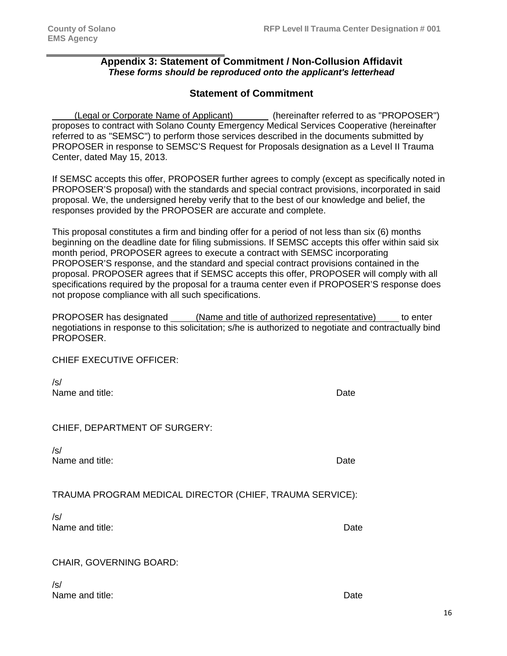#### **Appendix 3: Statement of Commitment / Non-Collusion Affidavit** *These forms should be reproduced onto the applicant's letterhead*

# **Statement of Commitment**

(Legal or Corporate Name of Applicant) (hereinafter referred to as "PROPOSER") proposes to contract with Solano County Emergency Medical Services Cooperative (hereinafter referred to as "SEMSC") to perform those services described in the documents submitted by PROPOSER in response to SEMSC'S Request for Proposals designation as a Level II Trauma Center, dated May 15, 2013.

If SEMSC accepts this offer, PROPOSER further agrees to comply (except as specifically noted in PROPOSER'S proposal) with the standards and special contract provisions, incorporated in said proposal. We, the undersigned hereby verify that to the best of our knowledge and belief, the responses provided by the PROPOSER are accurate and complete.

This proposal constitutes a firm and binding offer for a period of not less than six (6) months beginning on the deadline date for filing submissions. If SEMSC accepts this offer within said six month period, PROPOSER agrees to execute a contract with SEMSC incorporating PROPOSER'S response, and the standard and special contract provisions contained in the proposal. PROPOSER agrees that if SEMSC accepts this offer, PROPOSER will comply with all specifications required by the proposal for a trauma center even if PROPOSER'S response does not propose compliance with all such specifications.

PROPOSER has designated <u>(Name and title of authorized representative)</u> to enter negotiations in response to this solicitation; s/he is authorized to negotiate and contractually bind PROPOSER.

CHIEF EXECUTIVE OFFICER:

/s/ Name and title: Date and title: Date and title: Date and title: Date and title: Date and title: Date and title

/s/ Name and title:  $\blacksquare$ 

TRAUMA PROGRAM MEDICAL DIRECTOR (CHIEF, TRAUMA SERVICE):

/s/ Name and title:  $\Box$  Date of  $\Box$  Date of  $\Box$  Date of  $\Box$  Date of  $\Box$ 

CHAIR, GOVERNING BOARD:

/s/ Name and title: Date and title: Date and the set of the set of the set of the set of the set of the set of the set of the set of the set of the set of the set of the set of the set of the set of the set of the set of the s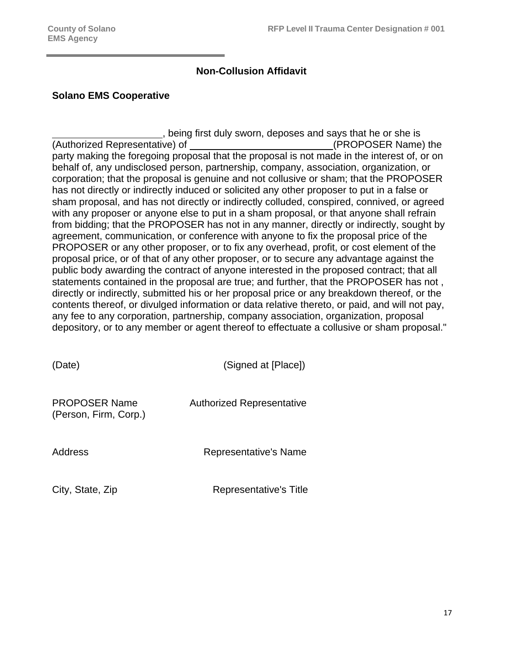# **Non-Collusion Affidavit**

# **Solano EMS Cooperative**

 , being first duly sworn, deposes and says that he or she is (Authorized Representative) of (PROPOSER Name) the party making the foregoing proposal that the proposal is not made in the interest of, or on behalf of, any undisclosed person, partnership, company, association, organization, or corporation; that the proposal is genuine and not collusive or sham; that the PROPOSER has not directly or indirectly induced or solicited any other proposer to put in a false or sham proposal, and has not directly or indirectly colluded, conspired, connived, or agreed with any proposer or anyone else to put in a sham proposal, or that anyone shall refrain from bidding; that the PROPOSER has not in any manner, directly or indirectly, sought by agreement, communication, or conference with anyone to fix the proposal price of the PROPOSER or any other proposer, or to fix any overhead, profit, or cost element of the proposal price, or of that of any other proposer, or to secure any advantage against the public body awarding the contract of anyone interested in the proposed contract; that all statements contained in the proposal are true; and further, that the PROPOSER has not , directly or indirectly, submitted his or her proposal price or any breakdown thereof, or the contents thereof, or divulged information or data relative thereto, or paid, and will not pay, any fee to any corporation, partnership, company association, organization, proposal depository, or to any member or agent thereof to effectuate a collusive or sham proposal."

| (Date)                                        | (Signed at [Place])              |
|-----------------------------------------------|----------------------------------|
| <b>PROPOSER Name</b><br>(Person, Firm, Corp.) | <b>Authorized Representative</b> |
| Address                                       | Representative's Name            |

City, State, Zip **Representative's Title**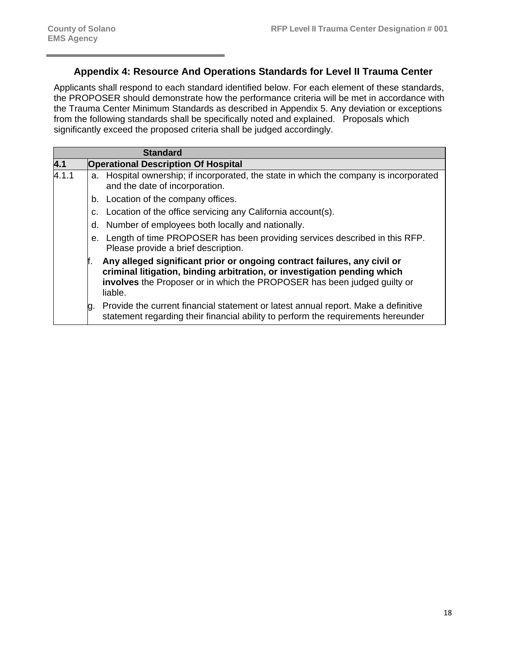# **Appendix 4: Resource And Operations Standards for Level II Trauma Center**

Applicants shall respond to each standard identified below. For each element of these standards, the PROPOSER should demonstrate how the performance criteria will be met in accordance with the Trauma Center Minimum Standards as described in Appendix 5. Any deviation or exceptions from the following standards shall be specifically noted and explained. Proposals which significantly exceed the proposed criteria shall be judged accordingly.

|       |    | <b>Standard</b>                                                                                                                                                                                                                             |
|-------|----|---------------------------------------------------------------------------------------------------------------------------------------------------------------------------------------------------------------------------------------------|
| 4.1   |    | <b>Operational Description Of Hospital</b>                                                                                                                                                                                                  |
| 4.1.1 | a. | Hospital ownership; if incorporated, the state in which the company is incorporated<br>and the date of incorporation.                                                                                                                       |
|       |    | b. Location of the company offices.                                                                                                                                                                                                         |
|       | C. | Location of the office servicing any California account(s).                                                                                                                                                                                 |
|       | d. | Number of employees both locally and nationally.                                                                                                                                                                                            |
|       | е. | Length of time PROPOSER has been providing services described in this RFP.<br>Please provide a brief description.                                                                                                                           |
|       |    | Any alleged significant prior or ongoing contract failures, any civil or<br>criminal litigation, binding arbitration, or investigation pending which<br>involves the Proposer or in which the PROPOSER has been judged guilty or<br>liable. |
|       | g. | Provide the current financial statement or latest annual report. Make a definitive<br>statement regarding their financial ability to perform the requirements hereunder                                                                     |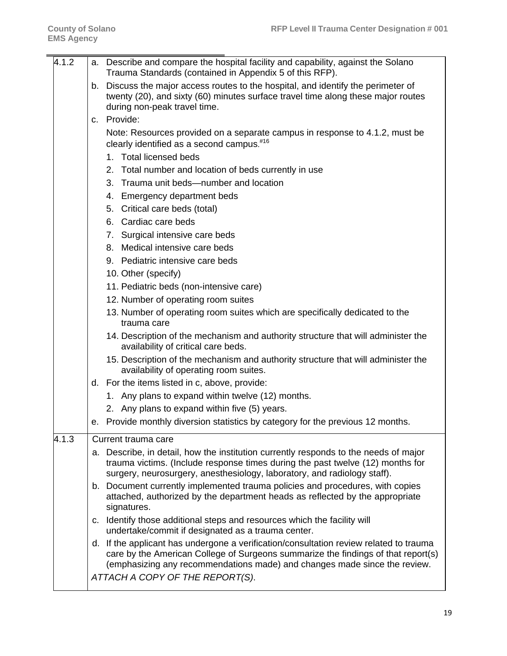| 4.1.2 | a. Describe and compare the hospital facility and capability, against the Solano<br>Trauma Standards (contained in Appendix 5 of this RFP).                                                                                                              |
|-------|----------------------------------------------------------------------------------------------------------------------------------------------------------------------------------------------------------------------------------------------------------|
|       | b. Discuss the major access routes to the hospital, and identify the perimeter of<br>twenty (20), and sixty (60) minutes surface travel time along these major routes<br>during non-peak travel time.                                                    |
|       | c. Provide:                                                                                                                                                                                                                                              |
|       | Note: Resources provided on a separate campus in response to 4.1.2, must be<br>clearly identified as a second campus. <sup>#16</sup>                                                                                                                     |
|       | 1. Total licensed beds                                                                                                                                                                                                                                   |
|       | 2. Total number and location of beds currently in use                                                                                                                                                                                                    |
|       | 3. Trauma unit beds—number and location                                                                                                                                                                                                                  |
|       | 4. Emergency department beds                                                                                                                                                                                                                             |
|       | 5. Critical care beds (total)                                                                                                                                                                                                                            |
|       | 6. Cardiac care beds                                                                                                                                                                                                                                     |
|       | 7. Surgical intensive care beds                                                                                                                                                                                                                          |
|       | 8. Medical intensive care beds                                                                                                                                                                                                                           |
|       | 9. Pediatric intensive care beds                                                                                                                                                                                                                         |
|       | 10. Other (specify)                                                                                                                                                                                                                                      |
|       | 11. Pediatric beds (non-intensive care)                                                                                                                                                                                                                  |
|       | 12. Number of operating room suites                                                                                                                                                                                                                      |
|       | 13. Number of operating room suites which are specifically dedicated to the<br>trauma care                                                                                                                                                               |
|       | 14. Description of the mechanism and authority structure that will administer the<br>availability of critical care beds.                                                                                                                                 |
|       | 15. Description of the mechanism and authority structure that will administer the<br>availability of operating room suites.                                                                                                                              |
|       | d. For the items listed in c, above, provide:                                                                                                                                                                                                            |
|       | 1. Any plans to expand within twelve (12) months.                                                                                                                                                                                                        |
|       | 2. Any plans to expand within five (5) years.                                                                                                                                                                                                            |
|       | e. Provide monthly diversion statistics by category for the previous 12 months.                                                                                                                                                                          |
| 4.1.3 | Current trauma care                                                                                                                                                                                                                                      |
|       | a. Describe, in detail, how the institution currently responds to the needs of major<br>trauma victims. (Include response times during the past twelve (12) months for<br>surgery, neurosurgery, anesthesiology, laboratory, and radiology staff).       |
|       | b. Document currently implemented trauma policies and procedures, with copies<br>attached, authorized by the department heads as reflected by the appropriate<br>signatures.                                                                             |
|       | c. Identify those additional steps and resources which the facility will<br>undertake/commit if designated as a trauma center.                                                                                                                           |
|       | d. If the applicant has undergone a verification/consultation review related to trauma<br>care by the American College of Surgeons summarize the findings of that report(s)<br>(emphasizing any recommendations made) and changes made since the review. |
|       | ATTACH A COPY OF THE REPORT(S).                                                                                                                                                                                                                          |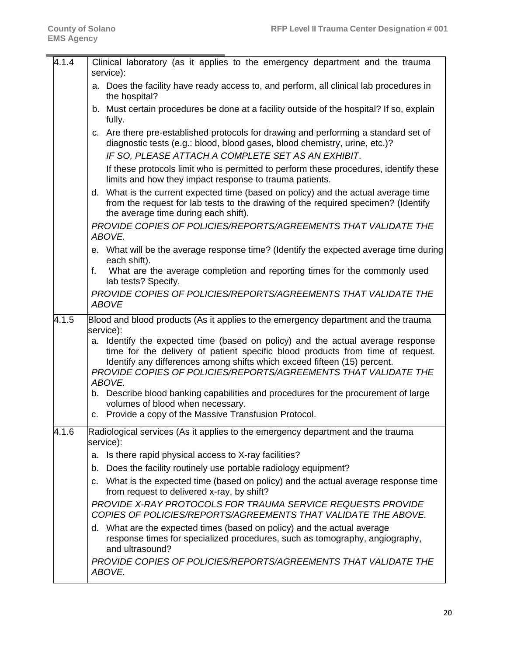| 4.1.4 | Clinical laboratory (as it applies to the emergency department and the trauma<br>service):                                                                                                                                                                                                                                 |
|-------|----------------------------------------------------------------------------------------------------------------------------------------------------------------------------------------------------------------------------------------------------------------------------------------------------------------------------|
|       | a. Does the facility have ready access to, and perform, all clinical lab procedures in<br>the hospital?                                                                                                                                                                                                                    |
|       | b. Must certain procedures be done at a facility outside of the hospital? If so, explain<br>fully.                                                                                                                                                                                                                         |
|       | c. Are there pre-established protocols for drawing and performing a standard set of<br>diagnostic tests (e.g.: blood, blood gases, blood chemistry, urine, etc.)?<br>IF SO, PLEASE ATTACH A COMPLETE SET AS AN EXHIBIT.                                                                                                    |
|       | If these protocols limit who is permitted to perform these procedures, identify these<br>limits and how they impact response to trauma patients.                                                                                                                                                                           |
|       | d. What is the current expected time (based on policy) and the actual average time<br>from the request for lab tests to the drawing of the required specimen? (Identify<br>the average time during each shift).                                                                                                            |
|       | PROVIDE COPIES OF POLICIES/REPORTS/AGREEMENTS THAT VALIDATE THE<br>ABOVE.                                                                                                                                                                                                                                                  |
|       | e. What will be the average response time? (Identify the expected average time during<br>each shift).                                                                                                                                                                                                                      |
|       | f.<br>What are the average completion and reporting times for the commonly used<br>lab tests? Specify.                                                                                                                                                                                                                     |
|       | PROVIDE COPIES OF POLICIES/REPORTS/AGREEMENTS THAT VALIDATE THE<br><b>ABOVE</b>                                                                                                                                                                                                                                            |
| 4.1.5 | Blood and blood products (As it applies to the emergency department and the trauma<br>service):                                                                                                                                                                                                                            |
|       | a. Identify the expected time (based on policy) and the actual average response<br>time for the delivery of patient specific blood products from time of request.<br>Identify any differences among shifts which exceed fifteen (15) percent.<br>PROVIDE COPIES OF POLICIES/REPORTS/AGREEMENTS THAT VALIDATE THE<br>ABOVE. |
|       | b. Describe blood banking capabilities and procedures for the procurement of large<br>volumes of blood when necessary.                                                                                                                                                                                                     |
|       | c. Provide a copy of the Massive Transfusion Protocol.                                                                                                                                                                                                                                                                     |
| 4.1.6 | Radiological services (As it applies to the emergency department and the trauma<br>service):                                                                                                                                                                                                                               |
|       | Is there rapid physical access to X-ray facilities?<br>a.                                                                                                                                                                                                                                                                  |
|       | Does the facility routinely use portable radiology equipment?<br>b.                                                                                                                                                                                                                                                        |
|       | c. What is the expected time (based on policy) and the actual average response time<br>from request to delivered x-ray, by shift?                                                                                                                                                                                          |
|       | PROVIDE X-RAY PROTOCOLS FOR TRAUMA SERVICE REQUESTS PROVIDE<br>COPIES OF POLICIES/REPORTS/AGREEMENTS THAT VALIDATE THE ABOVE.                                                                                                                                                                                              |
|       | d. What are the expected times (based on policy) and the actual average<br>response times for specialized procedures, such as tomography, angiography,<br>and ultrasound?                                                                                                                                                  |
|       | PROVIDE COPIES OF POLICIES/REPORTS/AGREEMENTS THAT VALIDATE THE<br>ABOVE.                                                                                                                                                                                                                                                  |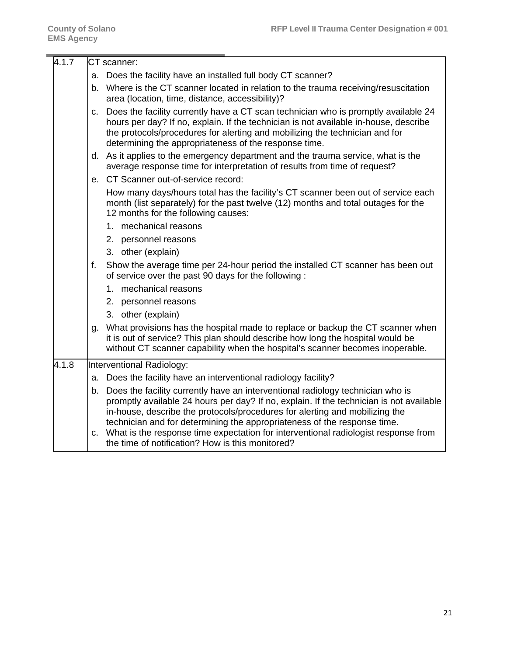| 4.1.7 |    | <b>CT</b> scanner:                                                                                                                                                                                                                                                                                                                                                                                                               |
|-------|----|----------------------------------------------------------------------------------------------------------------------------------------------------------------------------------------------------------------------------------------------------------------------------------------------------------------------------------------------------------------------------------------------------------------------------------|
|       |    | a. Does the facility have an installed full body CT scanner?                                                                                                                                                                                                                                                                                                                                                                     |
|       |    | b. Where is the CT scanner located in relation to the trauma receiving/resuscitation<br>area (location, time, distance, accessibility)?                                                                                                                                                                                                                                                                                          |
|       | c. | Does the facility currently have a CT scan technician who is promptly available 24<br>hours per day? If no, explain. If the technician is not available in-house, describe<br>the protocols/procedures for alerting and mobilizing the technician and for<br>determining the appropriateness of the response time.                                                                                                               |
|       |    | d. As it applies to the emergency department and the trauma service, what is the<br>average response time for interpretation of results from time of request?                                                                                                                                                                                                                                                                    |
|       |    | e. CT Scanner out-of-service record:                                                                                                                                                                                                                                                                                                                                                                                             |
|       |    | How many days/hours total has the facility's CT scanner been out of service each<br>month (list separately) for the past twelve (12) months and total outages for the<br>12 months for the following causes:                                                                                                                                                                                                                     |
|       |    | 1. mechanical reasons                                                                                                                                                                                                                                                                                                                                                                                                            |
|       |    | 2. personnel reasons                                                                                                                                                                                                                                                                                                                                                                                                             |
|       |    | 3. other (explain)                                                                                                                                                                                                                                                                                                                                                                                                               |
|       | f. | Show the average time per 24-hour period the installed CT scanner has been out<br>of service over the past 90 days for the following:                                                                                                                                                                                                                                                                                            |
|       |    | 1. mechanical reasons                                                                                                                                                                                                                                                                                                                                                                                                            |
|       |    | 2. personnel reasons                                                                                                                                                                                                                                                                                                                                                                                                             |
|       |    | 3. other (explain)                                                                                                                                                                                                                                                                                                                                                                                                               |
|       | a. | What provisions has the hospital made to replace or backup the CT scanner when<br>it is out of service? This plan should describe how long the hospital would be<br>without CT scanner capability when the hospital's scanner becomes inoperable.                                                                                                                                                                                |
| 4.1.8 |    | Interventional Radiology:                                                                                                                                                                                                                                                                                                                                                                                                        |
|       |    | a. Does the facility have an interventional radiology facility?                                                                                                                                                                                                                                                                                                                                                                  |
|       |    | b. Does the facility currently have an interventional radiology technician who is<br>promptly available 24 hours per day? If no, explain. If the technician is not available<br>in-house, describe the protocols/procedures for alerting and mobilizing the<br>technician and for determining the appropriateness of the response time.<br>c. What is the response time expectation for interventional radiologist response from |
|       |    | the time of notification? How is this monitored?                                                                                                                                                                                                                                                                                                                                                                                 |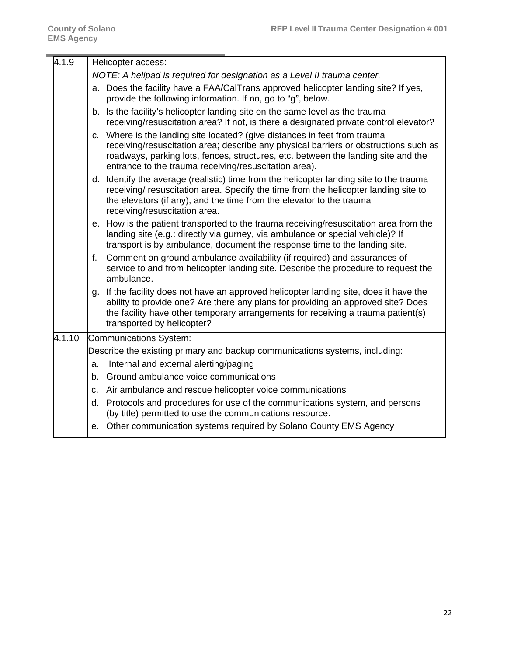| 4.1.9  | Helicopter access:                                                                                                                                                                                                                                                                                              |
|--------|-----------------------------------------------------------------------------------------------------------------------------------------------------------------------------------------------------------------------------------------------------------------------------------------------------------------|
|        | NOTE: A helipad is required for designation as a Level II trauma center.                                                                                                                                                                                                                                        |
|        | a. Does the facility have a FAA/CalTrans approved helicopter landing site? If yes,<br>provide the following information. If no, go to "g", below.                                                                                                                                                               |
|        | b. Is the facility's helicopter landing site on the same level as the trauma<br>receiving/resuscitation area? If not, is there a designated private control elevator?                                                                                                                                           |
|        | c. Where is the landing site located? (give distances in feet from trauma<br>receiving/resuscitation area; describe any physical barriers or obstructions such as<br>roadways, parking lots, fences, structures, etc. between the landing site and the<br>entrance to the trauma receiving/resuscitation area). |
|        | d. Identify the average (realistic) time from the helicopter landing site to the trauma<br>receiving/ resuscitation area. Specify the time from the helicopter landing site to<br>the elevators (if any), and the time from the elevator to the trauma<br>receiving/resuscitation area.                         |
|        | e. How is the patient transported to the trauma receiving/resuscitation area from the<br>landing site (e.g.: directly via gurney, via ambulance or special vehicle)? If<br>transport is by ambulance, document the response time to the landing site.                                                           |
|        | Comment on ground ambulance availability (if required) and assurances of<br>f.<br>service to and from helicopter landing site. Describe the procedure to request the<br>ambulance.                                                                                                                              |
|        | g. If the facility does not have an approved helicopter landing site, does it have the<br>ability to provide one? Are there any plans for providing an approved site? Does<br>the facility have other temporary arrangements for receiving a trauma patient(s)<br>transported by helicopter?                    |
| 4.1.10 | Communications System:                                                                                                                                                                                                                                                                                          |
|        | Describe the existing primary and backup communications systems, including:                                                                                                                                                                                                                                     |
|        | Internal and external alerting/paging<br>a.                                                                                                                                                                                                                                                                     |
|        | b. Ground ambulance voice communications                                                                                                                                                                                                                                                                        |
|        | c. Air ambulance and rescue helicopter voice communications                                                                                                                                                                                                                                                     |
|        | d. Protocols and procedures for use of the communications system, and persons<br>(by title) permitted to use the communications resource.                                                                                                                                                                       |
|        | e. Other communication systems required by Solano County EMS Agency                                                                                                                                                                                                                                             |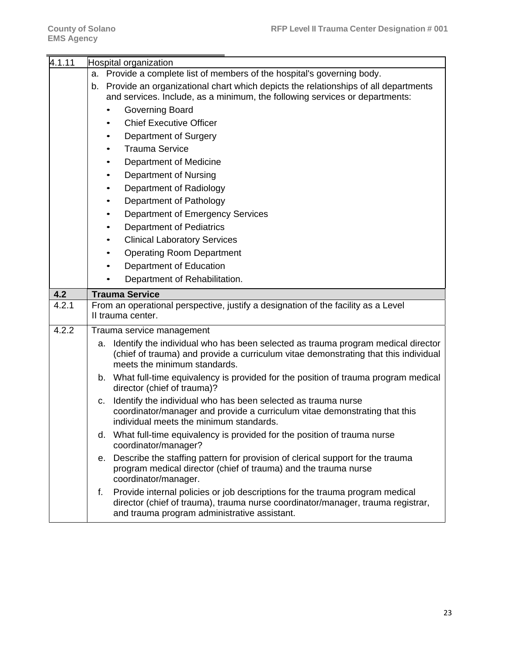| 4.1.11 |                                                                                                     |                                                                                                                                                                                                         |  |
|--------|-----------------------------------------------------------------------------------------------------|---------------------------------------------------------------------------------------------------------------------------------------------------------------------------------------------------------|--|
|        | Hospital organization<br>Provide a complete list of members of the hospital's governing body.<br>a. |                                                                                                                                                                                                         |  |
|        | b.                                                                                                  | Provide an organizational chart which depicts the relationships of all departments                                                                                                                      |  |
|        |                                                                                                     | and services. Include, as a minimum, the following services or departments:                                                                                                                             |  |
|        |                                                                                                     | Governing Board                                                                                                                                                                                         |  |
|        | $\bullet$                                                                                           | <b>Chief Executive Officer</b>                                                                                                                                                                          |  |
|        |                                                                                                     | Department of Surgery                                                                                                                                                                                   |  |
|        |                                                                                                     | <b>Trauma Service</b>                                                                                                                                                                                   |  |
|        | ٠                                                                                                   | Department of Medicine                                                                                                                                                                                  |  |
|        | ٠                                                                                                   | <b>Department of Nursing</b>                                                                                                                                                                            |  |
|        | ٠                                                                                                   | Department of Radiology                                                                                                                                                                                 |  |
|        | ٠                                                                                                   | Department of Pathology                                                                                                                                                                                 |  |
|        |                                                                                                     | Department of Emergency Services                                                                                                                                                                        |  |
|        | ٠                                                                                                   | <b>Department of Pediatrics</b>                                                                                                                                                                         |  |
|        |                                                                                                     | <b>Clinical Laboratory Services</b>                                                                                                                                                                     |  |
|        |                                                                                                     | <b>Operating Room Department</b>                                                                                                                                                                        |  |
|        |                                                                                                     | Department of Education                                                                                                                                                                                 |  |
|        |                                                                                                     | Department of Rehabilitation.                                                                                                                                                                           |  |
|        |                                                                                                     |                                                                                                                                                                                                         |  |
| 4.2    |                                                                                                     | <b>Trauma Service</b>                                                                                                                                                                                   |  |
| 4.2.1  |                                                                                                     | From an operational perspective, justify a designation of the facility as a Level                                                                                                                       |  |
|        |                                                                                                     | Il trauma center.                                                                                                                                                                                       |  |
| 4.2.2  |                                                                                                     | Trauma service management                                                                                                                                                                               |  |
|        | a.                                                                                                  | Identify the individual who has been selected as trauma program medical director<br>(chief of trauma) and provide a curriculum vitae demonstrating that this individual<br>meets the minimum standards. |  |
|        |                                                                                                     | b. What full-time equivalency is provided for the position of trauma program medical<br>director (chief of trauma)?                                                                                     |  |
|        | C.                                                                                                  | Identify the individual who has been selected as trauma nurse<br>coordinator/manager and provide a curriculum vitae demonstrating that this<br>individual meets the minimum standards.                  |  |
|        | d.                                                                                                  | What full-time equivalency is provided for the position of trauma nurse<br>coordinator/manager?                                                                                                         |  |
|        | е.                                                                                                  | Describe the staffing pattern for provision of clerical support for the trauma<br>program medical director (chief of trauma) and the trauma nurse<br>coordinator/manager.                               |  |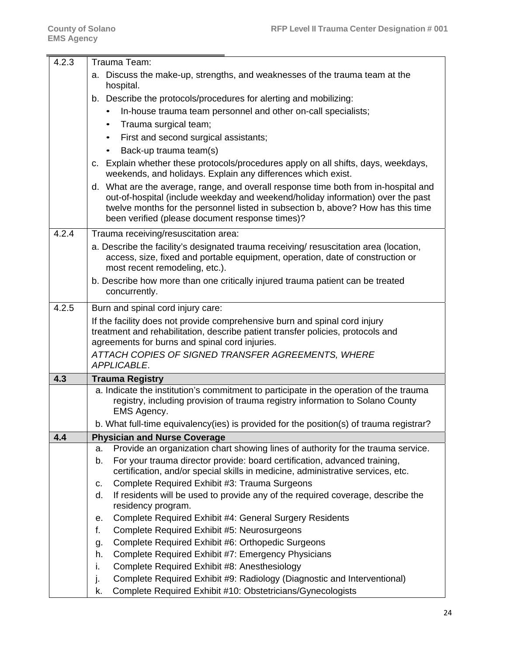| 4.2.3 | Trauma Team:                                                                                                                                                                                                                                                                                                  |  |  |
|-------|---------------------------------------------------------------------------------------------------------------------------------------------------------------------------------------------------------------------------------------------------------------------------------------------------------------|--|--|
|       | a. Discuss the make-up, strengths, and weaknesses of the trauma team at the<br>hospital.                                                                                                                                                                                                                      |  |  |
|       | b. Describe the protocols/procedures for alerting and mobilizing:                                                                                                                                                                                                                                             |  |  |
|       | In-house trauma team personnel and other on-call specialists;                                                                                                                                                                                                                                                 |  |  |
|       | Trauma surgical team;<br>$\bullet$                                                                                                                                                                                                                                                                            |  |  |
|       | First and second surgical assistants;<br>$\bullet$                                                                                                                                                                                                                                                            |  |  |
|       | Back-up trauma team(s)<br>$\bullet$                                                                                                                                                                                                                                                                           |  |  |
|       | c. Explain whether these protocols/procedures apply on all shifts, days, weekdays,<br>weekends, and holidays. Explain any differences which exist.                                                                                                                                                            |  |  |
|       | d. What are the average, range, and overall response time both from in-hospital and<br>out-of-hospital (include weekday and weekend/holiday information) over the past<br>twelve months for the personnel listed in subsection b, above? How has this time<br>been verified (please document response times)? |  |  |
| 4.2.4 | Trauma receiving/resuscitation area:                                                                                                                                                                                                                                                                          |  |  |
|       | a. Describe the facility's designated trauma receiving/ resuscitation area (location,<br>access, size, fixed and portable equipment, operation, date of construction or<br>most recent remodeling, etc.).                                                                                                     |  |  |
|       | b. Describe how more than one critically injured trauma patient can be treated<br>concurrently.                                                                                                                                                                                                               |  |  |
| 4.2.5 | Burn and spinal cord injury care:                                                                                                                                                                                                                                                                             |  |  |
|       | If the facility does not provide comprehensive burn and spinal cord injury<br>treatment and rehabilitation, describe patient transfer policies, protocols and<br>agreements for burns and spinal cord injuries.                                                                                               |  |  |
|       | ATTACH COPIES OF SIGNED TRANSFER AGREEMENTS, WHERE<br><b>APPLICABLE.</b>                                                                                                                                                                                                                                      |  |  |
| 4.3   | <b>Trauma Registry</b>                                                                                                                                                                                                                                                                                        |  |  |
|       | a. Indicate the institution's commitment to participate in the operation of the trauma<br>registry, including provision of trauma registry information to Solano County<br>EMS Agency.                                                                                                                        |  |  |
|       | b. What full-time equivalency(ies) is provided for the position(s) of trauma registrar?                                                                                                                                                                                                                       |  |  |
| 4.4   | <b>Physician and Nurse Coverage</b>                                                                                                                                                                                                                                                                           |  |  |
|       | Provide an organization chart showing lines of authority for the trauma service.<br>a.                                                                                                                                                                                                                        |  |  |
|       | For your trauma director provide: board certification, advanced training,<br>b.<br>certification, and/or special skills in medicine, administrative services, etc.                                                                                                                                            |  |  |
|       | Complete Required Exhibit #3: Trauma Surgeons<br>c.                                                                                                                                                                                                                                                           |  |  |
|       | If residents will be used to provide any of the required coverage, describe the<br>d.<br>residency program.                                                                                                                                                                                                   |  |  |
|       | Complete Required Exhibit #4: General Surgery Residents<br>е.                                                                                                                                                                                                                                                 |  |  |
|       | Complete Required Exhibit #5: Neurosurgeons<br>f.                                                                                                                                                                                                                                                             |  |  |
|       | Complete Required Exhibit #6: Orthopedic Surgeons<br>g.                                                                                                                                                                                                                                                       |  |  |
|       | Complete Required Exhibit #7: Emergency Physicians<br>h.                                                                                                                                                                                                                                                      |  |  |
|       | Complete Required Exhibit #8: Anesthesiology<br>i.                                                                                                                                                                                                                                                            |  |  |
|       | Complete Required Exhibit #9: Radiology (Diagnostic and Interventional)<br>j.                                                                                                                                                                                                                                 |  |  |
|       | Complete Required Exhibit #10: Obstetricians/Gynecologists<br>k.                                                                                                                                                                                                                                              |  |  |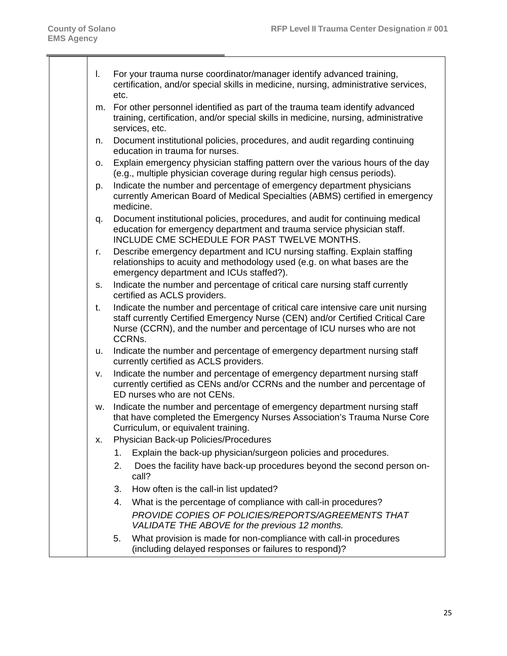| L. | For your trauma nurse coordinator/manager identify advanced training,<br>certification, and/or special skills in medicine, nursing, administrative services,<br>etc.                                                                                 |
|----|------------------------------------------------------------------------------------------------------------------------------------------------------------------------------------------------------------------------------------------------------|
| m. | For other personnel identified as part of the trauma team identify advanced<br>training, certification, and/or special skills in medicine, nursing, administrative<br>services, etc.                                                                 |
| n. | Document institutional policies, procedures, and audit regarding continuing<br>education in trauma for nurses.                                                                                                                                       |
| 0. | Explain emergency physician staffing pattern over the various hours of the day<br>(e.g., multiple physician coverage during regular high census periods).                                                                                            |
| p. | Indicate the number and percentage of emergency department physicians<br>currently American Board of Medical Specialties (ABMS) certified in emergency<br>medicine.                                                                                  |
| q. | Document institutional policies, procedures, and audit for continuing medical<br>education for emergency department and trauma service physician staff.<br>INCLUDE CME SCHEDULE FOR PAST TWELVE MONTHS.                                              |
| r. | Describe emergency department and ICU nursing staffing. Explain staffing<br>relationships to acuity and methodology used (e.g. on what bases are the<br>emergency department and ICUs staffed?).                                                     |
| S. | Indicate the number and percentage of critical care nursing staff currently<br>certified as ACLS providers.                                                                                                                                          |
| t. | Indicate the number and percentage of critical care intensive care unit nursing<br>staff currently Certified Emergency Nurse (CEN) and/or Certified Critical Care<br>Nurse (CCRN), and the number and percentage of ICU nurses who are not<br>CCRNs. |
| u. | Indicate the number and percentage of emergency department nursing staff<br>currently certified as ACLS providers.                                                                                                                                   |
| v. | Indicate the number and percentage of emergency department nursing staff<br>currently certified as CENs and/or CCRNs and the number and percentage of<br>ED nurses who are not CENs.                                                                 |
| w. | Indicate the number and percentage of emergency department nursing staff<br>that have completed the Emergency Nurses Association's Trauma Nurse Core<br>Curriculum, or equivalent training.                                                          |
| Х. | Physician Back-up Policies/Procedures                                                                                                                                                                                                                |
|    | Explain the back-up physician/surgeon policies and procedures.<br>1.                                                                                                                                                                                 |
|    | Does the facility have back-up procedures beyond the second person on-<br>2.<br>call?                                                                                                                                                                |
|    | How often is the call-in list updated?<br>3.                                                                                                                                                                                                         |
|    | 4.<br>What is the percentage of compliance with call-in procedures?<br>PROVIDE COPIES OF POLICIES/REPORTS/AGREEMENTS THAT<br>VALIDATE THE ABOVE for the previous 12 months.                                                                          |
|    | What provision is made for non-compliance with call-in procedures<br>5.<br>(including delayed responses or failures to respond)?                                                                                                                     |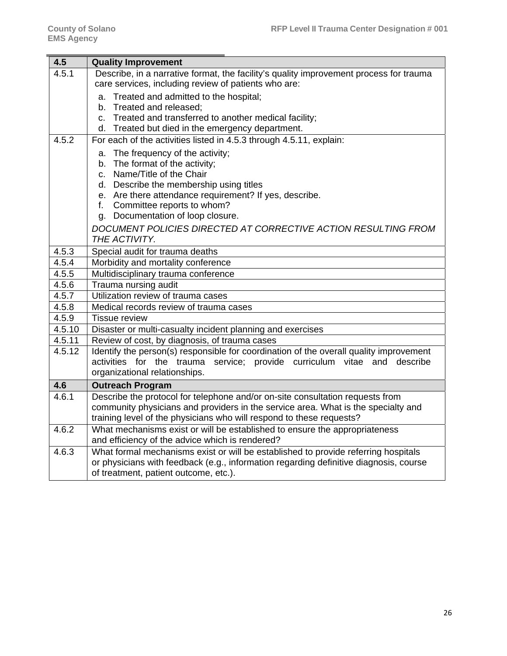| 4.5          | <b>Quality Improvement</b>                                                                                                                                         |
|--------------|--------------------------------------------------------------------------------------------------------------------------------------------------------------------|
| 4.5.1        | Describe, in a narrative format, the facility's quality improvement process for trauma                                                                             |
|              | care services, including review of patients who are:                                                                                                               |
|              | a. Treated and admitted to the hospital;                                                                                                                           |
|              | b. Treated and released;                                                                                                                                           |
|              | Treated and transferred to another medical facility;<br>C.                                                                                                         |
|              | d. Treated but died in the emergency department.                                                                                                                   |
| 4.5.2        | For each of the activities listed in 4.5.3 through 4.5.11, explain:                                                                                                |
|              | The frequency of the activity;<br>a.                                                                                                                               |
|              | b. The format of the activity;<br>c. Name/Title of the Chair                                                                                                       |
|              | d. Describe the membership using titles                                                                                                                            |
|              | e. Are there attendance requirement? If yes, describe.                                                                                                             |
|              | f. Committee reports to whom?                                                                                                                                      |
|              | g. Documentation of loop closure.                                                                                                                                  |
|              | DOCUMENT POLICIES DIRECTED AT CORRECTIVE ACTION RESULTING FROM                                                                                                     |
|              | THE ACTIVITY.                                                                                                                                                      |
| 4.5.3        | Special audit for trauma deaths                                                                                                                                    |
| 4.5.4        | Morbidity and mortality conference                                                                                                                                 |
| 4.5.5        | Multidisciplinary trauma conference                                                                                                                                |
| 4.5.6        | Trauma nursing audit                                                                                                                                               |
| 4.5.7        | Utilization review of trauma cases                                                                                                                                 |
| 4.5.8        | Medical records review of trauma cases                                                                                                                             |
| 4.5.9        | <b>Tissue review</b>                                                                                                                                               |
| 4.5.10       | Disaster or multi-casualty incident planning and exercises                                                                                                         |
| 4.5.11       | Review of cost, by diagnosis, of trauma cases                                                                                                                      |
| 4.5.12       | Identify the person(s) responsible for coordination of the overall quality improvement                                                                             |
|              | activities for the trauma service; provide curriculum vitae and describe                                                                                           |
|              | organizational relationships.                                                                                                                                      |
| 4.6<br>4.6.1 | <b>Outreach Program</b>                                                                                                                                            |
|              | Describe the protocol for telephone and/or on-site consultation requests from<br>community physicians and providers in the service area. What is the specialty and |
|              | training level of the physicians who will respond to these requests?                                                                                               |
| 4.6.2        | What mechanisms exist or will be established to ensure the appropriateness                                                                                         |
|              | and efficiency of the advice which is rendered?                                                                                                                    |
| 4.6.3        | What formal mechanisms exist or will be established to provide referring hospitals                                                                                 |
|              | or physicians with feedback (e.g., information regarding definitive diagnosis, course                                                                              |
|              | of treatment, patient outcome, etc.).                                                                                                                              |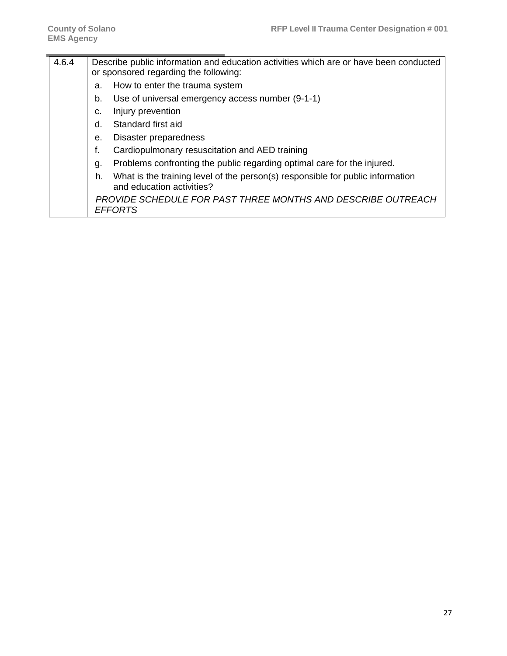| 4.6.4 | Describe public information and education activities which are or have been conducted                             |
|-------|-------------------------------------------------------------------------------------------------------------------|
|       | or sponsored regarding the following:                                                                             |
|       |                                                                                                                   |
|       | How to enter the trauma system<br>a.                                                                              |
|       | Use of universal emergency access number (9-1-1)<br>b.                                                            |
|       | Injury prevention<br>C.                                                                                           |
|       | Standard first aid<br>d.                                                                                          |
|       | Disaster preparedness<br>е.                                                                                       |
|       | f.<br>Cardiopulmonary resuscitation and AED training                                                              |
|       | Problems confronting the public regarding optimal care for the injured.<br>g.                                     |
|       | What is the training level of the person(s) responsible for public information<br>h.<br>and education activities? |
|       | PROVIDE SCHEDULE FOR PAST THREE MONTHS AND DESCRIBE OUTREACH<br><b>EFFORTS</b>                                    |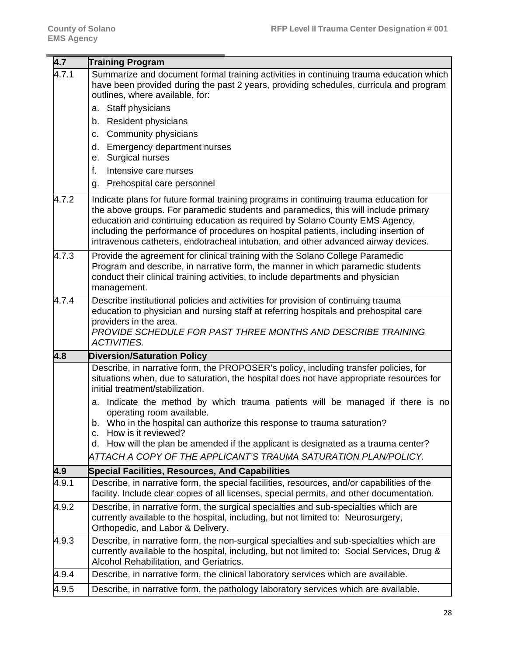| 4.7   | <b>Training Program</b>                                                                                                                                                                                                                                                                                                                                                                                                                  |
|-------|------------------------------------------------------------------------------------------------------------------------------------------------------------------------------------------------------------------------------------------------------------------------------------------------------------------------------------------------------------------------------------------------------------------------------------------|
| 4.7.1 | Summarize and document formal training activities in continuing trauma education which<br>have been provided during the past 2 years, providing schedules, curricula and program<br>outlines, where available, for:                                                                                                                                                                                                                      |
|       | a. Staff physicians                                                                                                                                                                                                                                                                                                                                                                                                                      |
|       | b. Resident physicians                                                                                                                                                                                                                                                                                                                                                                                                                   |
|       | Community physicians<br>C.                                                                                                                                                                                                                                                                                                                                                                                                               |
|       | <b>Emergency department nurses</b><br>d.<br>e. Surgical nurses                                                                                                                                                                                                                                                                                                                                                                           |
|       | Intensive care nurses<br>f.                                                                                                                                                                                                                                                                                                                                                                                                              |
|       | g. Prehospital care personnel                                                                                                                                                                                                                                                                                                                                                                                                            |
| 4.7.2 | Indicate plans for future formal training programs in continuing trauma education for<br>the above groups. For paramedic students and paramedics, this will include primary<br>education and continuing education as required by Solano County EMS Agency,<br>including the performance of procedures on hospital patients, including insertion of<br>intravenous catheters, endotracheal intubation, and other advanced airway devices. |
| 4.7.3 | Provide the agreement for clinical training with the Solano College Paramedic<br>Program and describe, in narrative form, the manner in which paramedic students<br>conduct their clinical training activities, to include departments and physician<br>management.                                                                                                                                                                      |
| 4.7.4 | Describe institutional policies and activities for provision of continuing trauma<br>education to physician and nursing staff at referring hospitals and prehospital care<br>providers in the area.<br>PROVIDE SCHEDULE FOR PAST THREE MONTHS AND DESCRIBE TRAINING<br><b>ACTIVITIES.</b>                                                                                                                                                |
| 4.8   | <b>Diversion/Saturation Policy</b>                                                                                                                                                                                                                                                                                                                                                                                                       |
|       | Describe, in narrative form, the PROPOSER's policy, including transfer policies, for<br>situations when, due to saturation, the hospital does not have appropriate resources for<br>initial treatment/stabilization.                                                                                                                                                                                                                     |
|       | a. Indicate the method by which trauma patients will be managed if there is no<br>operating room available.<br>b. Who in the hospital can authorize this response to trauma saturation?                                                                                                                                                                                                                                                  |
|       | How is it reviewed?<br>C.<br>d. How will the plan be amended if the applicant is designated as a trauma center?                                                                                                                                                                                                                                                                                                                          |
|       | ATTACH A COPY OF THE APPLICANT'S TRAUMA SATURATION PLAN/POLICY.                                                                                                                                                                                                                                                                                                                                                                          |
| 4.9   | <b>Special Facilities, Resources, And Capabilities</b>                                                                                                                                                                                                                                                                                                                                                                                   |
| 4.9.1 | Describe, in narrative form, the special facilities, resources, and/or capabilities of the<br>facility. Include clear copies of all licenses, special permits, and other documentation.                                                                                                                                                                                                                                                  |
| 4.9.2 | Describe, in narrative form, the surgical specialties and sub-specialties which are<br>currently available to the hospital, including, but not limited to: Neurosurgery,<br>Orthopedic, and Labor & Delivery.                                                                                                                                                                                                                            |
| 4.9.3 | Describe, in narrative form, the non-surgical specialties and sub-specialties which are<br>currently available to the hospital, including, but not limited to: Social Services, Drug &<br>Alcohol Rehabilitation, and Geriatrics.                                                                                                                                                                                                        |
| 4.9.4 | Describe, in narrative form, the clinical laboratory services which are available.                                                                                                                                                                                                                                                                                                                                                       |
| 4.9.5 | Describe, in narrative form, the pathology laboratory services which are available.                                                                                                                                                                                                                                                                                                                                                      |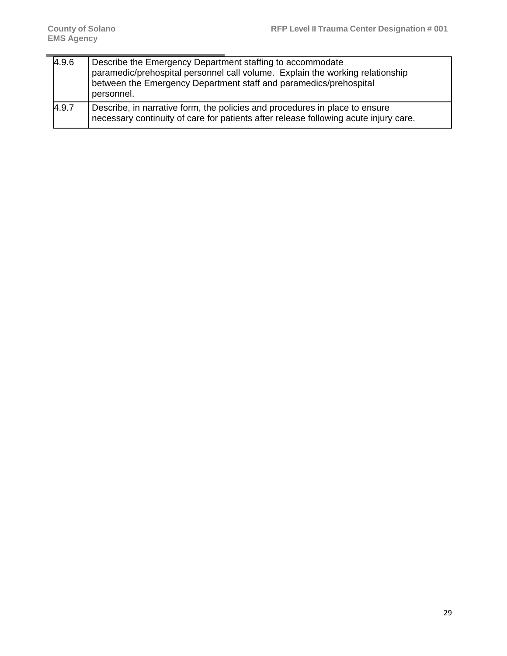| 4.9.6 | Describe the Emergency Department staffing to accommodate<br>paramedic/prehospital personnel call volume. Explain the working relationship<br>between the Emergency Department staff and paramedics/prehospital<br>personnel. |
|-------|-------------------------------------------------------------------------------------------------------------------------------------------------------------------------------------------------------------------------------|
| 4.9.7 | Describe, in narrative form, the policies and procedures in place to ensure<br>necessary continuity of care for patients after release following acute injury care.                                                           |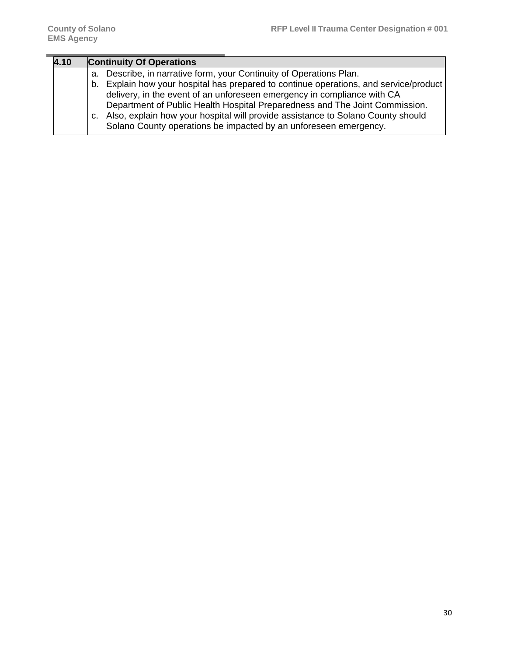| 4.10 | <b>Continuity Of Operations</b>                                                                                                                                                                                                                                                                                                                                                                              |
|------|--------------------------------------------------------------------------------------------------------------------------------------------------------------------------------------------------------------------------------------------------------------------------------------------------------------------------------------------------------------------------------------------------------------|
|      | Describe, in narrative form, your Continuity of Operations Plan.<br>а.                                                                                                                                                                                                                                                                                                                                       |
|      | b. Explain how your hospital has prepared to continue operations, and service/product<br>delivery, in the event of an unforeseen emergency in compliance with CA<br>Department of Public Health Hospital Preparedness and The Joint Commission.<br>Also, explain how your hospital will provide assistance to Solano County should<br>C.<br>Solano County operations be impacted by an unforeseen emergency. |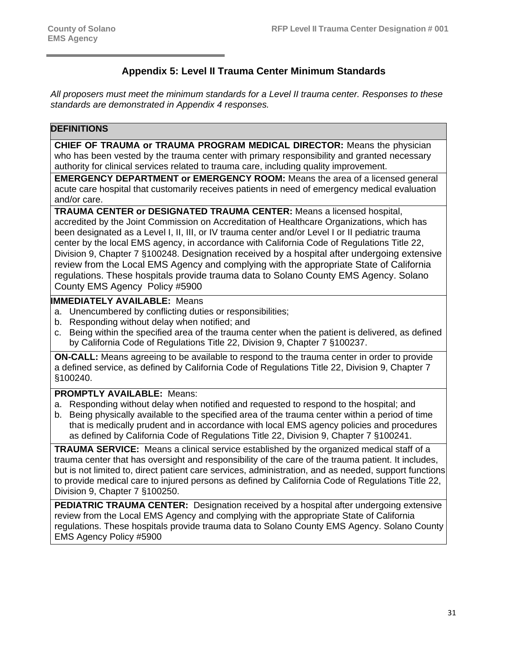# **Appendix 5: Level II Trauma Center Minimum Standards**

*All proposers must meet the minimum standards for a Level II trauma center. Responses to these standards are demonstrated in Appendix 4 responses.*

#### **DEFINITIONS**

**CHIEF OF TRAUMA or TRAUMA PROGRAM MEDICAL DIRECTOR:** Means the physician who has been vested by the trauma center with primary responsibility and granted necessary authority for clinical services related to trauma care, including quality improvement.

**EMERGENCY DEPARTMENT or EMERGENCY ROOM:** Means the area of a licensed general acute care hospital that customarily receives patients in need of emergency medical evaluation and/or care.

**TRAUMA CENTER or DESIGNATED TRAUMA CENTER:** Means a licensed hospital,

accredited by the Joint Commission on Accreditation of Healthcare Organizations, which has been designated as a Level I, II, III, or IV trauma center and/or Level I or II pediatric trauma center by the local EMS agency, in accordance with California Code of Regulations Title 22, Division 9, Chapter 7 §100248. Designation received by a hospital after undergoing extensive review from the Local EMS Agency and complying with the appropriate State of California regulations. These hospitals provide trauma data to Solano County EMS Agency. Solano County EMS Agency Policy #5900

#### **IMMEDIATELY AVAILABLE:** Means

- a. Unencumbered by conflicting duties or responsibilities;
- b. Responding without delay when notified; and
- c. Being within the specified area of the trauma center when the patient is delivered, as defined by California Code of Regulations Title 22, Division 9, Chapter 7 §100237.

**ON-CALL:** Means agreeing to be available to respond to the trauma center in order to provide a defined service, as defined by California Code of Regulations Title 22, Division 9, Chapter 7 §100240.

### **PROMPTLY AVAILABLE:** Means:

- a. Responding without delay when notified and requested to respond to the hospital; and
- b. Being physically available to the specified area of the trauma center within a period of time that is medically prudent and in accordance with local EMS agency policies and procedures as defined by California Code of Regulations Title 22, Division 9, Chapter 7 §100241.

**TRAUMA SERVICE:** Means a clinical service established by the organized medical staff of a trauma center that has oversight and responsibility of the care of the trauma patient. It includes, but is not limited to, direct patient care services, administration, and as needed, support functions to provide medical care to injured persons as defined by California Code of Regulations Title 22, Division 9, Chapter 7 §100250.

**PEDIATRIC TRAUMA CENTER:** Designation received by a hospital after undergoing extensive review from the Local EMS Agency and complying with the appropriate State of California regulations. These hospitals provide trauma data to Solano County EMS Agency. Solano County EMS Agency Policy #5900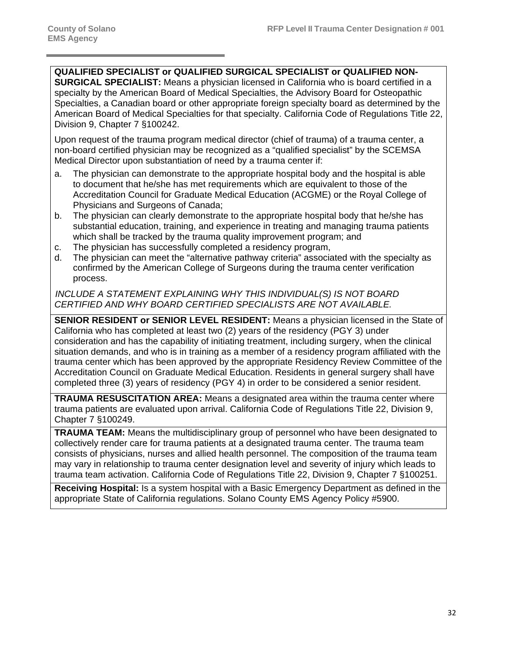### **QUALIFIED SPECIALIST or QUALIFIED SURGICAL SPECIALIST or QUALIFIED NON-**

**SURGICAL SPECIALIST:** Means a physician licensed in California who is board certified in a specialty by the American Board of Medical Specialties, the Advisory Board for Osteopathic Specialties, a Canadian board or other appropriate foreign specialty board as determined by the American Board of Medical Specialties for that specialty. California Code of Regulations Title 22, Division 9, Chapter 7 §100242.

Upon request of the trauma program medical director (chief of trauma) of a trauma center, a non-board certified physician may be recognized as a "qualified specialist" by the SCEMSA Medical Director upon substantiation of need by a trauma center if:

- a. The physician can demonstrate to the appropriate hospital body and the hospital is able to document that he/she has met requirements which are equivalent to those of the Accreditation Council for Graduate Medical Education (ACGME) or the Royal College of Physicians and Surgeons of Canada;
- b. The physician can clearly demonstrate to the appropriate hospital body that he/she has substantial education, training, and experience in treating and managing trauma patients which shall be tracked by the trauma quality improvement program; and
- c. The physician has successfully completed a residency program,
- d. The physician can meet the "alternative pathway criteria" associated with the specialty as confirmed by the American College of Surgeons during the trauma center verification process.

#### *INCLUDE A STATEMENT EXPLAINING WHY THIS INDIVIDUAL(S) IS NOT BOARD CERTIFIED AND WHY BOARD CERTIFIED SPECIALISTS ARE NOT AVAILABLE.*

**SENIOR RESIDENT or SENIOR LEVEL RESIDENT:** Means a physician licensed in the State of California who has completed at least two (2) years of the residency (PGY 3) under consideration and has the capability of initiating treatment, including surgery, when the clinical situation demands, and who is in training as a member of a residency program affiliated with the trauma center which has been approved by the appropriate Residency Review Committee of the Accreditation Council on Graduate Medical Education. Residents in general surgery shall have completed three (3) years of residency (PGY 4) in order to be considered a senior resident.

**TRAUMA RESUSCITATION AREA:** Means a designated area within the trauma center where trauma patients are evaluated upon arrival. California Code of Regulations Title 22, Division 9, Chapter 7 §100249.

**TRAUMA TEAM:** Means the multidisciplinary group of personnel who have been designated to collectively render care for trauma patients at a designated trauma center. The trauma team consists of physicians, nurses and allied health personnel. The composition of the trauma team may vary in relationship to trauma center designation level and severity of injury which leads to trauma team activation. California Code of Regulations Title 22, Division 9, Chapter 7 §100251.

**Receiving Hospital:** Is a system hospital with a Basic Emergency Department as defined in the appropriate State of California regulations. Solano County EMS Agency Policy #5900.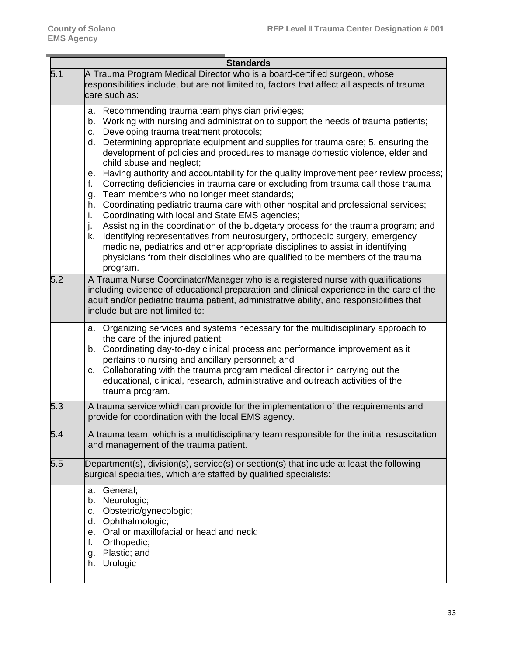|     | <b>Standards</b>                                                                                                                                                                                                                                                                                                                                                                                                                                                                                                                                                                                                                                                                                                                                                                                                                                                                                                                                                                                                                                                                                                                                                          |
|-----|---------------------------------------------------------------------------------------------------------------------------------------------------------------------------------------------------------------------------------------------------------------------------------------------------------------------------------------------------------------------------------------------------------------------------------------------------------------------------------------------------------------------------------------------------------------------------------------------------------------------------------------------------------------------------------------------------------------------------------------------------------------------------------------------------------------------------------------------------------------------------------------------------------------------------------------------------------------------------------------------------------------------------------------------------------------------------------------------------------------------------------------------------------------------------|
| 5.1 | A Trauma Program Medical Director who is a board-certified surgeon, whose<br>responsibilities include, but are not limited to, factors that affect all aspects of trauma<br>care such as:                                                                                                                                                                                                                                                                                                                                                                                                                                                                                                                                                                                                                                                                                                                                                                                                                                                                                                                                                                                 |
|     | Recommending trauma team physician privileges;<br>а.<br>Working with nursing and administration to support the needs of trauma patients;<br>b.<br>Developing trauma treatment protocols;<br>c.<br>Determining appropriate equipment and supplies for trauma care; 5. ensuring the<br>d.<br>development of policies and procedures to manage domestic violence, elder and<br>child abuse and neglect;<br>Having authority and accountability for the quality improvement peer review process;<br>е.<br>Correcting deficiencies in trauma care or excluding from trauma call those trauma<br>f.<br>Team members who no longer meet standards;<br>g.<br>Coordinating pediatric trauma care with other hospital and professional services;<br>h.<br>Coordinating with local and State EMS agencies;<br>i.<br>Assisting in the coordination of the budgetary process for the trauma program; and<br>j.<br>Identifying representatives from neurosurgery, orthopedic surgery, emergency<br>k.<br>medicine, pediatrics and other appropriate disciplines to assist in identifying<br>physicians from their disciplines who are qualified to be members of the trauma<br>program. |
| 5.2 | A Trauma Nurse Coordinator/Manager who is a registered nurse with qualifications<br>including evidence of educational preparation and clinical experience in the care of the<br>adult and/or pediatric trauma patient, administrative ability, and responsibilities that<br>include but are not limited to:                                                                                                                                                                                                                                                                                                                                                                                                                                                                                                                                                                                                                                                                                                                                                                                                                                                               |
|     | Organizing services and systems necessary for the multidisciplinary approach to<br>a.<br>the care of the injured patient;<br>Coordinating day-to-day clinical process and performance improvement as it<br>b.<br>pertains to nursing and ancillary personnel; and<br>Collaborating with the trauma program medical director in carrying out the<br>C.<br>educational, clinical, research, administrative and outreach activities of the<br>trauma program.                                                                                                                                                                                                                                                                                                                                                                                                                                                                                                                                                                                                                                                                                                                |
| 5.3 | A trauma service which can provide for the implementation of the requirements and<br>provide for coordination with the local EMS agency.                                                                                                                                                                                                                                                                                                                                                                                                                                                                                                                                                                                                                                                                                                                                                                                                                                                                                                                                                                                                                                  |
| 5.4 | A trauma team, which is a multidisciplinary team responsible for the initial resuscitation<br>and management of the trauma patient.                                                                                                                                                                                                                                                                                                                                                                                                                                                                                                                                                                                                                                                                                                                                                                                                                                                                                                                                                                                                                                       |
| 5.5 | Department(s), division(s), service(s) or section(s) that include at least the following<br>surgical specialties, which are staffed by qualified specialists:                                                                                                                                                                                                                                                                                                                                                                                                                                                                                                                                                                                                                                                                                                                                                                                                                                                                                                                                                                                                             |
|     | General;<br>a.<br>Neurologic;<br>b.<br>Obstetric/gynecologic;<br>c.<br>Ophthalmologic;<br>d.<br>Oral or maxillofacial or head and neck;<br>е.<br>f.<br>Orthopedic;<br>Plastic; and<br>g.<br>Urologic<br>h.                                                                                                                                                                                                                                                                                                                                                                                                                                                                                                                                                                                                                                                                                                                                                                                                                                                                                                                                                                |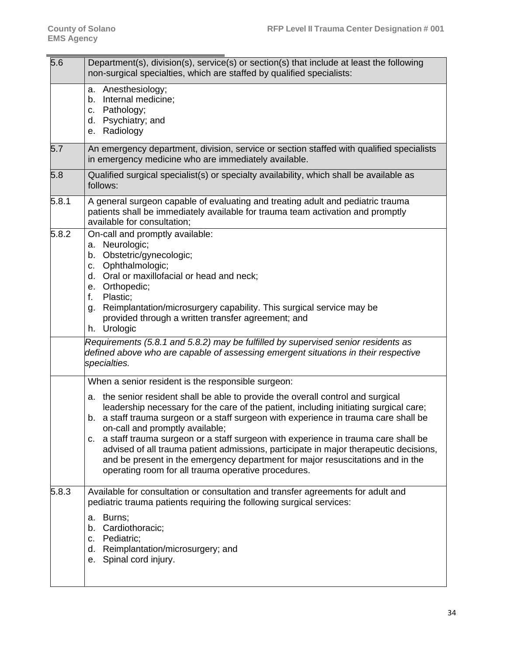| 5.6   | Department(s), division(s), service(s) or section(s) that include at least the following<br>non-surgical specialties, which are staffed by qualified specialists:                                                                                                                                                                                                                                                                                                                                                                                                                                                                 |
|-------|-----------------------------------------------------------------------------------------------------------------------------------------------------------------------------------------------------------------------------------------------------------------------------------------------------------------------------------------------------------------------------------------------------------------------------------------------------------------------------------------------------------------------------------------------------------------------------------------------------------------------------------|
|       | a. Anesthesiology;<br>b. Internal medicine;<br>c. Pathology;<br>d. Psychiatry; and<br>e. Radiology                                                                                                                                                                                                                                                                                                                                                                                                                                                                                                                                |
| 5.7   | An emergency department, division, service or section staffed with qualified specialists<br>in emergency medicine who are immediately available.                                                                                                                                                                                                                                                                                                                                                                                                                                                                                  |
| 5.8   | Qualified surgical specialist(s) or specialty availability, which shall be available as<br>follows:                                                                                                                                                                                                                                                                                                                                                                                                                                                                                                                               |
| 5.8.1 | A general surgeon capable of evaluating and treating adult and pediatric trauma<br>patients shall be immediately available for trauma team activation and promptly<br>available for consultation;                                                                                                                                                                                                                                                                                                                                                                                                                                 |
| 5.8.2 | On-call and promptly available:<br>a. Neurologic;<br>Obstetric/gynecologic;<br>b.<br>Ophthalmologic;<br>c.<br>d. Oral or maxillofacial or head and neck;<br>e. Orthopedic;<br>Plastic;<br>f.<br>Reimplantation/microsurgery capability. This surgical service may be<br>g.<br>provided through a written transfer agreement; and<br>h. Urologic                                                                                                                                                                                                                                                                                   |
|       | Requirements (5.8.1 and 5.8.2) may be fulfilled by supervised senior residents as<br>defined above who are capable of assessing emergent situations in their respective<br>specialties.                                                                                                                                                                                                                                                                                                                                                                                                                                           |
|       | When a senior resident is the responsible surgeon:                                                                                                                                                                                                                                                                                                                                                                                                                                                                                                                                                                                |
|       | a. the senior resident shall be able to provide the overall control and surgical<br>leadership necessary for the care of the patient, including initiating surgical care;<br>b. a staff trauma surgeon or a staff surgeon with experience in trauma care shall be<br>on-call and promptly available;<br>a staff trauma surgeon or a staff surgeon with experience in trauma care shall be<br>c.<br>advised of all trauma patient admissions, participate in major therapeutic decisions,<br>and be present in the emergency department for major resuscitations and in the<br>operating room for all trauma operative procedures. |
| 5.8.3 | Available for consultation or consultation and transfer agreements for adult and<br>pediatric trauma patients requiring the following surgical services:<br>a. Burns;<br>Cardiothoracic;<br>b.<br>Pediatric;<br>C.<br>Reimplantation/microsurgery; and<br>d.<br>Spinal cord injury.<br>е.                                                                                                                                                                                                                                                                                                                                         |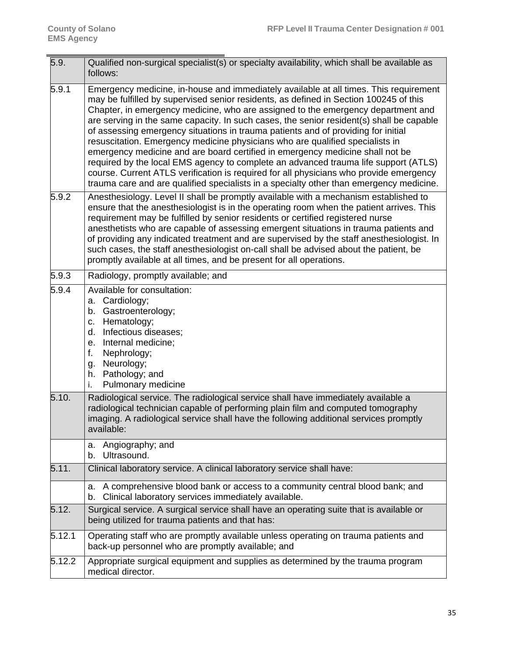| 5.9.   | Qualified non-surgical specialist(s) or specialty availability, which shall be available as<br>follows:                                                                                                                                                                                                                                                                                                                                                                                                                                                                                                                                                                                                                                                                                                                                                                                           |
|--------|---------------------------------------------------------------------------------------------------------------------------------------------------------------------------------------------------------------------------------------------------------------------------------------------------------------------------------------------------------------------------------------------------------------------------------------------------------------------------------------------------------------------------------------------------------------------------------------------------------------------------------------------------------------------------------------------------------------------------------------------------------------------------------------------------------------------------------------------------------------------------------------------------|
| 5.9.1  | Emergency medicine, in-house and immediately available at all times. This requirement<br>may be fulfilled by supervised senior residents, as defined in Section 100245 of this<br>Chapter, in emergency medicine, who are assigned to the emergency department and<br>are serving in the same capacity. In such cases, the senior resident(s) shall be capable<br>of assessing emergency situations in trauma patients and of providing for initial<br>resuscitation. Emergency medicine physicians who are qualified specialists in<br>emergency medicine and are board certified in emergency medicine shall not be<br>required by the local EMS agency to complete an advanced trauma life support (ATLS)<br>course. Current ATLS verification is required for all physicians who provide emergency<br>trauma care and are qualified specialists in a specialty other than emergency medicine. |
| 5.9.2  | Anesthesiology. Level II shall be promptly available with a mechanism established to<br>ensure that the anesthesiologist is in the operating room when the patient arrives. This<br>requirement may be fulfilled by senior residents or certified registered nurse<br>anesthetists who are capable of assessing emergent situations in trauma patients and<br>of providing any indicated treatment and are supervised by the staff anesthesiologist. In<br>such cases, the staff anesthesiologist on-call shall be advised about the patient, be<br>promptly available at all times, and be present for all operations.                                                                                                                                                                                                                                                                           |
| 5.9.3  | Radiology, promptly available; and                                                                                                                                                                                                                                                                                                                                                                                                                                                                                                                                                                                                                                                                                                                                                                                                                                                                |
| 5.9.4  | Available for consultation:<br>Cardiology;<br>a.<br>Gastroenterology;<br>b.<br>Hematology;<br>$C_{1}$<br>d. Infectious diseases;<br>e. Internal medicine;<br>f.<br>Nephrology;<br>g. Neurology;<br>Pathology; and<br>h.<br>Pulmonary medicine<br>i.                                                                                                                                                                                                                                                                                                                                                                                                                                                                                                                                                                                                                                               |
| 5.10.  | Radiological service. The radiological service shall have immediately available a<br>radiological technician capable of performing plain film and computed tomography<br>imaging. A radiological service shall have the following additional services promptly<br>available:                                                                                                                                                                                                                                                                                                                                                                                                                                                                                                                                                                                                                      |
|        | Angiography; and<br>a.<br>Ultrasound.<br>b.                                                                                                                                                                                                                                                                                                                                                                                                                                                                                                                                                                                                                                                                                                                                                                                                                                                       |
| 5.11.  | Clinical laboratory service. A clinical laboratory service shall have:                                                                                                                                                                                                                                                                                                                                                                                                                                                                                                                                                                                                                                                                                                                                                                                                                            |
|        | a. A comprehensive blood bank or access to a community central blood bank; and<br>Clinical laboratory services immediately available.<br>b.                                                                                                                                                                                                                                                                                                                                                                                                                                                                                                                                                                                                                                                                                                                                                       |
| 5.12.  | Surgical service. A surgical service shall have an operating suite that is available or<br>being utilized for trauma patients and that has:                                                                                                                                                                                                                                                                                                                                                                                                                                                                                                                                                                                                                                                                                                                                                       |
| 5.12.1 | Operating staff who are promptly available unless operating on trauma patients and<br>back-up personnel who are promptly available; and                                                                                                                                                                                                                                                                                                                                                                                                                                                                                                                                                                                                                                                                                                                                                           |
| 5.12.2 | Appropriate surgical equipment and supplies as determined by the trauma program<br>medical director.                                                                                                                                                                                                                                                                                                                                                                                                                                                                                                                                                                                                                                                                                                                                                                                              |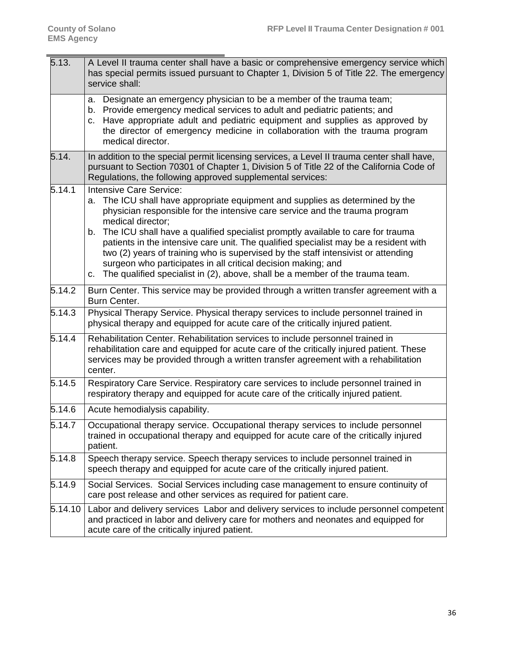| 5.13.   | A Level II trauma center shall have a basic or comprehensive emergency service which<br>has special permits issued pursuant to Chapter 1, Division 5 of Title 22. The emergency<br>service shall:                                                                                                                                                                                                                                                                                                                                                                                                                                              |
|---------|------------------------------------------------------------------------------------------------------------------------------------------------------------------------------------------------------------------------------------------------------------------------------------------------------------------------------------------------------------------------------------------------------------------------------------------------------------------------------------------------------------------------------------------------------------------------------------------------------------------------------------------------|
|         | Designate an emergency physician to be a member of the trauma team;<br>a.<br>Provide emergency medical services to adult and pediatric patients; and<br>b.<br>Have appropriate adult and pediatric equipment and supplies as approved by<br>C.<br>the director of emergency medicine in collaboration with the trauma program<br>medical director.                                                                                                                                                                                                                                                                                             |
| 5.14.   | In addition to the special permit licensing services, a Level II trauma center shall have,<br>pursuant to Section 70301 of Chapter 1, Division 5 of Title 22 of the California Code of<br>Regulations, the following approved supplemental services:                                                                                                                                                                                                                                                                                                                                                                                           |
| 5.14.1  | <b>Intensive Care Service:</b><br>The ICU shall have appropriate equipment and supplies as determined by the<br>a.<br>physician responsible for the intensive care service and the trauma program<br>medical director;<br>b. The ICU shall have a qualified specialist promptly available to care for trauma<br>patients in the intensive care unit. The qualified specialist may be a resident with<br>two (2) years of training who is supervised by the staff intensivist or attending<br>surgeon who participates in all critical decision making; and<br>c. The qualified specialist in (2), above, shall be a member of the trauma team. |
| 5.14.2  | Burn Center. This service may be provided through a written transfer agreement with a<br>Burn Center.                                                                                                                                                                                                                                                                                                                                                                                                                                                                                                                                          |
| 5.14.3  | Physical Therapy Service. Physical therapy services to include personnel trained in<br>physical therapy and equipped for acute care of the critically injured patient.                                                                                                                                                                                                                                                                                                                                                                                                                                                                         |
| 5.14.4  | Rehabilitation Center. Rehabilitation services to include personnel trained in<br>rehabilitation care and equipped for acute care of the critically injured patient. These<br>services may be provided through a written transfer agreement with a rehabilitation<br>center.                                                                                                                                                                                                                                                                                                                                                                   |
| 5.14.5  | Respiratory Care Service. Respiratory care services to include personnel trained in<br>respiratory therapy and equipped for acute care of the critically injured patient.                                                                                                                                                                                                                                                                                                                                                                                                                                                                      |
| 5.14.6  | Acute hemodialysis capability.                                                                                                                                                                                                                                                                                                                                                                                                                                                                                                                                                                                                                 |
| 5.14.7  | Occupational therapy service. Occupational therapy services to include personnel<br>trained in occupational therapy and equipped for acute care of the critically injured<br>patient.                                                                                                                                                                                                                                                                                                                                                                                                                                                          |
| 5.14.8  | Speech therapy service. Speech therapy services to include personnel trained in<br>speech therapy and equipped for acute care of the critically injured patient.                                                                                                                                                                                                                                                                                                                                                                                                                                                                               |
| 5.14.9  | Social Services. Social Services including case management to ensure continuity of<br>care post release and other services as required for patient care.                                                                                                                                                                                                                                                                                                                                                                                                                                                                                       |
| 5.14.10 | Labor and delivery services Labor and delivery services to include personnel competent<br>and practiced in labor and delivery care for mothers and neonates and equipped for<br>acute care of the critically injured patient.                                                                                                                                                                                                                                                                                                                                                                                                                  |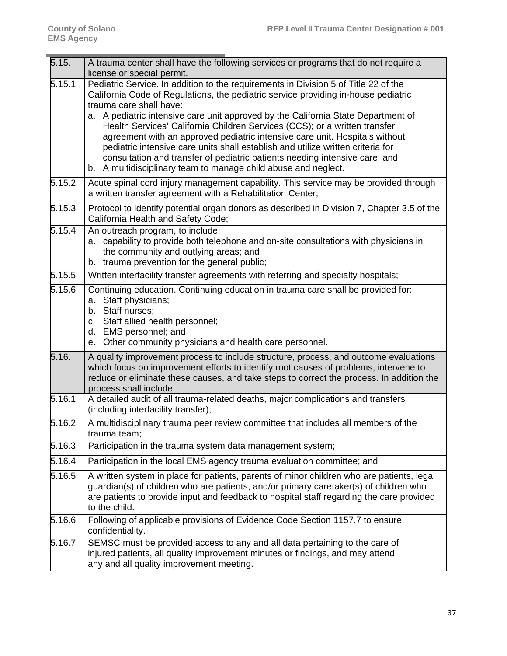| 5.15.  | A trauma center shall have the following services or programs that do not require a<br>license or special permit.                                                                                                                                                                                                                                                                                                                                                                  |
|--------|------------------------------------------------------------------------------------------------------------------------------------------------------------------------------------------------------------------------------------------------------------------------------------------------------------------------------------------------------------------------------------------------------------------------------------------------------------------------------------|
| 5.15.1 | Pediatric Service. In addition to the requirements in Division 5 of Title 22 of the<br>California Code of Regulations, the pediatric service providing in-house pediatric<br>trauma care shall have:                                                                                                                                                                                                                                                                               |
|        | a. A pediatric intensive care unit approved by the California State Department of<br>Health Services' California Children Services (CCS); or a written transfer<br>agreement with an approved pediatric intensive care unit. Hospitals without<br>pediatric intensive care units shall establish and utilize written criteria for<br>consultation and transfer of pediatric patients needing intensive care; and<br>b. A multidisciplinary team to manage child abuse and neglect. |
| 5.15.2 | Acute spinal cord injury management capability. This service may be provided through<br>a written transfer agreement with a Rehabilitation Center;                                                                                                                                                                                                                                                                                                                                 |
| 5.15.3 | Protocol to identify potential organ donors as described in Division 7, Chapter 3.5 of the<br>California Health and Safety Code;                                                                                                                                                                                                                                                                                                                                                   |
| 5.15.4 | An outreach program, to include:<br>a. capability to provide both telephone and on-site consultations with physicians in<br>the community and outlying areas; and<br>b. trauma prevention for the general public;                                                                                                                                                                                                                                                                  |
| 5.15.5 | Written interfacility transfer agreements with referring and specialty hospitals;                                                                                                                                                                                                                                                                                                                                                                                                  |
| 5.15.6 | Continuing education. Continuing education in trauma care shall be provided for:<br>a. Staff physicians;<br>b. Staff nurses;                                                                                                                                                                                                                                                                                                                                                       |
|        | c. Staff allied health personnel;<br>d. EMS personnel; and                                                                                                                                                                                                                                                                                                                                                                                                                         |
|        | e. Other community physicians and health care personnel.                                                                                                                                                                                                                                                                                                                                                                                                                           |
| 5.16.  | A quality improvement process to include structure, process, and outcome evaluations<br>which focus on improvement efforts to identify root causes of problems, intervene to<br>reduce or eliminate these causes, and take steps to correct the process. In addition the<br>process shall include:                                                                                                                                                                                 |
| 5.16.1 | A detailed audit of all trauma-related deaths, major complications and transfers<br>(including interfacility transfer);                                                                                                                                                                                                                                                                                                                                                            |
| 5.16.2 | A multidisciplinary trauma peer review committee that includes all members of the<br>trauma team;                                                                                                                                                                                                                                                                                                                                                                                  |
| 5.16.3 | Participation in the trauma system data management system;                                                                                                                                                                                                                                                                                                                                                                                                                         |
| 5.16.4 | Participation in the local EMS agency trauma evaluation committee; and                                                                                                                                                                                                                                                                                                                                                                                                             |
| 5.16.5 | A written system in place for patients, parents of minor children who are patients, legal<br>guardian(s) of children who are patients, and/or primary caretaker(s) of children who<br>are patients to provide input and feedback to hospital staff regarding the care provided<br>to the child.                                                                                                                                                                                    |
| 5.16.6 | Following of applicable provisions of Evidence Code Section 1157.7 to ensure<br>confidentiality.                                                                                                                                                                                                                                                                                                                                                                                   |
| 5.16.7 | SEMSC must be provided access to any and all data pertaining to the care of<br>injured patients, all quality improvement minutes or findings, and may attend<br>any and all quality improvement meeting.                                                                                                                                                                                                                                                                           |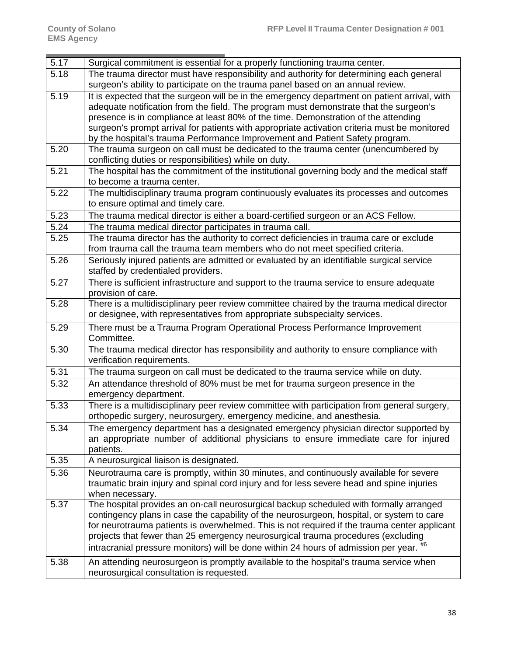| 5.17 | Surgical commitment is essential for a properly functioning trauma center.                   |
|------|----------------------------------------------------------------------------------------------|
| 5.18 | The trauma director must have responsibility and authority for determining each general      |
|      | surgeon's ability to participate on the trauma panel based on an annual review.              |
| 5.19 | It is expected that the surgeon will be in the emergency department on patient arrival, with |
|      | adequate notification from the field. The program must demonstrate that the surgeon's        |
|      | presence is in compliance at least 80% of the time. Demonstration of the attending           |
|      | surgeon's prompt arrival for patients with appropriate activation criteria must be monitored |
|      | by the hospital's trauma Performance Improvement and Patient Safety program.                 |
| 5.20 | The trauma surgeon on call must be dedicated to the trauma center (unencumbered by           |
|      | conflicting duties or responsibilities) while on duty.                                       |
| 5.21 | The hospital has the commitment of the institutional governing body and the medical staff    |
|      | to become a trauma center.                                                                   |
| 5.22 | The multidisciplinary trauma program continuously evaluates its processes and outcomes       |
|      | to ensure optimal and timely care.                                                           |
| 5.23 | The trauma medical director is either a board-certified surgeon or an ACS Fellow.            |
| 5.24 | The trauma medical director participates in trauma call.                                     |
| 5.25 | The trauma director has the authority to correct deficiencies in trauma care or exclude      |
|      | from trauma call the trauma team members who do not meet specified criteria.                 |
| 5.26 | Seriously injured patients are admitted or evaluated by an identifiable surgical service     |
|      | staffed by credentialed providers.                                                           |
| 5.27 | There is sufficient infrastructure and support to the trauma service to ensure adequate      |
|      | provision of care.                                                                           |
| 5.28 | There is a multidisciplinary peer review committee chaired by the trauma medical director    |
|      | or designee, with representatives from appropriate subspecialty services.                    |
| 5.29 | There must be a Trauma Program Operational Process Performance Improvement                   |
|      | Committee.                                                                                   |
| 5.30 | The trauma medical director has responsibility and authority to ensure compliance with       |
|      | verification requirements.                                                                   |
| 5.31 | The trauma surgeon on call must be dedicated to the trauma service while on duty.            |
| 5.32 | An attendance threshold of 80% must be met for trauma surgeon presence in the                |
|      | emergency department.                                                                        |
| 5.33 | There is a multidisciplinary peer review committee with participation from general surgery,  |
|      | orthopedic surgery, neurosurgery, emergency medicine, and anesthesia.                        |
| 5.34 | The emergency department has a designated emergency physician director supported by          |
|      | an appropriate number of additional physicians to ensure immediate care for injured          |
|      | patients.                                                                                    |
| 5.35 | A neurosurgical liaison is designated.                                                       |
| 5.36 | Neurotrauma care is promptly, within 30 minutes, and continuously available for severe       |
|      | traumatic brain injury and spinal cord injury and for less severe head and spine injuries    |
|      | when necessary.                                                                              |
| 5.37 | The hospital provides an on-call neurosurgical backup scheduled with formally arranged       |
|      | contingency plans in case the capability of the neurosurgeon, hospital, or system to care    |
|      | for neurotrauma patients is overwhelmed. This is not required if the trauma center applicant |
|      | projects that fewer than 25 emergency neurosurgical trauma procedures (excluding             |
|      | intracranial pressure monitors) will be done within 24 hours of admission per year. #6       |
| 5.38 | An attending neurosurgeon is promptly available to the hospital's trauma service when        |
|      | neurosurgical consultation is requested.                                                     |
|      |                                                                                              |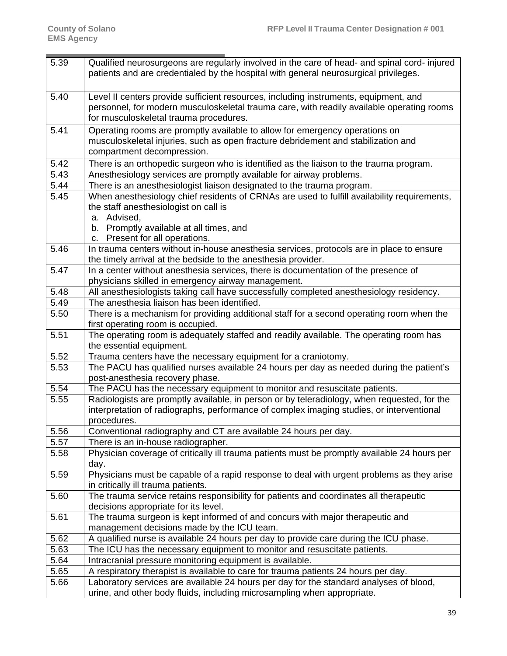| 5.39 | Qualified neurosurgeons are regularly involved in the care of head- and spinal cord- injured<br>patients and are credentialed by the hospital with general neurosurgical privileges.                                        |
|------|-----------------------------------------------------------------------------------------------------------------------------------------------------------------------------------------------------------------------------|
| 5.40 | Level II centers provide sufficient resources, including instruments, equipment, and<br>personnel, for modern musculoskeletal trauma care, with readily available operating rooms<br>for musculoskeletal trauma procedures. |
| 5.41 | Operating rooms are promptly available to allow for emergency operations on                                                                                                                                                 |
|      | musculoskeletal injuries, such as open fracture debridement and stabilization and                                                                                                                                           |
|      | compartment decompression.                                                                                                                                                                                                  |
| 5.42 | There is an orthopedic surgeon who is identified as the liaison to the trauma program.                                                                                                                                      |
| 5.43 | Anesthesiology services are promptly available for airway problems.                                                                                                                                                         |
| 5.44 | There is an anesthesiologist liaison designated to the trauma program.                                                                                                                                                      |
| 5.45 | When anesthesiology chief residents of CRNAs are used to fulfill availability requirements,<br>the staff anesthesiologist on call is                                                                                        |
|      | a. Advised,                                                                                                                                                                                                                 |
|      | b. Promptly available at all times, and                                                                                                                                                                                     |
|      | c. Present for all operations.                                                                                                                                                                                              |
| 5.46 | In trauma centers without in-house anesthesia services, protocols are in place to ensure<br>the timely arrival at the bedside to the anesthesia provider.                                                                   |
| 5.47 | In a center without anesthesia services, there is documentation of the presence of                                                                                                                                          |
|      | physicians skilled in emergency airway management.                                                                                                                                                                          |
| 5.48 | All anesthesiologists taking call have successfully completed anesthesiology residency.                                                                                                                                     |
| 5.49 | The anesthesia liaison has been identified.                                                                                                                                                                                 |
| 5.50 | There is a mechanism for providing additional staff for a second operating room when the                                                                                                                                    |
|      | first operating room is occupied.                                                                                                                                                                                           |
| 5.51 | The operating room is adequately staffed and readily available. The operating room has<br>the essential equipment.                                                                                                          |
| 5.52 | Trauma centers have the necessary equipment for a craniotomy.                                                                                                                                                               |
| 5.53 | The PACU has qualified nurses available 24 hours per day as needed during the patient's                                                                                                                                     |
|      | post-anesthesia recovery phase.                                                                                                                                                                                             |
| 5.54 | The PACU has the necessary equipment to monitor and resuscitate patients.                                                                                                                                                   |
| 5.55 | Radiologists are promptly available, in person or by teleradiology, when requested, for the                                                                                                                                 |
|      | interpretation of radiographs, performance of complex imaging studies, or interventional<br>procedures.                                                                                                                     |
| 5.56 | Conventional radiography and CT are available 24 hours per day.                                                                                                                                                             |
| 5.57 | There is an in-house radiographer.                                                                                                                                                                                          |
| 5.58 | Physician coverage of critically ill trauma patients must be promptly available 24 hours per                                                                                                                                |
|      | day.                                                                                                                                                                                                                        |
| 5.59 | Physicians must be capable of a rapid response to deal with urgent problems as they arise                                                                                                                                   |
|      | in critically ill trauma patients.                                                                                                                                                                                          |
| 5.60 | The trauma service retains responsibility for patients and coordinates all therapeutic                                                                                                                                      |
|      | decisions appropriate for its level.                                                                                                                                                                                        |
| 5.61 | The trauma surgeon is kept informed of and concurs with major therapeutic and                                                                                                                                               |
|      | management decisions made by the ICU team.                                                                                                                                                                                  |
| 5.62 | A qualified nurse is available 24 hours per day to provide care during the ICU phase.                                                                                                                                       |
| 5.63 | The ICU has the necessary equipment to monitor and resuscitate patients.                                                                                                                                                    |
| 5.64 | Intracranial pressure monitoring equipment is available.                                                                                                                                                                    |
| 5.65 | A respiratory therapist is available to care for trauma patients 24 hours per day.                                                                                                                                          |
| 5.66 | Laboratory services are available 24 hours per day for the standard analyses of blood,                                                                                                                                      |
|      | urine, and other body fluids, including microsampling when appropriate.                                                                                                                                                     |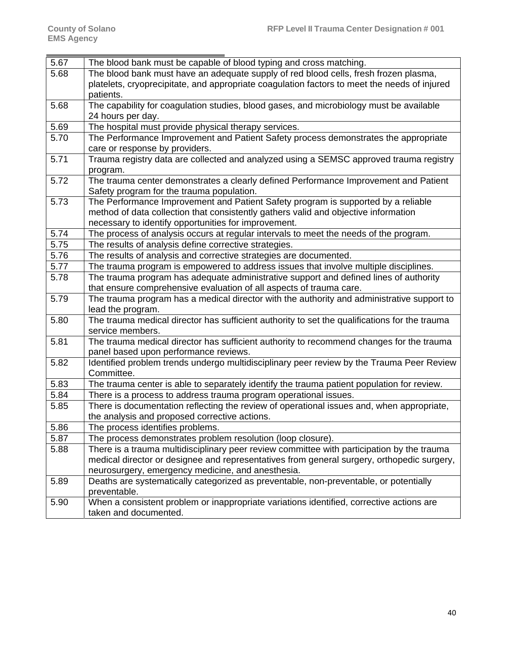| 5.67 | The blood bank must be capable of blood typing and cross matching.                            |
|------|-----------------------------------------------------------------------------------------------|
| 5.68 | The blood bank must have an adequate supply of red blood cells, fresh frozen plasma,          |
|      | platelets, cryoprecipitate, and appropriate coagulation factors to meet the needs of injured  |
|      | patients.                                                                                     |
| 5.68 | The capability for coagulation studies, blood gases, and microbiology must be available       |
|      | 24 hours per day.                                                                             |
| 5.69 | The hospital must provide physical therapy services.                                          |
| 5.70 | The Performance Improvement and Patient Safety process demonstrates the appropriate           |
|      | care or response by providers.                                                                |
| 5.71 | Trauma registry data are collected and analyzed using a SEMSC approved trauma registry        |
|      | program.                                                                                      |
| 5.72 | The trauma center demonstrates a clearly defined Performance Improvement and Patient          |
|      | Safety program for the trauma population.                                                     |
| 5.73 | The Performance Improvement and Patient Safety program is supported by a reliable             |
|      | method of data collection that consistently gathers valid and objective information           |
|      | necessary to identify opportunities for improvement.                                          |
| 5.74 | The process of analysis occurs at regular intervals to meet the needs of the program.         |
| 5.75 | The results of analysis define corrective strategies.                                         |
| 5.76 | The results of analysis and corrective strategies are documented.                             |
| 5.77 | The trauma program is empowered to address issues that involve multiple disciplines.          |
| 5.78 | The trauma program has adequate administrative support and defined lines of authority         |
|      | that ensure comprehensive evaluation of all aspects of trauma care.                           |
| 5.79 | The trauma program has a medical director with the authority and administrative support to    |
|      | lead the program.                                                                             |
| 5.80 | The trauma medical director has sufficient authority to set the qualifications for the trauma |
|      | service members.                                                                              |
| 5.81 | The trauma medical director has sufficient authority to recommend changes for the trauma      |
|      | panel based upon performance reviews.                                                         |
| 5.82 | Identified problem trends undergo multidisciplinary peer review by the Trauma Peer Review     |
|      | Committee.                                                                                    |
| 5.83 | The trauma center is able to separately identify the trauma patient population for review.    |
| 5.84 | There is a process to address trauma program operational issues.                              |
| 5.85 | There is documentation reflecting the review of operational issues and, when appropriate,     |
|      | the analysis and proposed corrective actions.                                                 |
| 5.86 | The process identifies problems.                                                              |
| 5.87 | The process demonstrates problem resolution (loop closure).                                   |
| 5.88 | There is a trauma multidisciplinary peer review committee with participation by the trauma    |
|      | medical director or designee and representatives from general surgery, orthopedic surgery,    |
|      | neurosurgery, emergency medicine, and anesthesia.                                             |
| 5.89 | Deaths are systematically categorized as preventable, non-preventable, or potentially         |
|      | preventable.                                                                                  |
| 5.90 | When a consistent problem or inappropriate variations identified, corrective actions are      |
|      | taken and documented.                                                                         |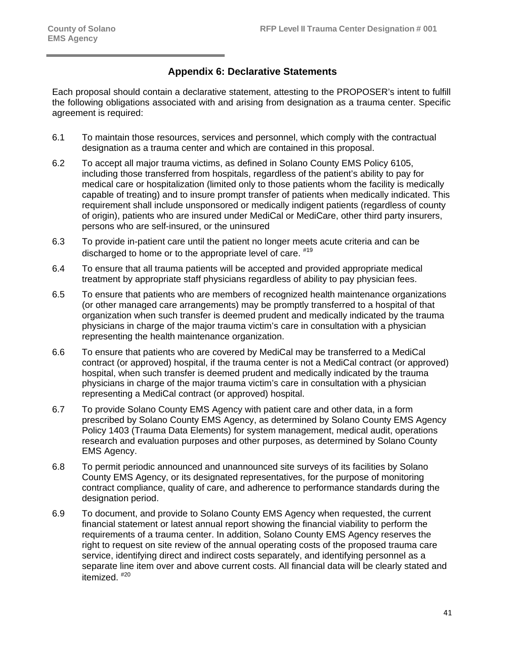# **Appendix 6: Declarative Statements**

Each proposal should contain a declarative statement, attesting to the PROPOSER's intent to fulfill the following obligations associated with and arising from designation as a trauma center. Specific agreement is required:

- 6.1 To maintain those resources, services and personnel, which comply with the contractual designation as a trauma center and which are contained in this proposal.
- 6.2 To accept all major trauma victims, as defined in Solano County EMS Policy 6105, including those transferred from hospitals, regardless of the patient's ability to pay for medical care or hospitalization (limited only to those patients whom the facility is medically capable of treating) and to insure prompt transfer of patients when medically indicated. This requirement shall include unsponsored or medically indigent patients (regardless of county of origin), patients who are insured under MediCal or MediCare, other third party insurers, persons who are self-insured, or the uninsured
- 6.3 To provide in-patient care until the patient no longer meets acute criteria and can be discharged to home or to the appropriate level of care.  $*19$
- 6.4 To ensure that all trauma patients will be accepted and provided appropriate medical treatment by appropriate staff physicians regardless of ability to pay physician fees.
- 6.5 To ensure that patients who are members of recognized health maintenance organizations (or other managed care arrangements) may be promptly transferred to a hospital of that organization when such transfer is deemed prudent and medically indicated by the trauma physicians in charge of the major trauma victim's care in consultation with a physician representing the health maintenance organization.
- 6.6 To ensure that patients who are covered by MediCal may be transferred to a MediCal contract (or approved) hospital, if the trauma center is not a MediCal contract (or approved) hospital, when such transfer is deemed prudent and medically indicated by the trauma physicians in charge of the major trauma victim's care in consultation with a physician representing a MediCal contract (or approved) hospital.
- 6.7 To provide Solano County EMS Agency with patient care and other data, in a form prescribed by Solano County EMS Agency, as determined by Solano County EMS Agency Policy 1403 (Trauma Data Elements) for system management, medical audit, operations research and evaluation purposes and other purposes, as determined by Solano County EMS Agency.
- 6.8 To permit periodic announced and unannounced site surveys of its facilities by Solano County EMS Agency, or its designated representatives, for the purpose of monitoring contract compliance, quality of care, and adherence to performance standards during the designation period.
- 6.9 To document, and provide to Solano County EMS Agency when requested, the current financial statement or latest annual report showing the financial viability to perform the requirements of a trauma center. In addition, Solano County EMS Agency reserves the right to request on site review of the annual operating costs of the proposed trauma care service, identifying direct and indirect costs separately, and identifying personnel as a separate line item over and above current costs. All financial data will be clearly stated and itemized. #20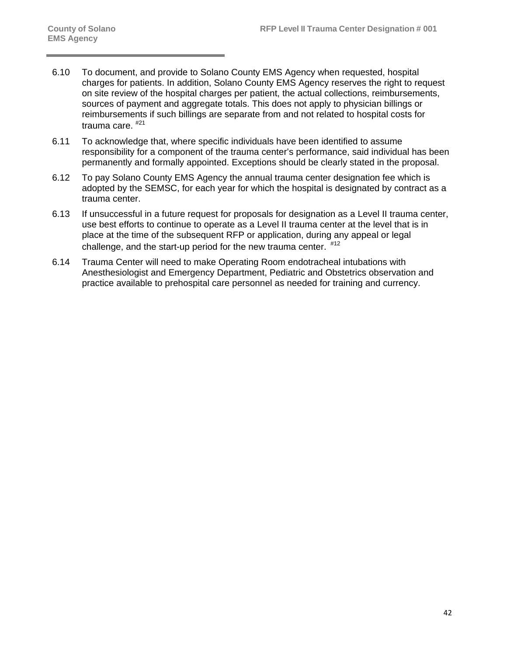- 6.10 To document, and provide to Solano County EMS Agency when requested, hospital charges for patients. In addition, Solano County EMS Agency reserves the right to request on site review of the hospital charges per patient, the actual collections, reimbursements, sources of payment and aggregate totals. This does not apply to physician billings or reimbursements if such billings are separate from and not related to hospital costs for trauma care. #21
- 6.11 To acknowledge that, where specific individuals have been identified to assume responsibility for a component of the trauma center's performance, said individual has been permanently and formally appointed. Exceptions should be clearly stated in the proposal.
- 6.12 To pay Solano County EMS Agency the annual trauma center designation fee which is adopted by the SEMSC, for each year for which the hospital is designated by contract as a trauma center.
- 6.13 If unsuccessful in a future request for proposals for designation as a Level II trauma center, use best efforts to continue to operate as a Level II trauma center at the level that is in place at the time of the subsequent RFP or application, during any appeal or legal challenge, and the start-up period for the new trauma center.  $*12$
- 6.14 Trauma Center will need to make Operating Room endotracheal intubations with Anesthesiologist and Emergency Department, Pediatric and Obstetrics observation and practice available to prehospital care personnel as needed for training and currency.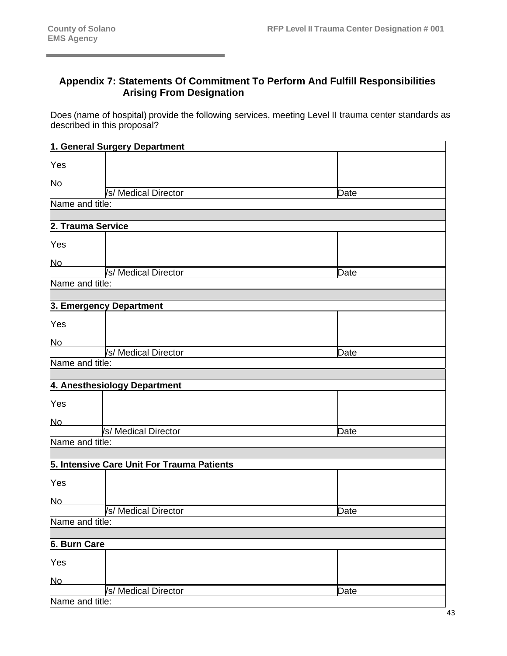# **Appendix 7: Statements Of Commitment To Perform And Fulfill Responsibilities Arising From Designation**

Does (name of hospital) provide the following services, meeting Level II trauma center standards as described in this proposal?

|                 | 1. General Surgery Department              |      |
|-----------------|--------------------------------------------|------|
| Yes             |                                            |      |
|                 |                                            |      |
| <b>No</b>       |                                            |      |
|                 | /s/ Medical Director                       | Date |
| Name and title: |                                            |      |
|                 | 2. Trauma Service                          |      |
|                 |                                            |      |
| Yes             |                                            |      |
| <b>No</b>       |                                            |      |
|                 | /s/ Medical Director                       | Date |
| Name and title: |                                            |      |
|                 |                                            |      |
|                 | 3. Emergency Department                    |      |
| Yes             |                                            |      |
| No              |                                            |      |
|                 | /s/ Medical Director                       | Date |
| Name and title: |                                            |      |
|                 |                                            |      |
|                 | 4. Anesthesiology Department               |      |
| Yes             |                                            |      |
|                 |                                            |      |
| No              |                                            |      |
|                 | /s/ Medical Director                       | Date |
| Name and title: |                                            |      |
|                 |                                            |      |
|                 | 5. Intensive Care Unit For Trauma Patients |      |
| Yes             |                                            |      |
| <b>No</b>       |                                            |      |
|                 | /s/ Medical Director                       | Date |
| Name and title: |                                            |      |
|                 |                                            |      |
| 6. Burn Care    |                                            |      |
| Yes             |                                            |      |
| <u>No</u>       |                                            |      |
|                 | /s/ Medical Director                       | Date |
| Name and title: |                                            |      |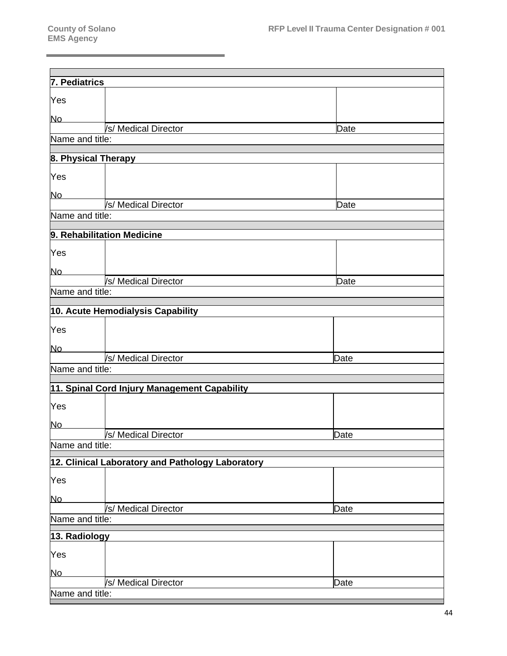| 7. Pediatrics       |                                                  |             |  |  |  |
|---------------------|--------------------------------------------------|-------------|--|--|--|
|                     |                                                  |             |  |  |  |
| Yes                 |                                                  |             |  |  |  |
| No.                 |                                                  |             |  |  |  |
|                     | /s/ Medical Director                             | <b>Date</b> |  |  |  |
| Name and title:     |                                                  |             |  |  |  |
|                     |                                                  |             |  |  |  |
| 8. Physical Therapy |                                                  |             |  |  |  |
| Yes                 |                                                  |             |  |  |  |
| <u>No</u>           |                                                  |             |  |  |  |
|                     | /s/ Medical Director                             | Date        |  |  |  |
| Name and title:     |                                                  |             |  |  |  |
|                     |                                                  |             |  |  |  |
|                     | 9. Rehabilitation Medicine                       |             |  |  |  |
| Yes                 |                                                  |             |  |  |  |
|                     |                                                  |             |  |  |  |
| <u>No</u>           | /s/ Medical Director                             | Date        |  |  |  |
| Name and title:     |                                                  |             |  |  |  |
|                     |                                                  |             |  |  |  |
|                     | 10. Acute Hemodialysis Capability                |             |  |  |  |
| Yes                 |                                                  |             |  |  |  |
|                     |                                                  |             |  |  |  |
| <b>No</b>           | /s/ Medical Director                             | Date        |  |  |  |
| Name and title:     |                                                  |             |  |  |  |
|                     |                                                  |             |  |  |  |
|                     | 11. Spinal Cord Injury Management Capability     |             |  |  |  |
| Yes                 |                                                  |             |  |  |  |
|                     |                                                  |             |  |  |  |
| <b>No</b>           | /s/ Medical Director                             |             |  |  |  |
| Name and title:     |                                                  | Date        |  |  |  |
|                     |                                                  |             |  |  |  |
|                     | 12. Clinical Laboratory and Pathology Laboratory |             |  |  |  |
| Yes                 |                                                  |             |  |  |  |
|                     |                                                  |             |  |  |  |
| <u>No</u>           | /s/ Medical Director                             | Date        |  |  |  |
| Name and title:     |                                                  |             |  |  |  |
|                     |                                                  |             |  |  |  |
| 13. Radiology       |                                                  |             |  |  |  |
| Yes                 |                                                  |             |  |  |  |
|                     |                                                  |             |  |  |  |
| No                  | /s/ Medical Director                             | Date        |  |  |  |
| Name and title:     |                                                  |             |  |  |  |
|                     |                                                  |             |  |  |  |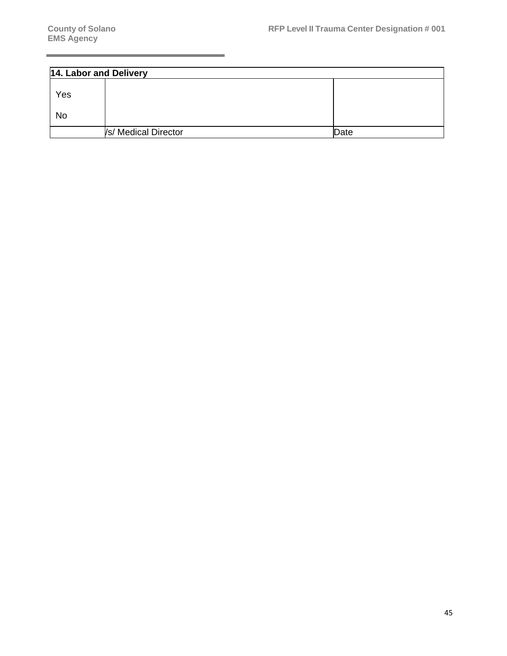| 14. Labor and Delivery |                      |      |  |  |
|------------------------|----------------------|------|--|--|
| Yes                    |                      |      |  |  |
| No                     |                      |      |  |  |
|                        | /s/ Medical Director | Date |  |  |

ı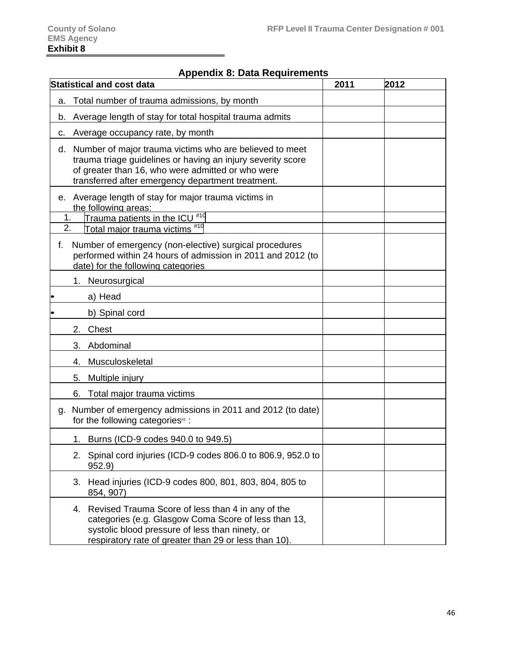# **Appendix 8: Data Requirements**

| <b>Statistical and cost data</b> |                                                                                                                                                                                                                                  | 2011 | 2012 |
|----------------------------------|----------------------------------------------------------------------------------------------------------------------------------------------------------------------------------------------------------------------------------|------|------|
| а.                               | Total number of trauma admissions, by month                                                                                                                                                                                      |      |      |
| b.                               | Average length of stay for total hospital trauma admits                                                                                                                                                                          |      |      |
| c.                               | Average occupancy rate, by month                                                                                                                                                                                                 |      |      |
| d.                               | Number of major trauma victims who are believed to meet<br>trauma triage guidelines or having an injury severity score<br>of greater than 16, who were admitted or who were<br>transferred after emergency department treatment. |      |      |
| 1.<br>2.                         | e. Average length of stay for major trauma victims in<br>the following areas:<br>Trauma patients in the ICU <sup>#10</sup><br><u>Total major trauma victims #19</u>                                                              |      |      |
| f.                               | Number of emergency (non-elective) surgical procedures<br>performed within 24 hours of admission in 2011 and 2012 (to<br>date) for the following categories                                                                      |      |      |
|                                  | 1. Neurosurgical                                                                                                                                                                                                                 |      |      |
|                                  | a) Head                                                                                                                                                                                                                          |      |      |
|                                  | b) Spinal cord                                                                                                                                                                                                                   |      |      |
|                                  | 2. Chest                                                                                                                                                                                                                         |      |      |
|                                  | 3. Abdominal                                                                                                                                                                                                                     |      |      |
|                                  | Musculoskeletal<br>4.                                                                                                                                                                                                            |      |      |
|                                  | 5. Multiple injury                                                                                                                                                                                                               |      |      |
|                                  | 6. Total major trauma victims                                                                                                                                                                                                    |      |      |
| g.                               | Number of emergency admissions in 2011 and 2012 (to date)<br>for the following categories <sup>#2</sup> :                                                                                                                        |      |      |
|                                  | 1. Burns (ICD-9 codes 940.0 to 949.5)                                                                                                                                                                                            |      |      |
|                                  | 2. Spinal cord injuries (ICD-9 codes 806.0 to 806.9, 952.0 to<br>952.9                                                                                                                                                           |      |      |
|                                  | 3. Head injuries (ICD-9 codes 800, 801, 803, 804, 805 to<br>854, 907)                                                                                                                                                            |      |      |
|                                  | Revised Trauma Score of less than 4 in any of the<br>4.<br>categories (e.g. Glasgow Coma Score of less than 13,<br>systolic blood pressure of less than ninety, or<br>respiratory rate of greater than 29 or less than 10).      |      |      |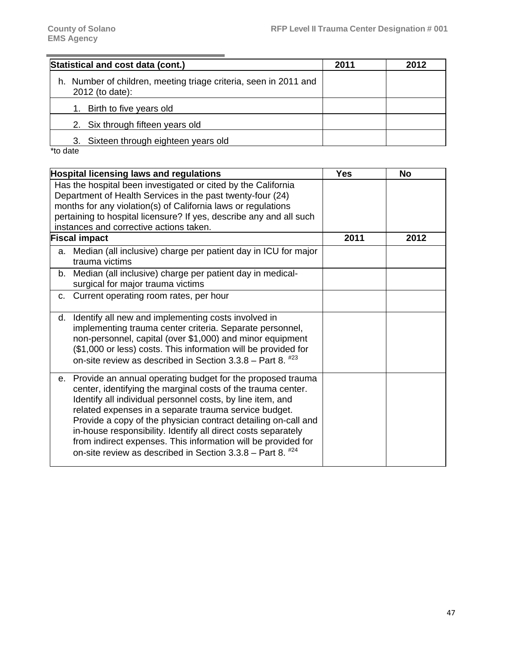| Statistical and cost data (cont.)                                                   | 2011 | 2012 |
|-------------------------------------------------------------------------------------|------|------|
| h. Number of children, meeting triage criteria, seen in 2011 and<br>2012 (to date): |      |      |
| Birth to five years old                                                             |      |      |
| 2. Six through fifteen years old                                                    |      |      |
| 3. Sixteen through eighteen years old                                               |      |      |

\*to date

|         | <b>Hospital licensing laws and regulations</b>                      | <b>Yes</b> | <b>No</b> |
|---------|---------------------------------------------------------------------|------------|-----------|
|         | Has the hospital been investigated or cited by the California       |            |           |
|         | Department of Health Services in the past twenty-four (24)          |            |           |
|         | months for any violation(s) of California laws or regulations       |            |           |
|         | pertaining to hospital licensure? If yes, describe any and all such |            |           |
|         | instances and corrective actions taken.                             |            |           |
|         | <b>Fiscal impact</b>                                                | 2011       | 2012      |
|         | a. Median (all inclusive) charge per patient day in ICU for major   |            |           |
|         | trauma victims                                                      |            |           |
| b.      | Median (all inclusive) charge per patient day in medical-           |            |           |
|         | surgical for major trauma victims                                   |            |           |
| C.      | Current operating room rates, per hour                              |            |           |
|         |                                                                     |            |           |
| d.      | Identify all new and implementing costs involved in                 |            |           |
|         | implementing trauma center criteria. Separate personnel,            |            |           |
|         | non-personnel, capital (over \$1,000) and minor equipment           |            |           |
|         | (\$1,000 or less) costs. This information will be provided for      |            |           |
|         | on-site review as described in Section $3.3.8$ – Part 8. $*^{23}$   |            |           |
| $e_{1}$ | Provide an annual operating budget for the proposed trauma          |            |           |
|         | center, identifying the marginal costs of the trauma center.        |            |           |
|         | Identify all individual personnel costs, by line item, and          |            |           |
|         | related expenses in a separate trauma service budget.               |            |           |
|         | Provide a copy of the physician contract detailing on-call and      |            |           |
|         | in-house responsibility. Identify all direct costs separately       |            |           |
|         | from indirect expenses. This information will be provided for       |            |           |
|         | on-site review as described in Section $3.3.8$ – Part 8. $*^{24}$   |            |           |
|         |                                                                     |            |           |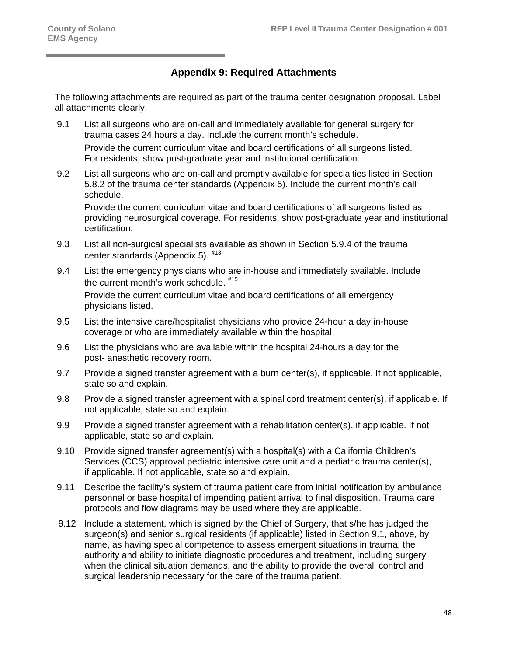# **Appendix 9: Required Attachments**

The following attachments are required as part of the trauma center designation proposal. Label all attachments clearly.

- 9.1 List all surgeons who are on-call and immediately available for general surgery for trauma cases 24 hours a day. Include the current month's schedule. Provide the current curriculum vitae and board certifications of all surgeons listed. For residents, show post-graduate year and institutional certification.
- 9.2 List all surgeons who are on-call and promptly available for specialties listed in Section 5.8.2 of the trauma center standards (Appendix 5). Include the current month's call schedule.

Provide the current curriculum vitae and board certifications of all surgeons listed as providing neurosurgical coverage. For residents, show post-graduate year and institutional certification.

- 9.3 List all non-surgical specialists available as shown in Section 5.9.4 of the trauma center standards (Appendix 5).<sup>#13</sup>
- 9.4 List the emergency physicians who are in-house and immediately available. Include the current month's work schedule.<sup>#15</sup> Provide the current curriculum vitae and board certifications of all emergency physicians listed.
- 9.5 List the intensive care/hospitalist physicians who provide 24-hour a day in-house coverage or who are immediately available within the hospital.
- 9.6 List the physicians who are available within the hospital 24-hours a day for the post- anesthetic recovery room.
- 9.7 Provide a signed transfer agreement with a burn center(s), if applicable. If not applicable, state so and explain.
- 9.8 Provide a signed transfer agreement with a spinal cord treatment center(s), if applicable. If not applicable, state so and explain.
- 9.9 Provide a signed transfer agreement with a rehabilitation center(s), if applicable. If not applicable, state so and explain.
- 9.10 Provide signed transfer agreement(s) with a hospital(s) with a California Children's Services (CCS) approval pediatric intensive care unit and a pediatric trauma center(s), if applicable. If not applicable, state so and explain.
- 9.11 Describe the facility's system of trauma patient care from initial notification by ambulance personnel or base hospital of impending patient arrival to final disposition. Trauma care protocols and flow diagrams may be used where they are applicable.
- 9.12 Include a statement, which is signed by the Chief of Surgery, that s/he has judged the surgeon(s) and senior surgical residents (if applicable) listed in Section 9.1, above, by name, as having special competence to assess emergent situations in trauma, the authority and ability to initiate diagnostic procedures and treatment, including surgery when the clinical situation demands, and the ability to provide the overall control and surgical leadership necessary for the care of the trauma patient.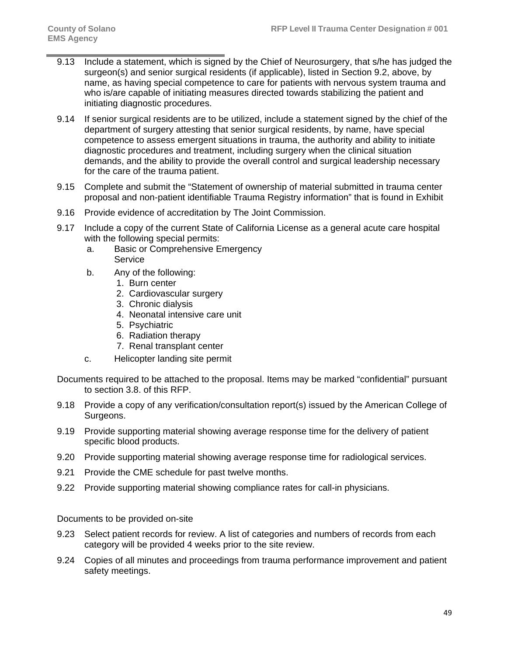- 9.13 Include a statement, which is signed by the Chief of Neurosurgery, that s/he has judged the surgeon(s) and senior surgical residents (if applicable), listed in Section 9.2, above, by name, as having special competence to care for patients with nervous system trauma and who is/are capable of initiating measures directed towards stabilizing the patient and initiating diagnostic procedures.
- 9.14 If senior surgical residents are to be utilized, include a statement signed by the chief of the department of surgery attesting that senior surgical residents, by name, have special competence to assess emergent situations in trauma, the authority and ability to initiate diagnostic procedures and treatment, including surgery when the clinical situation demands, and the ability to provide the overall control and surgical leadership necessary for the care of the trauma patient.
- 9.15 Complete and submit the "Statement of ownership of material submitted in trauma center proposal and non-patient identifiable Trauma Registry information" that is found in Exhibit
- 9.16 Provide evidence of accreditation by The Joint Commission.
- 9.17 Include a copy of the current State of California License as a general acute care hospital with the following special permits:
	- a. Basic or Comprehensive Emergency **Service**
	- b. Any of the following:
		- 1. Burn center
		- 2. Cardiovascular surgery
		- 3. Chronic dialysis
		- 4. Neonatal intensive care unit
		- 5. Psychiatric
		- 6. Radiation therapy
		- 7. Renal transplant center
	- c. Helicopter landing site permit

Documents required to be attached to the proposal. Items may be marked "confidential" pursuant to section 3.8. of this RFP.

- 9.18 Provide a copy of any verification/consultation report(s) issued by the American College of Surgeons.
- 9.19 Provide supporting material showing average response time for the delivery of patient specific blood products.
- 9.20 Provide supporting material showing average response time for radiological services.
- 9.21 Provide the CME schedule for past twelve months.
- 9.22 Provide supporting material showing compliance rates for call-in physicians.

Documents to be provided on-site

- 9.23 Select patient records for review. A list of categories and numbers of records from each category will be provided 4 weeks prior to the site review.
- 9.24 Copies of all minutes and proceedings from trauma performance improvement and patient safety meetings.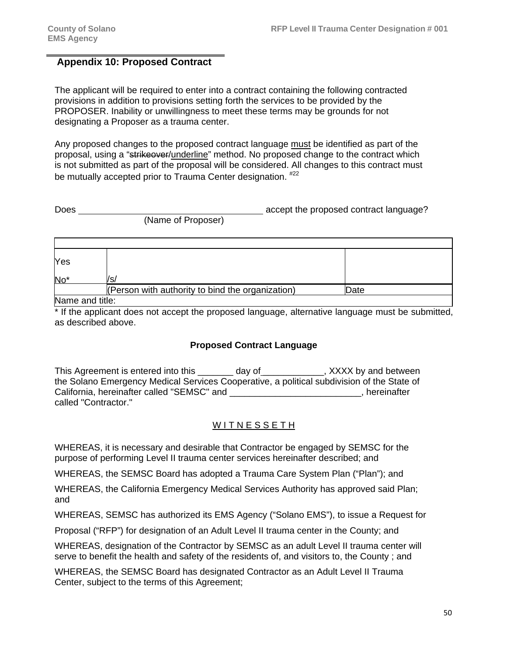### **Appendix 10: Proposed Contract**

The applicant will be required to enter into a contract containing the following contracted provisions in addition to provisions setting forth the services to be provided by the PROPOSER. Inability or unwillingness to meet these terms may be grounds for not designating a Proposer as a trauma center.

Any proposed changes to the proposed contract language must be identified as part of the proposal, using a "strikeover/underline" method. No proposed change to the contract which is not submitted as part of the proposal will be considered. All changes to this contract must be mutually accepted prior to Trauma Center designation.  $^{#22}$ 

Does accept the proposed contract language? (Name of Proposer)

| Yes             |                                                  |      |
|-----------------|--------------------------------------------------|------|
| No*             | /s.                                              |      |
|                 | (Person with authority to bind the organization) | Date |
| Name and title: |                                                  |      |

\* If the applicant does not accept the proposed language, alternative language must be submitted, as described above.

#### **Proposed Contract Language**

This Agreement is entered into this \_\_\_\_\_\_\_ day of \_\_\_\_\_\_\_\_\_\_\_\_, XXXX by and between the Solano Emergency Medical Services Cooperative, a political subdivision of the State of California, hereinafter called "SEMSC" and \_\_\_\_\_\_\_\_\_\_\_\_\_\_\_\_\_\_\_\_\_\_\_\_\_\_, hereinafter called "Contractor."

### WITNESSETH

WHEREAS, it is necessary and desirable that Contractor be engaged by SEMSC for the purpose of performing Level II trauma center services hereinafter described; and

WHEREAS, the SEMSC Board has adopted a Trauma Care System Plan ("Plan"); and

WHEREAS, the California Emergency Medical Services Authority has approved said Plan; and

WHEREAS, SEMSC has authorized its EMS Agency ("Solano EMS"), to issue a Request for

Proposal ("RFP") for designation of an Adult Level II trauma center in the County; and

WHEREAS, designation of the Contractor by SEMSC as an adult Level II trauma center will serve to benefit the health and safety of the residents of, and visitors to, the County ; and

WHEREAS, the SEMSC Board has designated Contractor as an Adult Level II Trauma Center, subject to the terms of this Agreement;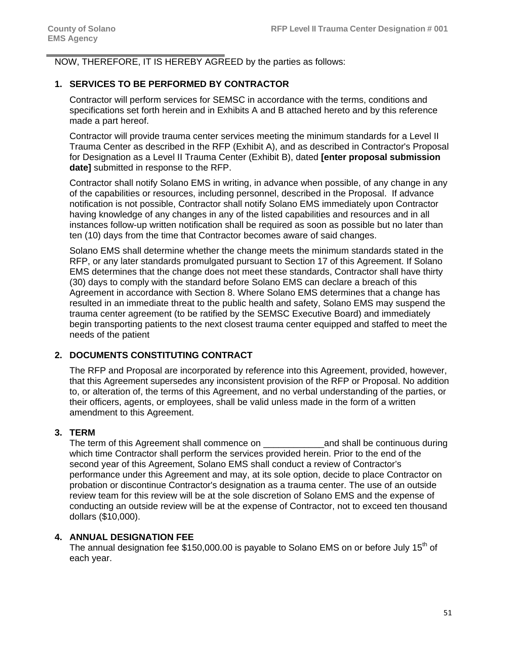NOW, THEREFORE, IT IS HEREBY AGREED by the parties as follows:

# **1. SERVICES TO BE PERFORMED BY CONTRACTOR**

Contractor will perform services for SEMSC in accordance with the terms, conditions and specifications set forth herein and in Exhibits A and B attached hereto and by this reference made a part hereof.

Contractor will provide trauma center services meeting the minimum standards for a Level II Trauma Center as described in the RFP (Exhibit A), and as described in Contractor's Proposal for Designation as a Level II Trauma Center (Exhibit B), dated **[enter proposal submission date]** submitted in response to the RFP.

Contractor shall notify Solano EMS in writing, in advance when possible, of any change in any of the capabilities or resources, including personnel, described in the Proposal. If advance notification is not possible, Contractor shall notify Solano EMS immediately upon Contractor having knowledge of any changes in any of the listed capabilities and resources and in all instances follow-up written notification shall be required as soon as possible but no later than ten (10) days from the time that Contractor becomes aware of said changes.

Solano EMS shall determine whether the change meets the minimum standards stated in the RFP, or any later standards promulgated pursuant to Section 17 of this Agreement. If Solano EMS determines that the change does not meet these standards, Contractor shall have thirty (30) days to comply with the standard before Solano EMS can declare a breach of this Agreement in accordance with Section 8. Where Solano EMS determines that a change has resulted in an immediate threat to the public health and safety, Solano EMS may suspend the trauma center agreement (to be ratified by the SEMSC Executive Board) and immediately begin transporting patients to the next closest trauma center equipped and staffed to meet the needs of the patient

### **2. DOCUMENTS CONSTITUTING CONTRACT**

The RFP and Proposal are incorporated by reference into this Agreement, provided, however, that this Agreement supersedes any inconsistent provision of the RFP or Proposal. No addition to, or alteration of, the terms of this Agreement, and no verbal understanding of the parties, or their officers, agents, or employees, shall be valid unless made in the form of a written amendment to this Agreement.

### **3. TERM**

The term of this Agreement shall commence on The same and shall be continuous during which time Contractor shall perform the services provided herein. Prior to the end of the second year of this Agreement, Solano EMS shall conduct a review of Contractor's performance under this Agreement and may, at its sole option, decide to place Contractor on probation or discontinue Contractor's designation as a trauma center. The use of an outside review team for this review will be at the sole discretion of Solano EMS and the expense of conducting an outside review will be at the expense of Contractor, not to exceed ten thousand dollars (\$10,000).

### **4. ANNUAL DESIGNATION FEE**

The annual designation fee \$150,000.00 is payable to Solano EMS on or before July 15<sup>th</sup> of each year.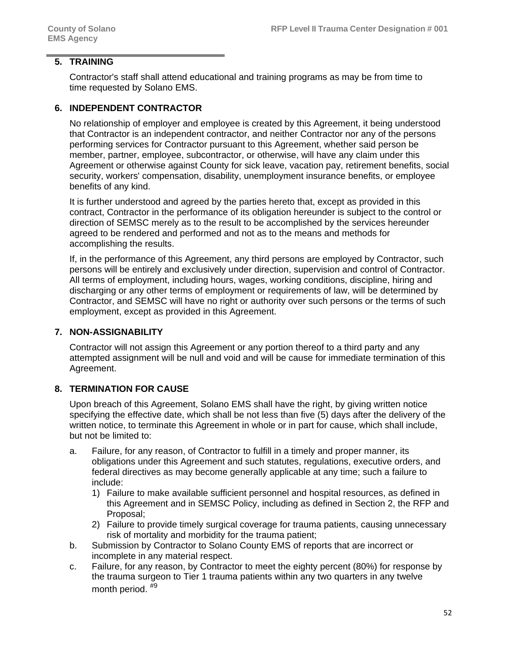### **5. TRAINING**

Contractor's staff shall attend educational and training programs as may be from time to time requested by Solano EMS.

#### **6. INDEPENDENT CONTRACTOR**

No relationship of employer and employee is created by this Agreement, it being understood that Contractor is an independent contractor, and neither Contractor nor any of the persons performing services for Contractor pursuant to this Agreement, whether said person be member, partner, employee, subcontractor, or otherwise, will have any claim under this Agreement or otherwise against County for sick leave, vacation pay, retirement benefits, social security, workers' compensation, disability, unemployment insurance benefits, or employee benefits of any kind.

It is further understood and agreed by the parties hereto that, except as provided in this contract, Contractor in the performance of its obligation hereunder is subject to the control or direction of SEMSC merely as to the result to be accomplished by the services hereunder agreed to be rendered and performed and not as to the means and methods for accomplishing the results.

If, in the performance of this Agreement, any third persons are employed by Contractor, such persons will be entirely and exclusively under direction, supervision and control of Contractor. All terms of employment, including hours, wages, working conditions, discipline, hiring and discharging or any other terms of employment or requirements of law, will be determined by Contractor, and SEMSC will have no right or authority over such persons or the terms of such employment, except as provided in this Agreement.

#### **7. NON-ASSIGNABILITY**

Contractor will not assign this Agreement or any portion thereof to a third party and any attempted assignment will be null and void and will be cause for immediate termination of this Agreement.

### **8. TERMINATION FOR CAUSE**

Upon breach of this Agreement, Solano EMS shall have the right, by giving written notice specifying the effective date, which shall be not less than five (5) days after the delivery of the written notice, to terminate this Agreement in whole or in part for cause, which shall include, but not be limited to:

- a. Failure, for any reason, of Contractor to fulfill in a timely and proper manner, its obligations under this Agreement and such statutes, regulations, executive orders, and federal directives as may become generally applicable at any time; such a failure to include:
	- 1) Failure to make available sufficient personnel and hospital resources, as defined in this Agreement and in SEMSC Policy, including as defined in Section 2, the RFP and Proposal;
	- 2) Failure to provide timely surgical coverage for trauma patients, causing unnecessary risk of mortality and morbidity for the trauma patient;
- b. Submission by Contractor to Solano County EMS of reports that are incorrect or incomplete in any material respect.
- c. Failure, for any reason, by Contractor to meet the eighty percent (80%) for response by the trauma surgeon to Tier 1 trauma patients within any two quarters in any twelve month period. #9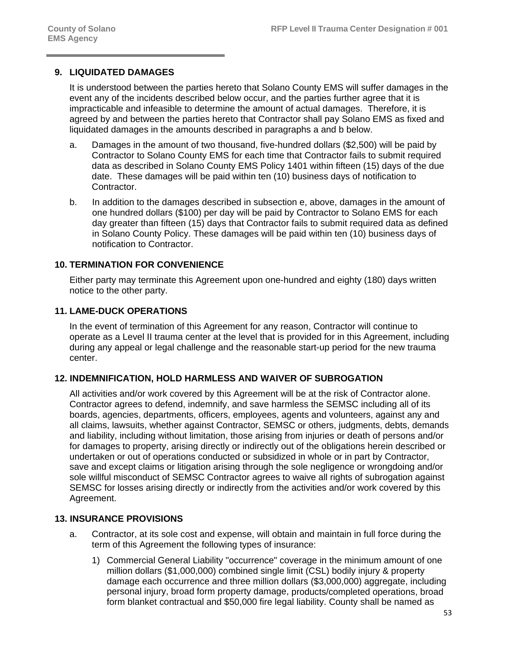#### **9. LIQUIDATED DAMAGES**

It is understood between the parties hereto that Solano County EMS will suffer damages in the event any of the incidents described below occur, and the parties further agree that it is impracticable and infeasible to determine the amount of actual damages. Therefore, it is agreed by and between the parties hereto that Contractor shall pay Solano EMS as fixed and liquidated damages in the amounts described in paragraphs a and b below.

- a. Damages in the amount of two thousand, five-hundred dollars (\$2,500) will be paid by Contractor to Solano County EMS for each time that Contractor fails to submit required data as described in Solano County EMS Policy 1401 within fifteen (15) days of the due date. These damages will be paid within ten (10) business days of notification to Contractor.
- b. In addition to the damages described in subsection e, above, damages in the amount of one hundred dollars (\$100) per day will be paid by Contractor to Solano EMS for each day greater than fifteen (15) days that Contractor fails to submit required data as defined in Solano County Policy. These damages will be paid within ten (10) business days of notification to Contractor.

#### **10. TERMINATION FOR CONVENIENCE**

Either party may terminate this Agreement upon one-hundred and eighty (180) days written notice to the other party.

#### **11. LAME-DUCK OPERATIONS**

In the event of termination of this Agreement for any reason, Contractor will continue to operate as a Level II trauma center at the level that is provided for in this Agreement, including during any appeal or legal challenge and the reasonable start-up period for the new trauma center.

#### **12. INDEMNIFICATION, HOLD HARMLESS AND WAIVER OF SUBROGATION**

All activities and/or work covered by this Agreement will be at the risk of Contractor alone. Contractor agrees to defend, indemnify, and save harmless the SEMSC including all of its boards, agencies, departments, officers, employees, agents and volunteers, against any and all claims, lawsuits, whether against Contractor, SEMSC or others, judgments, debts, demands and liability, including without limitation, those arising from injuries or death of persons and/or for damages to property, arising directly or indirectly out of the obligations herein described or undertaken or out of operations conducted or subsidized in whole or in part by Contractor, save and except claims or litigation arising through the sole negligence or wrongdoing and/or sole willful misconduct of SEMSC Contractor agrees to waive all rights of subrogation against SEMSC for losses arising directly or indirectly from the activities and/or work covered by this Agreement.

#### **13. INSURANCE PROVISIONS**

- a. Contractor, at its sole cost and expense, will obtain and maintain in full force during the term of this Agreement the following types of insurance:
	- 1) Commercial General Liability "occurrence" coverage in the minimum amount of one million dollars (\$1,000,000) combined single limit (CSL) bodily injury & property damage each occurrence and three million dollars (\$3,000,000) aggregate, including personal injury, broad form property damage, products/completed operations, broad form blanket contractual and \$50,000 fire legal liability. County shall be named as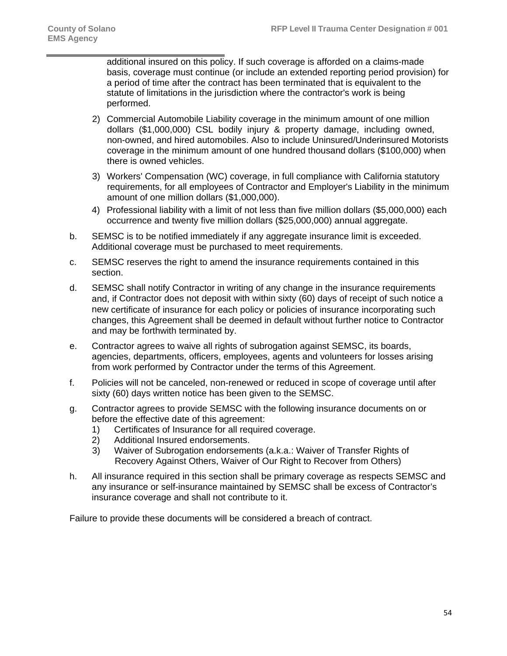additional insured on this policy. If such coverage is afforded on a claims-made basis, coverage must continue (or include an extended reporting period provision) for a period of time after the contract has been terminated that is equivalent to the statute of limitations in the jurisdiction where the contractor's work is being performed.

- 2) Commercial Automobile Liability coverage in the minimum amount of one million dollars (\$1,000,000) CSL bodily injury & property damage, including owned, non-owned, and hired automobiles. Also to include Uninsured/Underinsured Motorists coverage in the minimum amount of one hundred thousand dollars (\$100,000) when there is owned vehicles.
- 3) Workers' Compensation (WC) coverage, in full compliance with California statutory requirements, for all employees of Contractor and Employer's Liability in the minimum amount of one million dollars (\$1,000,000).
- 4) Professional liability with a limit of not less than five million dollars (\$5,000,000) each occurrence and twenty five million dollars (\$25,000,000) annual aggregate.
- b. SEMSC is to be notified immediately if any aggregate insurance limit is exceeded. Additional coverage must be purchased to meet requirements.
- c. SEMSC reserves the right to amend the insurance requirements contained in this section.
- d. SEMSC shall notify Contractor in writing of any change in the insurance requirements and, if Contractor does not deposit with within sixty (60) days of receipt of such notice a new certificate of insurance for each policy or policies of insurance incorporating such changes, this Agreement shall be deemed in default without further notice to Contractor and may be forthwith terminated by.
- e. Contractor agrees to waive all rights of subrogation against SEMSC, its boards, agencies, departments, officers, employees, agents and volunteers for losses arising from work performed by Contractor under the terms of this Agreement.
- f. Policies will not be canceled, non-renewed or reduced in scope of coverage until after sixty (60) days written notice has been given to the SEMSC.
- g. Contractor agrees to provide SEMSC with the following insurance documents on or before the effective date of this agreement:
	- 1) Certificates of Insurance for all required coverage.
	- 2) Additional Insured endorsements.
	- 3) Waiver of Subrogation endorsements (a.k.a.: Waiver of Transfer Rights of Recovery Against Others, Waiver of Our Right to Recover from Others)
- h. All insurance required in this section shall be primary coverage as respects SEMSC and any insurance or self-insurance maintained by SEMSC shall be excess of Contractor's insurance coverage and shall not contribute to it.

Failure to provide these documents will be considered a breach of contract.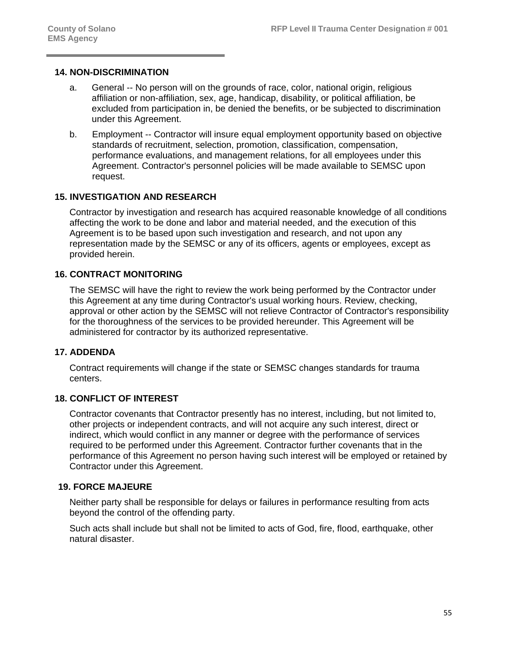#### **14. NON-DISCRIMINATION**

- a. General -- No person will on the grounds of race, color, national origin, religious affiliation or non-affiliation, sex, age, handicap, disability, or political affiliation, be excluded from participation in, be denied the benefits, or be subjected to discrimination under this Agreement.
- b. Employment -- Contractor will insure equal employment opportunity based on objective standards of recruitment, selection, promotion, classification, compensation, performance evaluations, and management relations, for all employees under this Agreement. Contractor's personnel policies will be made available to SEMSC upon request.

#### **15. INVESTIGATION AND RESEARCH**

Contractor by investigation and research has acquired reasonable knowledge of all conditions affecting the work to be done and labor and material needed, and the execution of this Agreement is to be based upon such investigation and research, and not upon any representation made by the SEMSC or any of its officers, agents or employees, except as provided herein.

#### **16. CONTRACT MONITORING**

The SEMSC will have the right to review the work being performed by the Contractor under this Agreement at any time during Contractor's usual working hours. Review, checking, approval or other action by the SEMSC will not relieve Contractor of Contractor's responsibility for the thoroughness of the services to be provided hereunder. This Agreement will be administered for contractor by its authorized representative.

#### **17. ADDENDA**

Contract requirements will change if the state or SEMSC changes standards for trauma centers.

### **18. CONFLICT OF INTEREST**

Contractor covenants that Contractor presently has no interest, including, but not limited to, other projects or independent contracts, and will not acquire any such interest, direct or indirect, which would conflict in any manner or degree with the performance of services required to be performed under this Agreement. Contractor further covenants that in the performance of this Agreement no person having such interest will be employed or retained by Contractor under this Agreement.

#### **19. FORCE MAJEURE**

Neither party shall be responsible for delays or failures in performance resulting from acts beyond the control of the offending party.

Such acts shall include but shall not be limited to acts of God, fire, flood, earthquake, other natural disaster.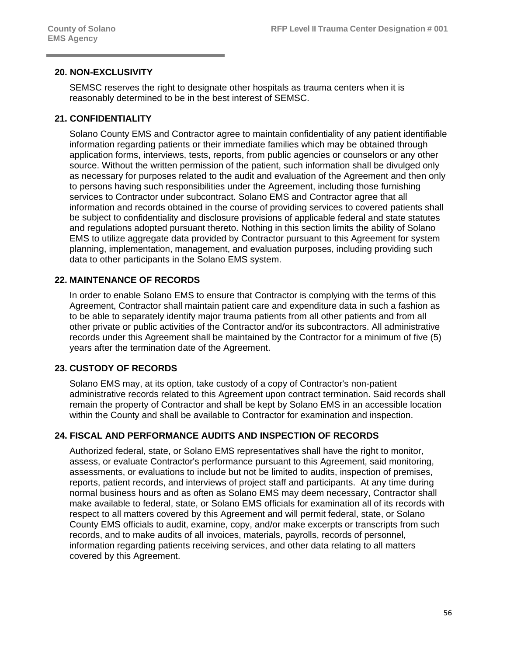#### **20. NON-EXCLUSIVITY**

SEMSC reserves the right to designate other hospitals as trauma centers when it is reasonably determined to be in the best interest of SEMSC.

#### **21. CONFIDENTIALITY**

Solano County EMS and Contractor agree to maintain confidentiality of any patient identifiable information regarding patients or their immediate families which may be obtained through application forms, interviews, tests, reports, from public agencies or counselors or any other source. Without the written permission of the patient, such information shall be divulged only as necessary for purposes related to the audit and evaluation of the Agreement and then only to persons having such responsibilities under the Agreement, including those furnishing services to Contractor under subcontract. Solano EMS and Contractor agree that all information and records obtained in the course of providing services to covered patients shall be subject to confidentiality and disclosure provisions of applicable federal and state statutes and regulations adopted pursuant thereto. Nothing in this section limits the ability of Solano EMS to utilize aggregate data provided by Contractor pursuant to this Agreement for system planning, implementation, management, and evaluation purposes, including providing such data to other participants in the Solano EMS system.

#### **22. MAINTENANCE OF RECORDS**

In order to enable Solano EMS to ensure that Contractor is complying with the terms of this Agreement, Contractor shall maintain patient care and expenditure data in such a fashion as to be able to separately identify major trauma patients from all other patients and from all other private or public activities of the Contractor and/or its subcontractors. All administrative records under this Agreement shall be maintained by the Contractor for a minimum of five (5) years after the termination date of the Agreement.

#### **23. CUSTODY OF RECORDS**

Solano EMS may, at its option, take custody of a copy of Contractor's non-patient administrative records related to this Agreement upon contract termination. Said records shall remain the property of Contractor and shall be kept by Solano EMS in an accessible location within the County and shall be available to Contractor for examination and inspection.

#### **24. FISCAL AND PERFORMANCE AUDITS AND INSPECTION OF RECORDS**

Authorized federal, state, or Solano EMS representatives shall have the right to monitor, assess, or evaluate Contractor's performance pursuant to this Agreement, said monitoring, assessments, or evaluations to include but not be limited to audits, inspection of premises, reports, patient records, and interviews of project staff and participants. At any time during normal business hours and as often as Solano EMS may deem necessary, Contractor shall make available to federal, state, or Solano EMS officials for examination all of its records with respect to all matters covered by this Agreement and will permit federal, state, or Solano County EMS officials to audit, examine, copy, and/or make excerpts or transcripts from such records, and to make audits of all invoices, materials, payrolls, records of personnel, information regarding patients receiving services, and other data relating to all matters covered by this Agreement.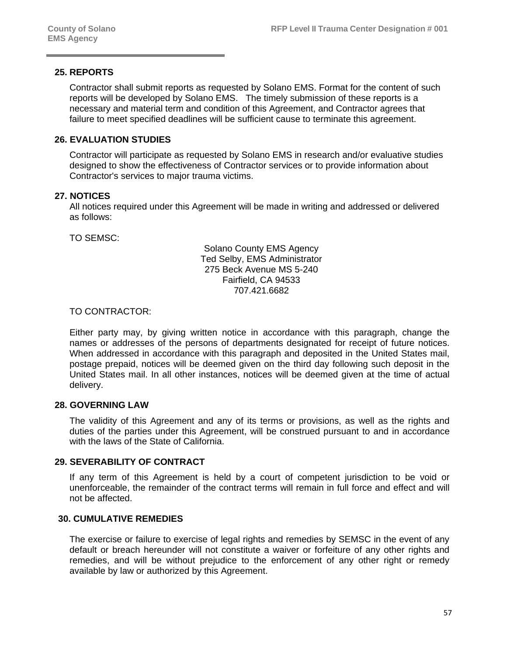#### **25. REPORTS**

Contractor shall submit reports as requested by Solano EMS. Format for the content of such reports will be developed by Solano EMS. The timely submission of these reports is a necessary and material term and condition of this Agreement, and Contractor agrees that failure to meet specified deadlines will be sufficient cause to terminate this agreement.

#### **26. EVALUATION STUDIES**

Contractor will participate as requested by Solano EMS in research and/or evaluative studies designed to show the effectiveness of Contractor services or to provide information about Contractor's services to major trauma victims.

#### **27. NOTICES**

All notices required under this Agreement will be made in writing and addressed or delivered as follows:

TO SEMSC:

Solano County EMS Agency Ted Selby, EMS Administrator 275 Beck Avenue MS 5-240 Fairfield, CA 94533 707.421.6682

TO CONTRACTOR:

Either party may, by giving written notice in accordance with this paragraph, change the names or addresses of the persons of departments designated for receipt of future notices. When addressed in accordance with this paragraph and deposited in the United States mail, postage prepaid, notices will be deemed given on the third day following such deposit in the United States mail. In all other instances, notices will be deemed given at the time of actual delivery.

#### **28. GOVERNING LAW**

The validity of this Agreement and any of its terms or provisions, as well as the rights and duties of the parties under this Agreement, will be construed pursuant to and in accordance with the laws of the State of California.

#### **29. SEVERABILITY OF CONTRACT**

If any term of this Agreement is held by a court of competent jurisdiction to be void or unenforceable, the remainder of the contract terms will remain in full force and effect and will not be affected.

#### **30. CUMULATIVE REMEDIES**

The exercise or failure to exercise of legal rights and remedies by SEMSC in the event of any default or breach hereunder will not constitute a waiver or forfeiture of any other rights and remedies, and will be without prejudice to the enforcement of any other right or remedy available by law or authorized by this Agreement.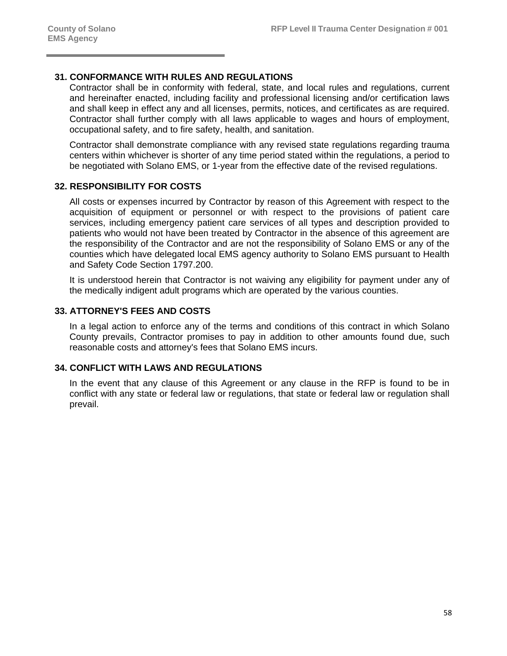#### **31. CONFORMANCE WITH RULES AND REGULATIONS**

Contractor shall be in conformity with federal, state, and local rules and regulations, current and hereinafter enacted, including facility and professional licensing and/or certification laws and shall keep in effect any and all licenses, permits, notices, and certificates as are required. Contractor shall further comply with all laws applicable to wages and hours of employment, occupational safety, and to fire safety, health, and sanitation.

Contractor shall demonstrate compliance with any revised state regulations regarding trauma centers within whichever is shorter of any time period stated within the regulations, a period to be negotiated with Solano EMS, or 1-year from the effective date of the revised regulations.

#### **32. RESPONSIBILITY FOR COSTS**

All costs or expenses incurred by Contractor by reason of this Agreement with respect to the acquisition of equipment or personnel or with respect to the provisions of patient care services, including emergency patient care services of all types and description provided to patients who would not have been treated by Contractor in the absence of this agreement are the responsibility of the Contractor and are not the responsibility of Solano EMS or any of the counties which have delegated local EMS agency authority to Solano EMS pursuant to Health and Safety Code Section 1797.200.

It is understood herein that Contractor is not waiving any eligibility for payment under any of the medically indigent adult programs which are operated by the various counties.

#### **33. ATTORNEY'S FEES AND COSTS**

In a legal action to enforce any of the terms and conditions of this contract in which Solano County prevails, Contractor promises to pay in addition to other amounts found due, such reasonable costs and attorney's fees that Solano EMS incurs.

#### **34. CONFLICT WITH LAWS AND REGULATIONS**

In the event that any clause of this Agreement or any clause in the RFP is found to be in conflict with any state or federal law or regulations, that state or federal law or regulation shall prevail.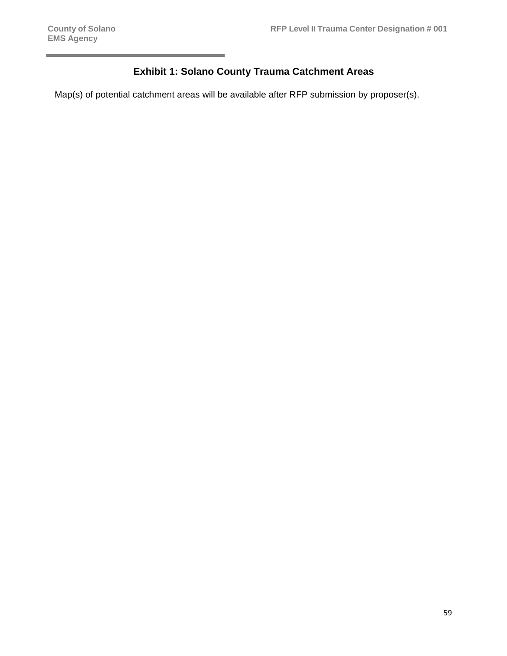# **Exhibit 1: Solano County Trauma Catchment Areas**

Map(s) of potential catchment areas will be available after RFP submission by proposer(s).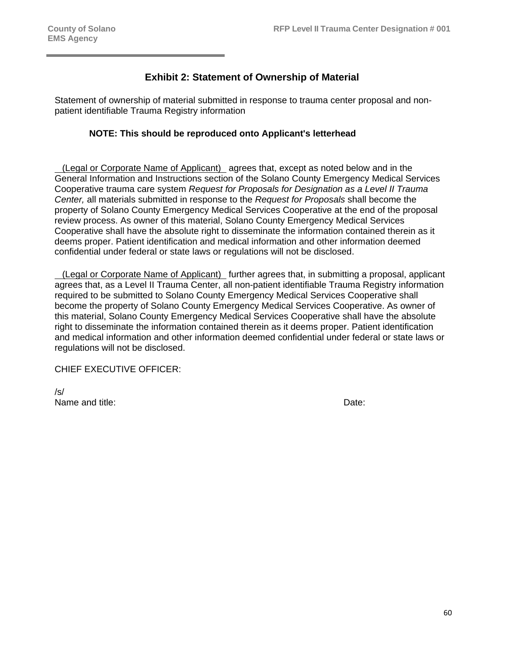# **Exhibit 2: Statement of Ownership of Material**

Statement of ownership of material submitted in response to trauma center proposal and nonpatient identifiable Trauma Registry information

#### **NOTE: This should be reproduced onto Applicant's letterhead**

 (Legal or Corporate Name of Applicant) agrees that, except as noted below and in the General Information and Instructions section of the Solano County Emergency Medical Services Cooperative trauma care system *Request for Proposals for Designation as a Level II Trauma Center,* all materials submitted in response to the *Request for Proposals* shall become the property of Solano County Emergency Medical Services Cooperative at the end of the proposal review process. As owner of this material, Solano County Emergency Medical Services Cooperative shall have the absolute right to disseminate the information contained therein as it deems proper. Patient identification and medical information and other information deemed confidential under federal or state laws or regulations will not be disclosed.

 (Legal or Corporate Name of Applicant) further agrees that, in submitting a proposal, applicant agrees that, as a Level II Trauma Center, all non-patient identifiable Trauma Registry information required to be submitted to Solano County Emergency Medical Services Cooperative shall become the property of Solano County Emergency Medical Services Cooperative. As owner of this material, Solano County Emergency Medical Services Cooperative shall have the absolute right to disseminate the information contained therein as it deems proper. Patient identification and medical information and other information deemed confidential under federal or state laws or regulations will not be disclosed.

CHIEF EXECUTIVE OFFICER:

/s/ Name and title:  $\Box$  Date:  $\Box$  Date:  $\Box$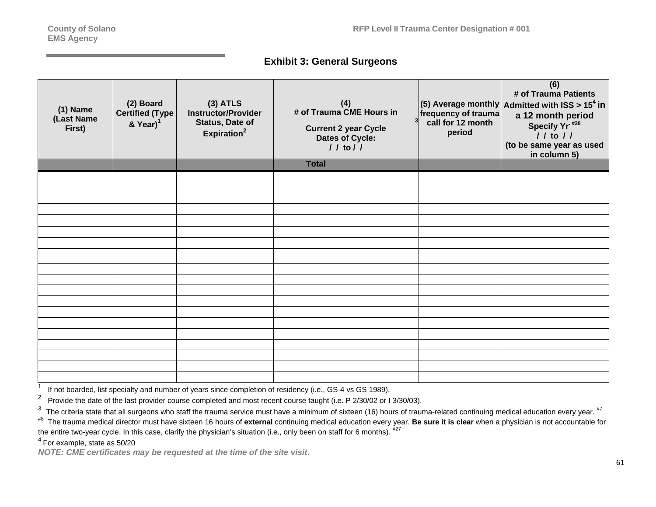### **Exhibit 3: General Surgeons**

| $(1)$ Name<br>(Last Name<br>First) | (2) Board<br><b>Certified (Type</b><br>& Year) <sup>1</sup> | $(3)$ ATLS<br><b>Instructor/Provider</b><br><b>Status, Date of</b><br>Expiration <sup>2</sup> | (4)<br># of Trauma CME Hours in<br>$\mathbf{3}$<br><b>Current 2 year Cycle</b><br><b>Dates of Cycle:</b><br>$11$ to $11$ | frequency of trauma<br>call for 12 month<br>period | (6)<br># of Trauma Patients<br>(5) Average monthly Admitted with ISS > 15 <sup>4</sup> in<br>a 12 month period<br>Specify Yr <sup>#28</sup><br>$11$ to $11$<br>(to be same year as used<br>in column 5) |
|------------------------------------|-------------------------------------------------------------|-----------------------------------------------------------------------------------------------|--------------------------------------------------------------------------------------------------------------------------|----------------------------------------------------|---------------------------------------------------------------------------------------------------------------------------------------------------------------------------------------------------------|
|                                    |                                                             |                                                                                               | <b>Total</b>                                                                                                             |                                                    |                                                                                                                                                                                                         |
|                                    |                                                             |                                                                                               |                                                                                                                          |                                                    |                                                                                                                                                                                                         |
|                                    |                                                             |                                                                                               |                                                                                                                          |                                                    |                                                                                                                                                                                                         |
|                                    |                                                             |                                                                                               |                                                                                                                          |                                                    |                                                                                                                                                                                                         |
|                                    |                                                             |                                                                                               |                                                                                                                          |                                                    |                                                                                                                                                                                                         |
|                                    |                                                             |                                                                                               |                                                                                                                          |                                                    |                                                                                                                                                                                                         |
|                                    |                                                             |                                                                                               |                                                                                                                          |                                                    |                                                                                                                                                                                                         |
|                                    |                                                             |                                                                                               |                                                                                                                          |                                                    |                                                                                                                                                                                                         |
|                                    |                                                             |                                                                                               |                                                                                                                          |                                                    |                                                                                                                                                                                                         |
|                                    |                                                             |                                                                                               |                                                                                                                          |                                                    |                                                                                                                                                                                                         |
|                                    |                                                             |                                                                                               |                                                                                                                          |                                                    |                                                                                                                                                                                                         |
|                                    |                                                             |                                                                                               |                                                                                                                          |                                                    |                                                                                                                                                                                                         |
|                                    |                                                             |                                                                                               |                                                                                                                          |                                                    |                                                                                                                                                                                                         |
|                                    |                                                             |                                                                                               |                                                                                                                          |                                                    |                                                                                                                                                                                                         |
|                                    |                                                             |                                                                                               |                                                                                                                          |                                                    |                                                                                                                                                                                                         |
|                                    |                                                             |                                                                                               |                                                                                                                          |                                                    |                                                                                                                                                                                                         |
|                                    |                                                             |                                                                                               |                                                                                                                          |                                                    |                                                                                                                                                                                                         |
|                                    |                                                             |                                                                                               |                                                                                                                          |                                                    |                                                                                                                                                                                                         |
|                                    |                                                             |                                                                                               |                                                                                                                          |                                                    |                                                                                                                                                                                                         |
|                                    |                                                             |                                                                                               |                                                                                                                          |                                                    |                                                                                                                                                                                                         |

<sup>1</sup> If not boarded, list specialty and number of years since completion of residency (i.e., GS-4 vs GS 1989).<br><sup>2</sup> Provide the date of the last provider course completed and mest recent course taught (i.e. B 2/20/02 or L

2 Provide the date of the last provider course completed and most recent course taught (i.e. P 2/30/02 or I 3/30/03).

 $3$  The criteria state that all surgeons who staff the trauma service must have a minimum of sixteen (16) hours of trauma-related continuing medical education every year.  $*7$ 

#8 The trauma medical director must have sixteen 16 hours of **external** continuing medical education every year. **Be sure it is clear** when a physician is not accountable for the entire two-year cycle. In this case, clarify the physician's situation (i.e., only been on staff for 6 months).  $*27$ 

4 For example, state as 50/20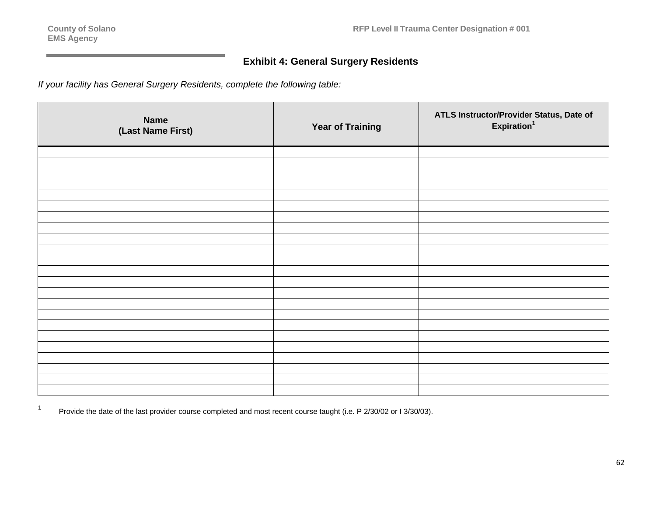# **Exhibit 4: General Surgery Residents**

*If your facility has General Surgery Residents, complete the following table:*

| <b>Name</b><br>(Last Name First) | <b>Year of Training</b> | ATLS Instructor/Provider Status, Date of<br>Expiration <sup>1</sup> |
|----------------------------------|-------------------------|---------------------------------------------------------------------|
|                                  |                         |                                                                     |
|                                  |                         |                                                                     |
|                                  |                         |                                                                     |
|                                  |                         |                                                                     |
|                                  |                         |                                                                     |
|                                  |                         |                                                                     |
|                                  |                         |                                                                     |
|                                  |                         |                                                                     |
|                                  |                         |                                                                     |
|                                  |                         |                                                                     |
|                                  |                         |                                                                     |
|                                  |                         |                                                                     |
|                                  |                         |                                                                     |
|                                  |                         |                                                                     |
|                                  |                         |                                                                     |
|                                  |                         |                                                                     |
|                                  |                         |                                                                     |
|                                  |                         |                                                                     |
|                                  |                         |                                                                     |
|                                  |                         |                                                                     |
|                                  |                         |                                                                     |

<sup>1</sup> Provide the date of the last provider course completed and most recent course taught (i.e. P 2/30/02 or I 3/30/03).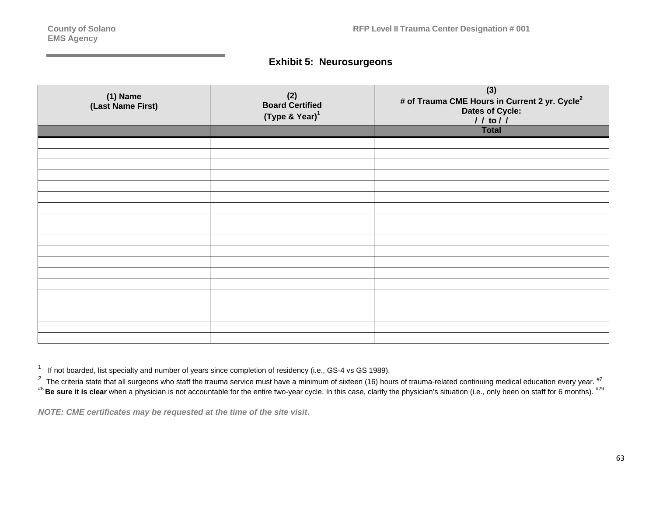# **Exhibit 5: Neurosurgeons**

| (1) Name<br>(Last Name First) | (2)<br><b>Board Certified</b><br>(Type & Year) <sup>1</sup> | (3)<br># of Trauma CME Hours in Current 2 yr. Cycle <sup>2</sup><br><b>Dates of Cycle:</b><br>$11$ to $11$ |
|-------------------------------|-------------------------------------------------------------|------------------------------------------------------------------------------------------------------------|
|                               |                                                             | <b>Total</b>                                                                                               |
|                               |                                                             |                                                                                                            |
|                               |                                                             |                                                                                                            |
|                               |                                                             |                                                                                                            |
|                               |                                                             |                                                                                                            |
|                               |                                                             |                                                                                                            |
|                               |                                                             |                                                                                                            |
|                               |                                                             |                                                                                                            |
|                               |                                                             |                                                                                                            |
|                               |                                                             |                                                                                                            |
|                               |                                                             |                                                                                                            |
|                               |                                                             |                                                                                                            |
|                               |                                                             |                                                                                                            |
|                               |                                                             |                                                                                                            |
|                               |                                                             |                                                                                                            |
|                               |                                                             |                                                                                                            |
|                               |                                                             |                                                                                                            |
|                               |                                                             |                                                                                                            |
|                               |                                                             |                                                                                                            |
|                               |                                                             |                                                                                                            |

<sup>1</sup> If not boarded, list specialty and number of years since completion of residency (i.e., GS-4 vs GS 1989).

 $2$  The criteria state that all surgeons who staff the trauma service must have a minimum of sixteen (16) hours of trauma-related continuing medical education every year.  $*7$ <sup>#8</sup> Be sure it is clear when a physician is not accountable for the entire two-year cycle. In this case, clarify the physician's situation (i.e., only been on staff for 6 months). <sup>#29</sup>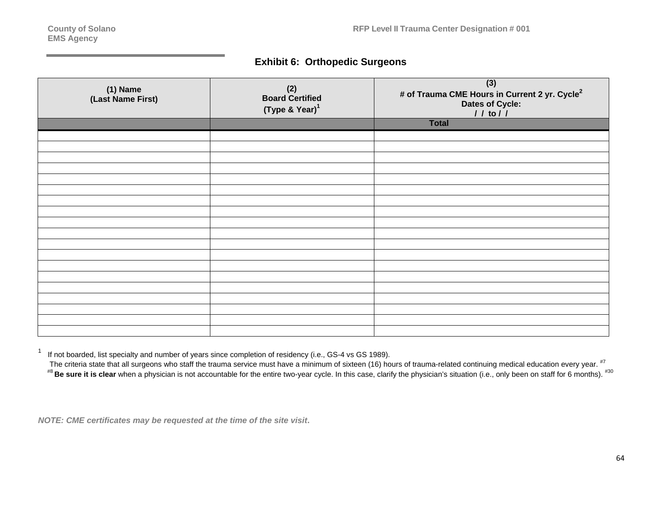# **Exhibit 6: Orthopedic Surgeons**

| (1) Name<br>(Last Name First) | (2)<br><b>Board Certified</b><br>(Type & Year) <sup>1</sup> | (3)<br># of Trauma CME Hours in Current 2 yr. Cycle <sup>2</sup><br><b>Dates of Cycle:</b><br>$1/1$ to $1/1$ |
|-------------------------------|-------------------------------------------------------------|--------------------------------------------------------------------------------------------------------------|
|                               |                                                             | <b>Total</b>                                                                                                 |
|                               |                                                             |                                                                                                              |
|                               |                                                             |                                                                                                              |
|                               |                                                             |                                                                                                              |
|                               |                                                             |                                                                                                              |
|                               |                                                             |                                                                                                              |
|                               |                                                             |                                                                                                              |
|                               |                                                             |                                                                                                              |
|                               |                                                             |                                                                                                              |
|                               |                                                             |                                                                                                              |
|                               |                                                             |                                                                                                              |
|                               |                                                             |                                                                                                              |
|                               |                                                             |                                                                                                              |
|                               |                                                             |                                                                                                              |
|                               |                                                             |                                                                                                              |
|                               |                                                             |                                                                                                              |
|                               |                                                             |                                                                                                              |
|                               |                                                             |                                                                                                              |
|                               |                                                             |                                                                                                              |
|                               |                                                             |                                                                                                              |

<sup>1</sup> If not boarded, list specialty and number of years since completion of residency (i.e., GS-4 vs GS 1989).

The criteria state that all surgeons who staff the trauma service must have a minimum of sixteen (16) hours of trauma-related continuing medical education every year. #7 <sup>#8</sup> Be sure it is clear when a physician is not accountable for the entire two-year cycle. In this case, clarify the physician's situation (i.e., only been on staff for 6 months). <sup>#30</sup>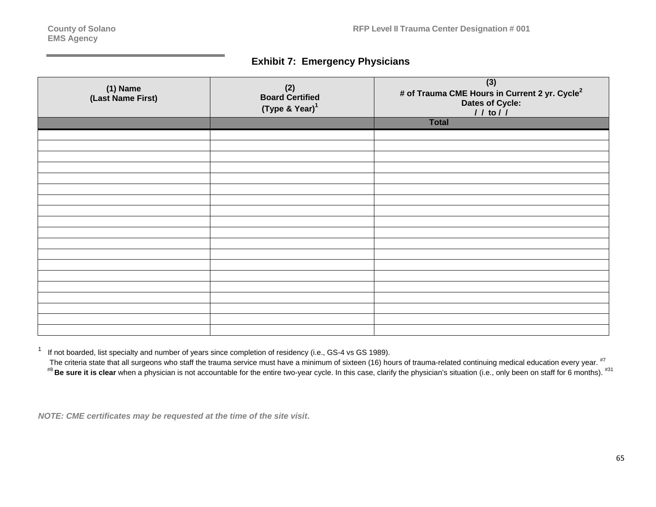# **Exhibit 7: Emergency Physicians**

| (1) Name<br>(Last Name First) | (2)<br><b>Board Certified</b><br>(Type & Year) <sup>1</sup> | (3)<br># of Trauma CME Hours in Current 2 yr. Cycle <sup>2</sup><br><b>Dates of Cycle:</b><br>$11$ to $11$ |
|-------------------------------|-------------------------------------------------------------|------------------------------------------------------------------------------------------------------------|
|                               |                                                             | <b>Total</b>                                                                                               |
|                               |                                                             |                                                                                                            |
|                               |                                                             |                                                                                                            |
|                               |                                                             |                                                                                                            |
|                               |                                                             |                                                                                                            |
|                               |                                                             |                                                                                                            |
|                               |                                                             |                                                                                                            |
|                               |                                                             |                                                                                                            |
|                               |                                                             |                                                                                                            |
|                               |                                                             |                                                                                                            |
|                               |                                                             |                                                                                                            |
|                               |                                                             |                                                                                                            |
|                               |                                                             |                                                                                                            |
|                               |                                                             |                                                                                                            |
|                               |                                                             |                                                                                                            |
|                               |                                                             |                                                                                                            |
|                               |                                                             |                                                                                                            |
|                               |                                                             |                                                                                                            |
|                               |                                                             |                                                                                                            |
|                               |                                                             |                                                                                                            |

<sup>1</sup> If not boarded, list specialty and number of years since completion of residency (i.e., GS-4 vs GS 1989).

The criteria state that all surgeons who staff the trauma service must have a minimum of sixteen (16) hours of trauma-related continuing medical education every year. #7 <sup>#8</sup> Be sure it is clear when a physician is not accountable for the entire two-year cycle. In this case, clarify the physician's situation (i.e., only been on staff for 6 months). <sup>#31</sup>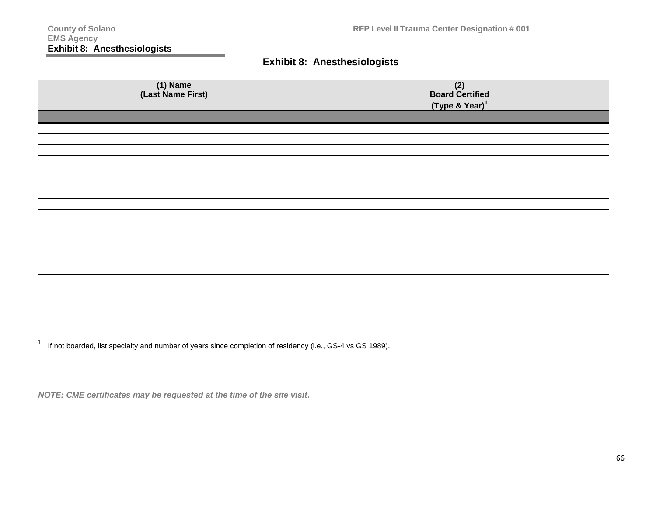| (1) Name<br>(Last Name First) | (2)<br>Board Certified<br>(Type & Year) <sup>1</sup> |
|-------------------------------|------------------------------------------------------|
|                               |                                                      |
|                               |                                                      |
|                               |                                                      |
|                               |                                                      |
|                               |                                                      |
|                               |                                                      |
|                               |                                                      |
|                               |                                                      |
|                               |                                                      |
|                               |                                                      |
|                               |                                                      |
|                               |                                                      |
|                               |                                                      |
|                               |                                                      |
|                               |                                                      |
|                               |                                                      |
|                               |                                                      |
|                               |                                                      |
|                               |                                                      |
|                               |                                                      |

# **Exhibit 8: Anesthesiologists**

<sup>1</sup> If not boarded, list specialty and number of years since completion of residency (i.e., GS-4 vs GS 1989).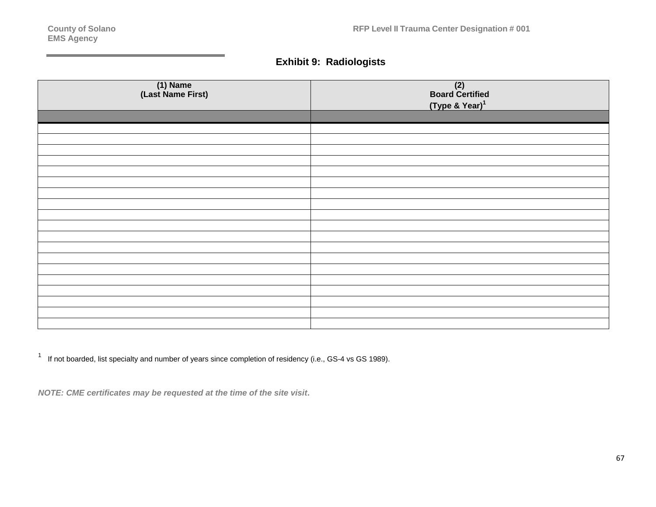| <b>Exhibit 9: Radiologists</b> |  |  |
|--------------------------------|--|--|
|--------------------------------|--|--|

| (1) Name<br>(Last Name First) | (2)<br>Board Certified     |
|-------------------------------|----------------------------|
|                               | (Type & Year) <sup>1</sup> |
|                               |                            |
|                               |                            |
|                               |                            |
|                               |                            |
|                               |                            |
|                               |                            |
|                               |                            |
|                               |                            |
|                               |                            |
|                               |                            |
|                               |                            |
|                               |                            |
|                               |                            |
|                               |                            |
|                               |                            |
|                               |                            |
|                               |                            |
|                               |                            |
|                               |                            |
|                               |                            |

1 If not boarded, list specialty and number of years since completion of residency (i.e., GS-4 vs GS 1989).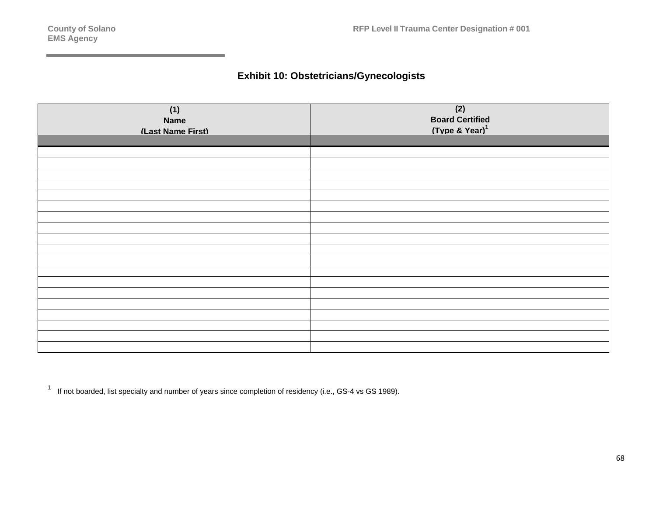# **Exhibit 10: Obstetricians/Gynecologists**

| (1)<br><b>Name</b><br>(Last Name First) | (2)<br><b>Board Certified</b><br>(Type & Year) <sup>1</sup> |
|-----------------------------------------|-------------------------------------------------------------|
|                                         |                                                             |
|                                         |                                                             |
|                                         |                                                             |
|                                         |                                                             |
|                                         |                                                             |
|                                         |                                                             |
|                                         |                                                             |
|                                         |                                                             |
|                                         |                                                             |
|                                         |                                                             |
|                                         |                                                             |
|                                         |                                                             |
|                                         |                                                             |
|                                         |                                                             |
|                                         |                                                             |
|                                         |                                                             |
|                                         |                                                             |
|                                         |                                                             |
|                                         |                                                             |
|                                         |                                                             |

<sup>1</sup> If not boarded, list specialty and number of years since completion of residency (i.e., GS-4 vs GS 1989).